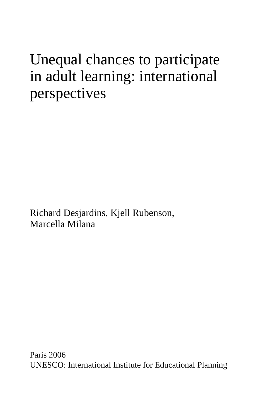# Unequal chances to participate in adult learning: international perspectives

Richard Desjardins, Kjell Rubenson, Marcella Milana

Paris 2006 UNESCO: International Institute for Educational Planning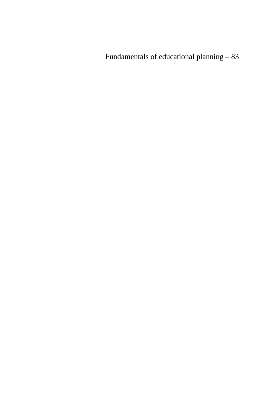Fundamentals of educational planning – 83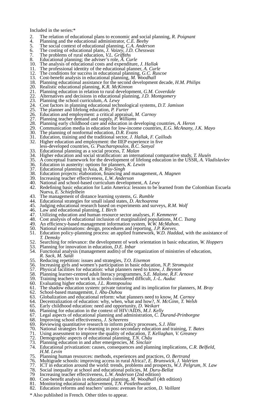Included in the series:\*

- 2. The relation of educational plans to economic and social planning, *R. Poignant* 4. Planning and the educational administrator, *C.E. Beeby*
- 
- 5. The social context of educational planning, *C.A. Anderson*
- 6. The costing of educational plans, *J. Vaizey, J.D. Chesswas*
- 7. The problems of rural education, *V.L. Griffiths*<br>8. Educational planning: the adviser's role A. Cu
- 8. Educational planning; the adviser's role, *A. Curle*
- 10. The analysis of educational costs and expenditure, *J. Hallak*
- 11. The professional identity of the educational planner, *A. Curle*<br>12. The conditions for success in educational planning *G.C. Ruse*
- 12. The conditions for success in educational planning, *G.C. Ruscoe*
- 13. Cost-benefit analysis in educational planning, *M. Woodhall*<br>18. Planning educational assistance for the second development
- 18. Planning educational assistance for the second development decade, *H.M. Philips*
- 20. Realistic educational planning, *K.R. McKinnon*
- 21. Planning education in relation to rural development, *G.M. Coverdale*
- 22. Alternatives and decisions in educational planning, *J.D. Montgomery*
- 23. Planning the school curriculum, *A. Lewy*
- 24. Cost factors in planning educational technological systems, *D.T. Jamison*
- 25. The planner and lifelong education, *P. Furter*
- 26. Education and employment: a critical appraisal, *M. Carnoy* 27. Planning teacher demand and supply, *P. Williams*
- 
- 28. Planning early childhood care and education in developing countries, *A. Heron*
- 29. Communication media in education for low-income countries, *E.G. McAnany, J.K. Mayo*
- 30. The planning of nonformal education, *D.R. Evans*<br>31. Education, training and the traditional sector, *J. H*.<br>32. Higher education and employment: the IIEP exper
- Education, training and the traditional sector, *J. Hallak, F. Caillods* Higher education and employment: the IIEP experience in five
- 32. Higher education and employment: the IIEP experience in fi ve less-developed countries, *G. Psacharopoulos, B.C. Sanyal*
- 
- 33. Educational planning as a social process, *T. Malan* 34. Higher education and social stratifi cation: an international comparative study, *T. Husén*
- 35. A conceptual framework for the development of lifelong education in the USSR, *A. Vladislavlev*
- 36. Education in austerity: options for planners, *K. Lewin* 37. Educational planning in Asia, *R. Roy-Singh*
- 
- 38. Education projects: elaboration, financing and management, *A. Magnen* 39. Increasing teacher effectiveness. *L.W. Anderson*
- 39. Increasing teacher effectiveness, *L.W. Anderson*
- 40. National and school-based curriculum development, *A. Lewy*
- Redefining basic education for Latin America: lessons to be learned from the Colombian Escuela Nueva, *E. Schiefelbein*
- 43. The management of distance learning systems, *G. Rumble*
- 44. Educational strategies for small island states, *D. Atchoarena*
- 45. Judging educational research based on experiments and surveys, *R.M. Wolf*
- 46. Law and educational planning, *I. Birch*
- 47. Utilizing education and human resource sector analyses, *F. Kemmerer*
- 48. Cost analysis of educational inclusion of marginalized populations, *M.C. Tsang*
- 
- 
- 50. National examinations: design, procedures and reporting, *J.P. Keeves*.<br>51. Education policy-planning process: an applied framework, *W.D. Haddad*, with the assistance of *T. Demsky*
- 52. Searching for relevance: the development of work orientation in basic education, *W. Hoppers*
- 53. Planning for innovation in education, *D.E. Inbar*
- 54. Functional analysis (management audits) of the organization of ministries of education, *R. Sack, M. Saïdi*
- 
- 55. Reducing repetition: issues and strategies, *T.O. Eisemon* 56. Increasing girls and women's participation in basic education, *N.P. Stromquist*
- 
- 57. Physical facilities for education: what planners need to know, *J. Beynon* 58. Planning learner-centred adult literacy programmes, *S.E. Malone, R.F. Arnove*<br>59. Training teachers to work in schools considered difficult, *J.-L. Auduc*
- 
- 
- 60. Evaluating higher education, *J.L. Rontopoulou* 61. The shadow education system: private tutoring and its implication for planners, *M. Bray* 62. School-based management, *I. Abu-Duhou*
- 
- 63. Globalization and educational reform: what planners need to know, *M. Carnoy*
- 64. Decentralization of education: why, when, what and how?, *N. McGinn, T. Welsh*
- 65. Early childhood education: need and opportunity, *D. Weikart*
- 
- 66. Planning for education in the context of HIV/AIDS, *M.J. Kelly* 67. Legal aspects of educational planning and administration, *C. D.* 68. Improving school effectiveness. *J. Scheerens* 67. Legal aspects of educational planning and administration, *C. Durand-Prinborgne*
- 68. Improving school effectiveness, *J. Scheerens*
- 69. Reviewing quantitative research to inform policy processes, *S.J. Hite*
- 70. National strategies for e-learning in post-secondary education and training, *T. Bates* 71*.* Using assessment to improve the quality of education, *T. Kellaghan, V. Greaney*
- 
- 
- 72. Demographic aspects of educational planning, *T.N. Châu* 73. Planning education in and after emergencies, *M. Sinclair*
- $\Box$  Educational privatization: causes, consequences and planning implications, *C.R. Belfield*,
- *H.M. Levin*
- 75. Planning human resources: methods, experiences and practices, *O. Bertrand*
- 76. Multigrade schools: improving access in rural Africa?, *E. Brunswick, J. Valérien*
- 77. ICT in education around the world: trends, problems and prospects, *W.J. Pelgrum, N. Law*
- 78. Social inequality at school and educational policies, *M. Duru-Bellat*
- 79 Increasing teacher effectiveness, *L.W. Anderson* (2nd edition) 80. Cost-benefit analysis in educational planning *M. Woodhall* (4)
- Cost-benefit analysis in educational planning, *M. Woodhall* (4th edition)
- 81. Monitoring educational achievement, *T.N. Postlethwaite*<br>82. Education reforms and teachers' unions: avenues for acti
- 82. Education reforms and teachers' unions: avenues for action, *D. Vaillant*
- \* Also published in French. Other titles to appear.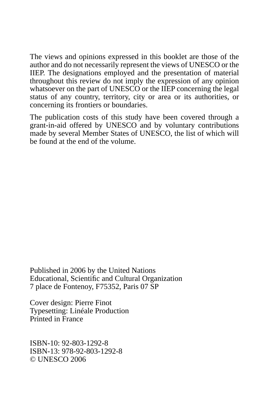The views and opinions expressed in this booklet are those of the author and do not necessarily represent the views of UNESCO or the IIEP. The designations employed and the presentation of material throughout this review do not imply the expression of any opinion whatsoever on the part of UNESCO or the IIEP concerning the legal status of any country, territory, city or area or its authorities, or concerning its frontiers or boundaries.

The publication costs of this study have been covered through a grant-in-aid offered by UNESCO and by voluntary contributions made by several Member States of UNESCO, the list of which will be found at the end of the volume.

Published in 2006 by the United Nations Educational, Scientific and Cultural Organization 7 place de Fontenoy, F75352, Paris 07 SP

Cover design: Pierre Finot Typesetting: Linéale Production Printed in France

ISBN-10: 92-803-1292-8 ISBN-13: 978-92-803-1292-8 © UNESCO 2006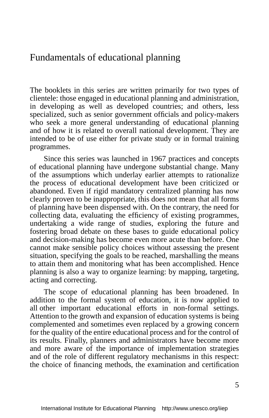## Fundamentals of educational planning

The booklets in this series are written primarily for two types of clientele: those engaged in educational planning and administration, in developing as well as developed countries; and others, less specialized, such as senior government officials and policy-makers who seek a more general understanding of educational planning and of how it is related to overall national development. They are intended to be of use either for private study or in formal training programmes.

Since this series was launched in 1967 practices and concepts of educational planning have undergone substantial change. Many of the assumptions which underlay earlier attempts to rationalize the process of educational development have been criticized or abandoned. Even if rigid mandatory centralized planning has now clearly proven to be inappropriate, this does not mean that all forms of planning have been dispensed with. On the contrary, the need for collecting data, evaluating the efficiency of existing programmes, undertaking a wide range of studies, exploring the future and fostering broad debate on these bases to guide educational policy and decision-making has become even more acute than before. One cannot make sensible policy choices without assessing the present situation, specifying the goals to be reached, marshalling the means to attain them and monitoring what has been accomplished. Hence planning is also a way to organize learning: by mapping, targeting, acting and correcting.

The scope of educational planning has been broadened. In addition to the formal system of education, it is now applied to all other important educational efforts in non-formal settings. Attention to the growth and expansion of education systems is being complemented and sometimes even replaced by a growing concern for the quality of the entire educational process and for the control of its results. Finally, planners and administrators have become more and more aware of the importance of implementation strategies and of the role of different regulatory mechanisms in this respect: the choice of financing methods, the examination and certification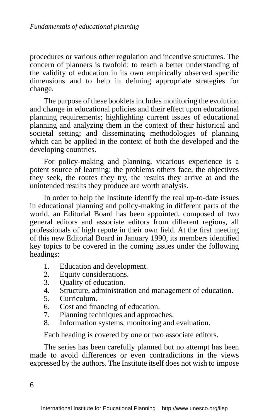procedures or various other regulation and incentive structures. The concern of planners is twofold: to reach a better understanding of the validity of education in its own empirically observed specific dimensions and to help in defining appropriate strategies for change.

The purpose of these booklets includes monitoring the evolution and change in educational policies and their effect upon educational planning requirements; highlighting current issues of educational planning and analyzing them in the context of their historical and societal setting; and disseminating methodologies of planning which can be applied in the context of both the developed and the developing countries.

For policy-making and planning, vicarious experience is a potent source of learning: the problems others face, the objectives they seek, the routes they try, the results they arrive at and the unintended results they produce are worth analysis.

In order to help the Institute identify the real up-to-date issues in educational planning and policy-making in different parts of the world, an Editorial Board has been appointed, composed of two general editors and associate editors from different regions, all professionals of high repute in their own field. At the first meeting of this new Editorial Board in January 1990, its members identified key topics to be covered in the coming issues under the following headings:

- 1. Education and development.
- 2. Equity considerations.
- 3. Quality of education.
- 4. Structure, administration and management of education.
- 5. Curriculum.<br>6 Cost and fini
- Cost and financing of education.
- 7. Planning techniques and approaches.
- 8. Information systems, monitoring and evaluation.

Each heading is covered by one or two associate editors.

The series has been carefully planned but no attempt has been made to avoid differences or even contradictions in the views expressed by the authors. The Institute itself does not wish to impose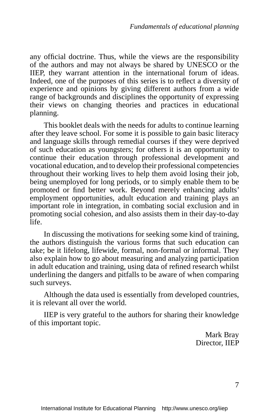any official doctrine. Thus, while the views are the responsibility of the authors and may not always be shared by UNESCO or the IIEP, they warrant attention in the international forum of ideas. Indeed, one of the purposes of this series is to reflect a diversity of experience and opinions by giving different authors from a wide range of backgrounds and disciplines the opportunity of expressing their views on changing theories and practices in educational planning.

This booklet deals with the needs for adults to continue learning after they leave school. For some it is possible to gain basic literacy and language skills through remedial courses if they were deprived of such education as youngsters; for others it is an opportunity to continue their education through professional development and vocational education, and to develop their professional competencies throughout their working lives to help them avoid losing their job, being unemployed for long periods, or to simply enable them to be promoted or find better work. Beyond merely enhancing adults' employment opportunities, adult education and training plays an important role in integration, in combating social exclusion and in promoting social cohesion, and also assists them in their day-to-day life.

In discussing the motivations for seeking some kind of training, the authors distinguish the various forms that such education can take; be it lifelong, lifewide, formal, non-formal or informal. They also explain how to go about measuring and analyzing participation in adult education and training, using data of refined research whilst underlining the dangers and pitfalls to be aware of when comparing such surveys.

Although the data used is essentially from developed countries, it is relevant all over the world.

IIEP is very grateful to the authors for sharing their knowledge of this important topic.

> Mark Bray Director, IIEP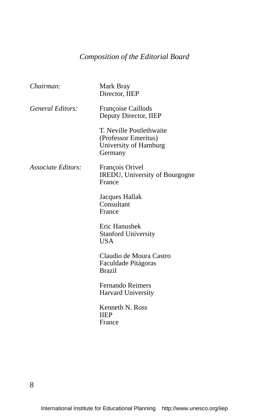### *Composition of the Editorial Board*

| Chairman:          | Mark Bray<br>Director, IIEP                                                          |
|--------------------|--------------------------------------------------------------------------------------|
| General Editors:   | Françoise Caillods<br>Deputy Director, IIEP                                          |
|                    | T. Neville Postlethwaite<br>(Professor Emeritus)<br>University of Hamburg<br>Germany |
| Associate Editors: | François Orivel<br>IREDU, University of Bourgogne<br>France                          |
|                    | Jacques Hallak<br>Consultant<br>France                                               |
|                    | <b>Eric Hanushek</b><br><b>Stanford University</b><br>USA                            |
|                    | Claudio de Moura Castro<br>Faculdade Pitágoras<br><b>Brazil</b>                      |
|                    | Fernando Reimers<br>Harvard University                                               |
|                    | Kenneth N. Ross<br><b>IIEP</b><br>France                                             |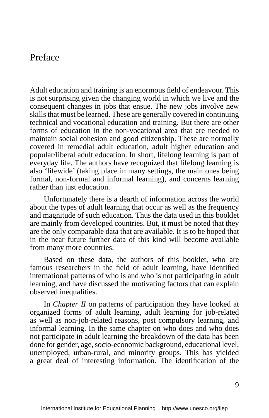## <span id="page-8-0"></span>Preface

Adult education and training is an enormous field of endeavour. This is not surprising given the changing world in which we live and the consequent changes in jobs that ensue. The new jobs involve new skills that must be learned. These are generally covered in continuing technical and vocational education and training. But there are other forms of education in the non-vocational area that are needed to maintain social cohesion and good citizenship. These are normally covered in remedial adult education, adult higher education and popular/liberal adult education. In short, lifelong learning is part of everyday life. The authors have recognized that lifelong learning is also 'lifewide' (taking place in many settings, the main ones being formal, non-formal and informal learning), and concerns learning rather than just education.

Unfortunately there is a dearth of information across the world about the types of adult learning that occur as well as the frequency and magnitude of such education. Thus the data used in this booklet are mainly from developed countries. But, it must be noted that they are the only comparable data that are available. It is to be hoped that in the near future further data of this kind will become available from many more countries.

Based on these data, the authors of this booklet, who are famous researchers in the field of adult learning, have identified international patterns of who is and who is not participating in adult learning, and have discussed the motivating factors that can explain observed inequalities.

In *Chapter II* on patterns of participation they have looked at organized forms of adult learning, adult learning for job-related as well as non-job-related reasons, post compulsory learning, and informal learning. In the same chapter on who does and who does not participate in adult learning the breakdown of the data has been done for gender, age, socio-economic background, educational level, unemployed, urban-rural, and minority groups. This has yielded a great deal of interesting information. The identification of the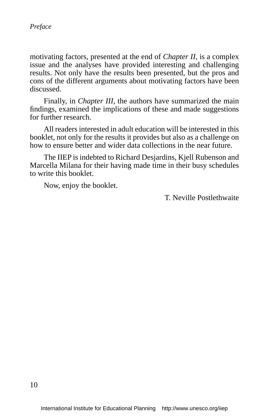motivating factors, presented at the end of *Chapter II*, is a complex issue and the analyses have provided interesting and challenging results. Not only have the results been presented, but the pros and cons of the different arguments about motivating factors have been discussed.

Finally, in *Chapter III*, the authors have summarized the main findings, examined the implications of these and made suggestions for further research.

All readers interested in adult education will be interested in this booklet, not only for the results it provides but also as a challenge on how to ensure better and wider data collections in the near future.

The IIEP is indebted to Richard Desjardins, Kjell Rubenson and Marcella Milana for their having made time in their busy schedules to write this booklet.

Now, enjoy the booklet.

T. Neville Postlethwaite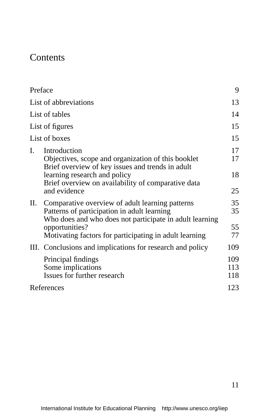## **Contents**

| Preface |                                                                                                                                                           | 9                 |
|---------|-----------------------------------------------------------------------------------------------------------------------------------------------------------|-------------------|
|         | List of abbreviations                                                                                                                                     | 13                |
|         | List of tables                                                                                                                                            | 14                |
|         | List of figures                                                                                                                                           | 15                |
|         | List of boxes                                                                                                                                             | 15                |
| I.      | Introduction<br>Objectives, scope and organization of this booklet<br>Brief overview of key issues and trends in adult                                    | 17<br>17          |
|         | learning research and policy<br>Brief overview on availability of comparative data<br>and evidence                                                        | 18<br>25          |
| П.      | Comparative overview of adult learning patterns<br>Patterns of participation in adult learning<br>Who does and who does not participate in adult learning | 35<br>35          |
|         | opportunities?<br>Motivating factors for participating in adult learning                                                                                  | 55<br>77          |
|         | III. Conclusions and implications for research and policy                                                                                                 | 109               |
|         | Principal findings<br>Some implications<br>Issues for further research                                                                                    | 109<br>113<br>118 |
|         | References                                                                                                                                                | 123               |
|         |                                                                                                                                                           |                   |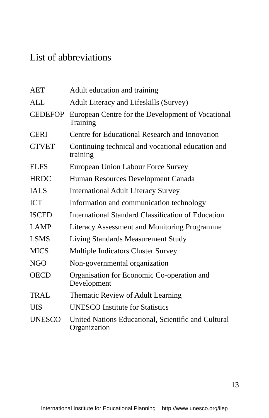## <span id="page-11-0"></span>List of abbreviations

| <b>AET</b>     | Adult education and training                                        |
|----------------|---------------------------------------------------------------------|
| ALL            | Adult Literacy and Lifeskills (Survey)                              |
| <b>CEDEFOP</b> | European Centre for the Development of Vocational<br>Training       |
| <b>CERI</b>    | Centre for Educational Research and Innovation                      |
| <b>CTVET</b>   | Continuing technical and vocational education and<br>training       |
| <b>ELFS</b>    | European Union Labour Force Survey                                  |
| <b>HRDC</b>    | Human Resources Development Canada                                  |
| <b>IALS</b>    | <b>International Adult Literacy Survey</b>                          |
| <b>ICT</b>     | Information and communication technology                            |
| <b>ISCED</b>   | International Standard Classification of Education                  |
| <b>LAMP</b>    | Literacy Assessment and Monitoring Programme                        |
| <b>LSMS</b>    | Living Standards Measurement Study                                  |
| <b>MICS</b>    | <b>Multiple Indicators Cluster Survey</b>                           |
| NGO            | Non-governmental organization                                       |
| <b>OECD</b>    | Organisation for Economic Co-operation and<br>Development           |
| TRAL           | Thematic Review of Adult Learning                                   |
| <b>UIS</b>     | <b>UNESCO</b> Institute for Statistics                              |
| <b>UNESCO</b>  | United Nations Educational, Scientific and Cultural<br>Organization |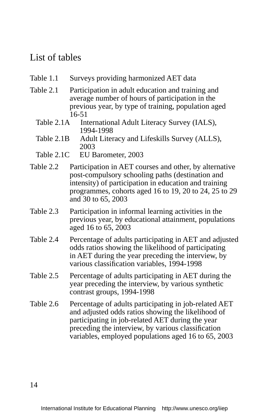## <span id="page-12-0"></span>List of tables

- Table 1.1 Surveys providing harmonized AET data
- Table 2.1 Participation in adult education and training and average number of hours of participation in the previous year, by type of training, population aged 16-51
	- Table 2.1A International Adult Literacy Survey (IALS), 1994-1998
	- Table 2.1B Adult Literacy and Lifeskills Survey (ALLS), 2003
	- Table 2.1C EU Barometer, 2003
- Table 2.2 Participation in AET courses and other, by alternative post-compulsory schooling paths (destination and intensity) of participation in education and training programmes, cohorts aged 16 to 19, 20 to 24, 25 to 29 and 30 to 65, 2003
- Table 2.3 Participation in informal learning activities in the previous year, by educational attainment, populations aged 16 to 65, 2003
- Table 2.4 Percentage of adults participating in AET and adjusted odds ratios showing the likelihood of participating in AET during the year preceding the interview, by various classification variables, 1994-1998
- Table 2.5 Percentage of adults participating in AET during the year preceding the interview, by various synthetic contrast groups, 1994-1998
- Table 2.6 Percentage of adults participating in job-related AET and adjusted odds ratios showing the likelihood of participating in job-related AET during the year preceding the interview, by various classification variables, employed populations aged 16 to 65, 2003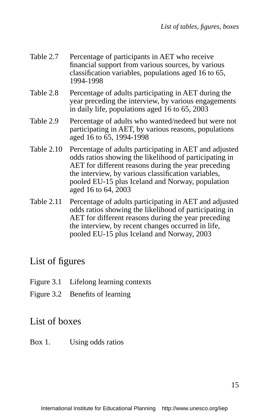- <span id="page-13-0"></span>Table 2.7 Percentage of participants in AET who receive financial support from various sources, by various classification variables, populations aged 16 to 65, 1994-1998
- Table 2.8 Percentage of adults participating in AET during the year preceding the interview, by various engagements in daily life, populations aged 16 to 65, 2003
- Table 2.9 Percentage of adults who wanted/nedeed but were not participating in AET, by various reasons, populations aged 16 to 65, 1994-1998
- Table 2.10 Percentage of adults participating in AET and adjusted odds ratios showing the likelihood of participating in AET for different reasons during the year preceding the interview, by various classification variables, pooled EU-15 plus Iceland and Norway, population aged 16 to 64, 2003
- Table 2.11 Percentage of adults participating in AET and adjusted odds ratios showing the likelihood of participating in AET for different reasons during the year preceding the interview, by recent changes occurred in life, pooled EU-15 plus Iceland and Norway, 2003

## List of figures

- Figure 3.1 Lifelong learning contexts
- Figure 3.2 Benefits of learning

## List of boxes

Box 1. Using odds ratios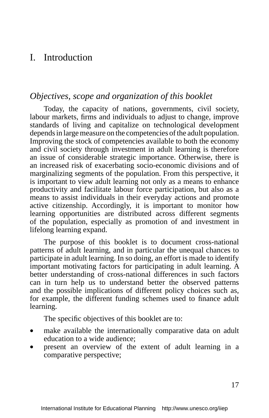## <span id="page-14-0"></span>I. Introduction

#### *Objectives, scope and organization of this booklet*

Today, the capacity of nations, governments, civil society, labour markets, firms and individuals to adjust to change, improve standards of living and capitalize on technological development depends in large measure on the competencies of the adult population. Improving the stock of competencies available to both the economy and civil society through investment in adult learning is therefore an issue of considerable strategic importance. Otherwise, there is an increased risk of exacerbating socio-economic divisions and of marginalizing segments of the population. From this perspective, it is important to view adult learning not only as a means to enhance productivity and facilitate labour force participation, but also as a means to assist individuals in their everyday actions and promote active citizenship. Accordingly, it is important to monitor how learning opportunities are distributed across different segments of the population, especially as promotion of and investment in lifelong learning expand.

The purpose of this booklet is to document cross-national patterns of adult learning, and in particular the unequal chances to participate in adult learning. In so doing, an effort is made to identify important motivating factors for participating in adult learning. A better understanding of cross-national differences in such factors can in turn help us to understand better the observed patterns and the possible implications of different policy choices such as, for example, the different funding schemes used to finance adult learning.

The specific objectives of this booklet are to:

- make available the internationally comparative data on adult education to a wide audience;
- present an overview of the extent of adult learning in a comparative perspective;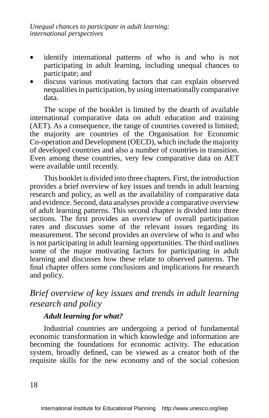- <span id="page-15-0"></span>identify international patterns of who is and who is not participating in adult learning, including unequal chances to participate; and
- discuss various motivating factors that can explain observed nequalities in participation, by using internationally comparative data.

The scope of the booklet is limited by the dearth of available international comparative data on adult education and training (AET). As a consequence, the range of countries covered is limited; the majority are countries of the Organisation for Economic Co-operation and Development (OECD), which include the majority of developed countries and also a number of countries in transition. Even among these countries, very few comparative data on AET were available until recently.

This booklet is divided into three chapters. First, the introduction provides a brief overview of key issues and trends in adult learning research and policy, as well as the availability of comparative data and evidence. Second, data analyses provide a comparative overview of adult learning patterns. This second chapter is divided into three sections. The first provides an overview of overall participation rates and discusses some of the relevant issues regarding its measurement. The second provides an overview of who is and who is not participating in adult learning opportunities. The third outlines some of the major motivating factors for participating in adult learning and discusses how these relate to observed patterns. The final chapter offers some conclusions and implications for research and policy.

## *Brief overview of key issues and trends in adult learning research and policy*

### *Adult learning for what?*

Industrial countries are undergoing a period of fundamental economic transformation in which knowledge and information are becoming the foundations for economic activity. The education system, broadly defined, can be viewed as a creator both of the requisite skills for the new economy and of the social cohesion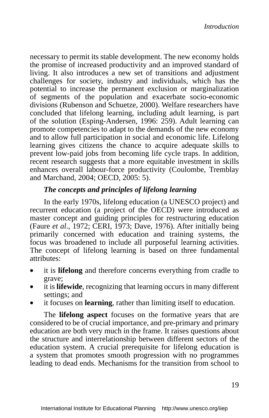necessary to permit its stable development. The new economy holds the promise of increased productivity and an improved standard of living. It also introduces a new set of transitions and adjustment challenges for society, industry and individuals, which has the potential to increase the permanent exclusion or marginalization of segments of the population and exacerbate socio-economic divisions (Rubenson and Schuetze, 2000). Welfare researchers have concluded that lifelong learning, including adult learning, is part of the solution (Esping-Andersen, 1996: 259). Adult learning can promote competencies to adapt to the demands of the new economy and to allow full participation in social and economic life. Lifelong learning gives citizens the chance to acquire adequate skills to prevent low-paid jobs from becoming life cycle traps. In addition, recent research suggests that a more equitable investment in skills enhances overall labour-force productivity (Coulombe, Tremblay and Marchand, 2004; OECD, 2005: 5).

#### *The concepts and principles of lifelong learning*

In the early 1970s, lifelong education (a UNESCO project) and recurrent education (a project of the OECD) were introduced as master concept and guiding principles for restructuring education (Faure *et al*., 1972; CERI, 1973; Dave, 1976). After initially being primarily concerned with education and training systems, the focus was broadened to include all purposeful learning activities. The concept of lifelong learning is based on three fundamental attributes:

- it is **lifelong** and therefore concerns everything from cradle to grave;
- it is **lifewide**, recognizing that learning occurs in many different settings; and
- it focuses on **learning**, rather than limiting itself to education.

The **lifelong aspect** focuses on the formative years that are considered to be of crucial importance, and pre-primary and primary education are both very much in the frame. It raises questions about the structure and interrelationship between different sectors of the education system. A crucial prerequisite for lifelong education is a system that promotes smooth progression with no programmes leading to dead ends. Mechanisms for the transition from school to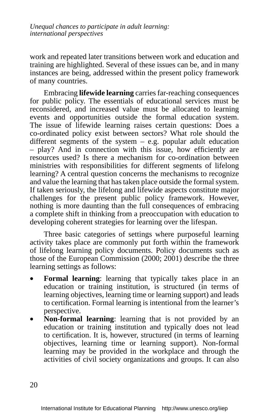*Unequal chances to participate in adult learning: international perspectives*

work and repeated later transitions between work and education and training are highlighted. Several of these issues can be, and in many instances are being, addressed within the present policy framework of many countries.

Embracing **lifewide learning** carries far-reaching consequences for public policy. The essentials of educational services must be reconsidered, and increased value must be allocated to learning events and opportunities outside the formal education system. The issue of lifewide learning raises certain questions: Does a co-ordinated policy exist between sectors? What role should the different segments of the system  $-$  e.g. popular adult education  $-$  play? And in connection with this issue, how efficiently are resources used? Is there a mechanism for co-ordination between ministries with responsibilities for different segments of lifelong learning? A central question concerns the mechanisms to recognize and value the learning that has taken place outside the formal system. If taken seriously, the lifelong and lifewide aspects constitute major challenges for the present public policy framework. However, nothing is more daunting than the full consequences of embracing a complete shift in thinking from a preoccupation with education to developing coherent strategies for learning over the lifespan.

Three basic categories of settings where purposeful learning activity takes place are commonly put forth within the framework of lifelong learning policy documents. Policy documents such as those of the European Commission (2000; 2001) describe the three learning settings as follows:

- **Formal learning**: learning that typically takes place in an education or training institution, is structured (in terms of learning objectives, learning time or learning support) and leads to certification. Formal learning is intentional from the learner's perspective.
- **Non-formal learning**: learning that is not provided by an education or training institution and typically does not lead to certification. It is, however, structured (in terms of learning objectives, learning time or learning support). Non-formal learning may be provided in the workplace and through the activities of civil society organizations and groups. It can also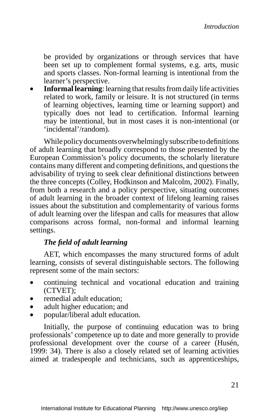be provided by organizations or through services that have been set up to complement formal systems, e.g. arts, music and sports classes. Non-formal learning is intentional from the learner's perspective.

• **Informal learning**: learning that results from daily life activities related to work, family or leisure. It is not structured (in terms of learning objectives, learning time or learning support) and typically does not lead to certification. Informal learning may be intentional, but in most cases it is non-intentional (or 'incidental'/random).

While policy documents overwhelmingly subscribe to definitions of adult learning that broadly correspond to those presented by the European Commission's policy documents, the scholarly literature contains many different and competing definitions, and questions the advisability of trying to seek clear definitional distinctions between the three concepts (Colley, Hodkinson and Malcolm, 2002). Finally, from both a research and a policy perspective, situating outcomes of adult learning in the broader context of lifelong learning raises issues about the substitution and complementarity of various forms of adult learning over the lifespan and calls for measures that allow comparisons across formal, non-formal and informal learning settings.

#### *The fi eld of adult learning*

AET, which encompasses the many structured forms of adult learning, consists of several distinguishable sectors. The following represent some of the main sectors:

- continuing technical and vocational education and training (CTVET);
- remedial adult education;
- adult higher education; and
- popular/liberal adult education.

Initially, the purpose of continuing education was to bring professionals' competence up to date and more generally to provide professional development over the course of a career (Husén, 1999: 34). There is also a closely related set of learning activities aimed at tradespeople and technicians, such as apprenticeships,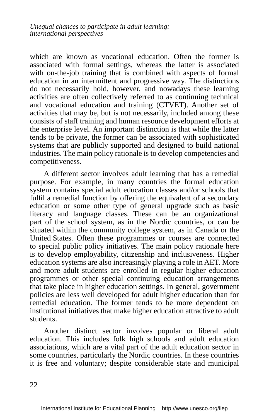which are known as vocational education. Often the former is associated with formal settings, whereas the latter is associated with on-the-job training that is combined with aspects of formal education in an intermittent and progressive way. The distinctions do not necessarily hold, however, and nowadays these learning activities are often collectively referred to as continuing technical and vocational education and training (CTVET). Another set of activities that may be, but is not necessarily, included among these consists of staff training and human resource development efforts at the enterprise level. An important distinction is that while the latter tends to be private, the former can be associated with sophisticated systems that are publicly supported and designed to build national industries. The main policy rationale is to develop competencies and competitiveness.

A different sector involves adult learning that has a remedial purpose. For example, in many countries the formal education system contains special adult education classes and/or schools that fulfil a remedial function by offering the equivalent of a secondary education or some other type of general upgrade such as basic literacy and language classes. These can be an organizational part of the school system, as in the Nordic countries, or can be situated within the community college system, as in Canada or the United States. Often these programmes or courses are connected to special public policy initiatives. The main policy rationale here is to develop employability, citizenship and inclusiveness. Higher education systems are also increasingly playing a role in AET. More and more adult students are enrolled in regular higher education programmes or other special continuing education arrangements that take place in higher education settings. In general, government policies are less well developed for adult higher education than for remedial education. The former tends to be more dependent on institutional initiatives that make higher education attractive to adult students.

Another distinct sector involves popular or liberal adult education. This includes folk high schools and adult education associations, which are a vital part of the adult education sector in some countries, particularly the Nordic countries. In these countries it is free and voluntary; despite considerable state and municipal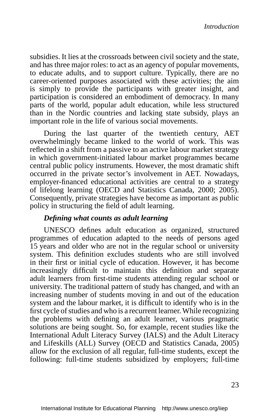subsidies. It lies at the crossroads between civil society and the state, and has three major roles: to act as an agency of popular movements, to educate adults, and to support culture. Typically, there are no career-oriented purposes associated with these activities; the aim is simply to provide the participants with greater insight, and participation is considered an embodiment of democracy. In many parts of the world, popular adult education, while less structured than in the Nordic countries and lacking state subsidy, plays an important role in the life of various social movements.

During the last quarter of the twentieth century, AET overwhelmingly became linked to the world of work. This was reflected in a shift from a passive to an active labour market strategy in which government-initiated labour market programmes became central public policy instruments. However, the most dramatic shift occurred in the private sector's involvement in AET. Nowadays, employer-financed educational activities are central to a strategy of lifelong learning (OECD and Statistics Canada, 2000; 2005). Consequently, private strategies have become as important as public policy in structuring the field of adult learning.

#### *Defi ning what counts as adult learning*

UNESCO defines adult education as organized, structured programmes of education adapted to the needs of persons aged 15 years and older who are not in the regular school or university system. This definition excludes students who are still involved in their first or initial cycle of education. However, it has become increasingly difficult to maintain this definition and separate adult learners from first-time students attending regular school or university. The traditional pattern of study has changed, and with an increasing number of students moving in and out of the education system and the labour market, it is difficult to identify who is in the first cycle of studies and who is a recurrent learner. While recognizing the problems with defining an adult learner, various pragmatic solutions are being sought. So, for example, recent studies like the International Adult Literacy Survey (IALS) and the Adult Literacy and Lifeskills (ALL) Survey (OECD and Statistics Canada, 2005) allow for the exclusion of all regular, full-time students, except the following: full-time students subsidized by employers; full-time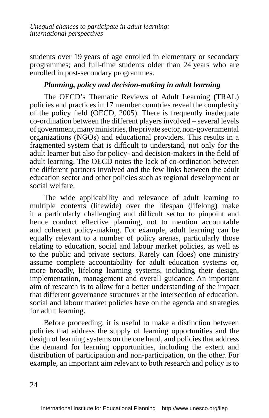*Unequal chances to participate in adult learning: international perspectives*

students over 19 years of age enrolled in elementary or secondary programmes; and full-time students older than 24 years who are enrolled in post-secondary programmes.

#### *Planning, policy and decision-making in adult learning*

The OECD's Thematic Reviews of Adult Learning (TRAL) policies and practices in 17 member countries reveal the complexity of the policy field (OECD, 2005). There is frequently inadequate co-ordination between the different players involved – several levels of government, many ministries, the private sector, non-governmental organizations (NGOs) and educational providers. This results in a fragmented system that is difficult to understand, not only for the adult learner but also for policy- and decision-makers in the field of adult learning. The OECD notes the lack of co-ordination between the different partners involved and the few links between the adult education sector and other policies such as regional development or social welfare.

The wide applicability and relevance of adult learning to multiple contexts (lifewide) over the lifespan (lifelong) make it a particularly challenging and difficult sector to pinpoint and hence conduct effective planning, not to mention accountable and coherent policy-making. For example, adult learning can be equally relevant to a number of policy arenas, particularly those relating to education, social and labour market policies, as well as to the public and private sectors. Rarely can (does) one ministry assume complete accountability for adult education systems or, more broadly, lifelong learning systems, including their design, implementation, management and overall guidance. An important aim of research is to allow for a better understanding of the impact that different governance structures at the intersection of education, social and labour market policies have on the agenda and strategies for adult learning.

Before proceeding, it is useful to make a distinction between policies that address the supply of learning opportunities and the design of learning systems on the one hand, and policies that address the demand for learning opportunities, including the extent and distribution of participation and non-participation, on the other. For example, an important aim relevant to both research and policy is to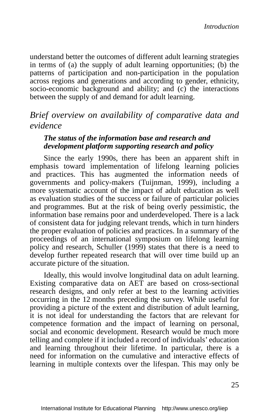<span id="page-22-0"></span>understand better the outcomes of different adult learning strategies in terms of (a) the supply of adult learning opportunities; (b) the patterns of participation and non-participation in the population across regions and generations and according to gender, ethnicity, socio-economic background and ability; and (c) the interactions between the supply of and demand for adult learning.

### *Brief overview on availability of comparative data and evidence*

#### *The status of the information base and research and development platform supporting research and policy*

Since the early 1990s, there has been an apparent shift in emphasis toward implementation of lifelong learning policies and practices. This has augmented the information needs of governments and policy-makers (Tuijnman, 1999), including a more systematic account of the impact of adult education as well as evaluation studies of the success or failure of particular policies and programmes. But at the risk of being overly pessimistic, the information base remains poor and underdeveloped. There is a lack of consistent data for judging relevant trends, which in turn hinders the proper evaluation of policies and practices. In a summary of the proceedings of an international symposium on lifelong learning policy and research, Schuller (1999) states that there is a need to develop further repeated research that will over time build up an accurate picture of the situation.

Ideally, this would involve longitudinal data on adult learning. Existing comparative data on AET are based on cross-sectional research designs, and only refer at best to the learning activities occurring in the 12 months preceding the survey. While useful for providing a picture of the extent and distribution of adult learning, it is not ideal for understanding the factors that are relevant for competence formation and the impact of learning on personal, social and economic development. Research would be much more telling and complete if it included a record of individuals' education and learning throughout their lifetime. In particular, there is a need for information on the cumulative and interactive effects of learning in multiple contexts over the lifespan. This may only be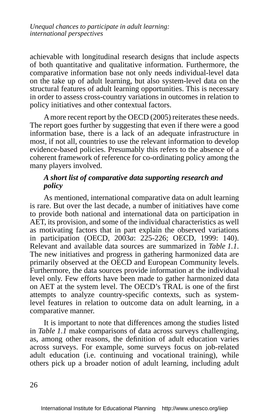achievable with longitudinal research designs that include aspects of both quantitative and qualitative information. Furthermore, the comparative information base not only needs individual-level data on the take up of adult learning, but also system-level data on the structural features of adult learning opportunities. This is necessary in order to assess cross-country variations in outcomes in relation to policy initiatives and other contextual factors.

A more recent report by the OECD (2005) reiterates these needs. The report goes further by suggesting that even if there were a good information base, there is a lack of an adequate infrastructure in most, if not all, countries to use the relevant information to develop evidence-based policies. Presumably this refers to the absence of a coherent framework of reference for co-ordinating policy among the many players involved.

#### *A short list of comparative data supporting research and policy*

As mentioned, international comparative data on adult learning is rare. But over the last decade, a number of initiatives have come to provide both national and international data on participation in AET, its provision, and some of the individual characteristics as well as motivating factors that in part explain the observed variations in participation (OECD, 2003*a*: 225-226; OECD, 1999: 140). Relevant and available data sources are summarized in *Table 1.1*. The new initiatives and progress in gathering harmonized data are primarily observed at the OECD and European Community levels. Furthermore, the data sources provide information at the individual level only. Few efforts have been made to gather harmonized data on AET at the system level. The OECD's TRAL is one of the first attempts to analyze country-specific contexts, such as systemlevel features in relation to outcome data on adult learning, in a comparative manner.

It is important to note that differences among the studies listed in *Table 1.1* make comparisons of data across surveys challenging, as, among other reasons, the definition of adult education varies across surveys. For example, some surveys focus on job-related adult education (i.e. continuing and vocational training), while others pick up a broader notion of adult learning, including adult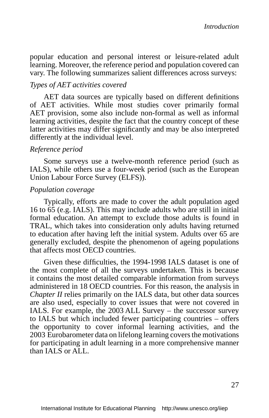popular education and personal interest or leisure-related adult learning. Moreover, the reference period and population covered can vary. The following summarizes salient differences across surveys:

#### *Types of AET activities covered*

AET data sources are typically based on different definitions of AET activities. While most studies cover primarily formal AET provision, some also include non-formal as well as informal learning activities, despite the fact that the country concept of these latter activities may differ significantly and may be also interpreted differently at the individual level.

#### *Reference period*

Some surveys use a twelve-month reference period (such as IALS), while others use a four-week period (such as the European Union Labour Force Survey (ELFS)).

#### *Population coverage*

Typically, efforts are made to cover the adult population aged 16 to 65 (e.g. IALS). This may include adults who are still in initial formal education. An attempt to exclude those adults is found in TRAL, which takes into consideration only adults having returned to education after having left the initial system. Adults over 65 are generally excluded, despite the phenomenon of ageing populations that affects most OECD countries.

Given these difficulties, the 1994-1998 IALS dataset is one of the most complete of all the surveys undertaken. This is because it contains the most detailed comparable information from surveys administered in 18 OECD countries. For this reason, the analysis in *Chapter II* relies primarily on the IALS data, but other data sources are also used, especially to cover issues that were not covered in IALS. For example, the 2003 ALL Survey – the successor survey to IALS but which included fewer participating countries – offers the opportunity to cover informal learning activities, and the 2003 Eurobarometer data on lifelong learning covers the motivations for participating in adult learning in a more comprehensive manner than IALS or ALL.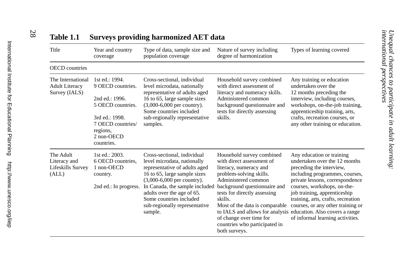| Title                                                       | Year and country<br>coverage                                                                                                                              | Type of data, sample size and<br>population coverage                                                                                                                                                                                                                                                | Nature of survey including<br>degree of harmonization                                                                                                                                                                                                                                                                                                                                           | Types of learning covered                                                                                                                                                                                                                                                                                                                 |
|-------------------------------------------------------------|-----------------------------------------------------------------------------------------------------------------------------------------------------------|-----------------------------------------------------------------------------------------------------------------------------------------------------------------------------------------------------------------------------------------------------------------------------------------------------|-------------------------------------------------------------------------------------------------------------------------------------------------------------------------------------------------------------------------------------------------------------------------------------------------------------------------------------------------------------------------------------------------|-------------------------------------------------------------------------------------------------------------------------------------------------------------------------------------------------------------------------------------------------------------------------------------------------------------------------------------------|
| <b>OECD</b> countries                                       |                                                                                                                                                           |                                                                                                                                                                                                                                                                                                     |                                                                                                                                                                                                                                                                                                                                                                                                 |                                                                                                                                                                                                                                                                                                                                           |
| The International<br><b>Adult Literacy</b><br>Survey (IALS) | 1st ed.: 1994.<br>9 OECD countries.<br>2nd ed.: 1996.<br>5 OECD countries.<br>3rd ed.: 1998.<br>7 OECD countries/<br>regions,<br>2 non-OECD<br>countries. | Cross-sectional, individual<br>level microdata, nationally<br>representative of adults aged<br>16 to 65, large sample sizes<br>(3,000-6,000 per country).<br>Some countries included<br>sub-regionally representative<br>samples.                                                                   | Household survey combined<br>with direct assessment of<br>literacy and numeracy skills.<br>Administered common<br>background questionnaire and<br>tests for directly assessing<br>skills.                                                                                                                                                                                                       | Any training or education<br>undertaken over the<br>12 months preceding the<br>interview, including courses,<br>workshops, on-the-job training,<br>apprenticeship training, arts,<br>crafts, recreation courses, or<br>any other training or education.                                                                                   |
| The Adult<br>Literacy and<br>Lifeskills Survey<br>(ALL)     | 1st ed.: 2003.<br>6 OECD countries,<br>1 non-OECD<br>country.<br>2nd ed.: In progress.                                                                    | Cross-sectional, individual<br>level microdata, nationally<br>representative of adults aged<br>16 to 65, large sample sizes<br>$(3,000-6,000)$ per country).<br>In Canada, the sample included<br>adults over the age of 65.<br>Some countries included<br>sub-regionally representative<br>sample. | Household survey combined<br>with direct assessment of<br>literacy, numeracy and<br>problem-solving skills.<br>Administered common<br>background questionnaire and<br>tests for directly assessing<br>skills.<br>Most of the data is comparable.<br>to IALS and allows for analysis education. Also covers a range<br>of change over time for<br>countries who participated in<br>both surveys. | Any education or training<br>undertaken over the 12 months<br>preceding the interview,<br>including programmes, courses,<br>private lessons, correspondence<br>courses, workshops, on-the-<br>job training, apprenticeship<br>training, arts, crafts, recreation<br>courses, or any other training or<br>of informal learning activities. |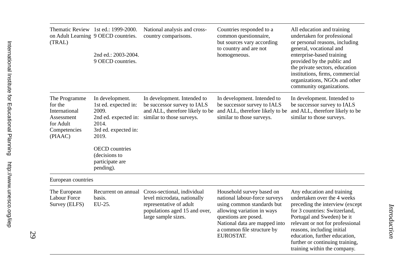| (TRAL)                                                                                          | Thematic Review 1st ed.: 1999-2000.<br>on Adult Learning 9 OECD countries.<br>2nd ed.: 2003-2004.<br>9 OECD countries.                                                                       | National analysis and cross-<br>country comparisons.                                                                                          | Countries responded to a<br>common questionnaire,<br>but sources vary according<br>to country and are not<br>homogeneous.                                                                                                  | All education and training<br>undertaken for professional<br>or personal reasons, including<br>general, vocational and<br>enterprise-based training<br>provided by the public and<br>the private sectors, education<br>institutions, firms, commercial<br>organizations, NGOs and other<br>community organizations.               |
|-------------------------------------------------------------------------------------------------|----------------------------------------------------------------------------------------------------------------------------------------------------------------------------------------------|-----------------------------------------------------------------------------------------------------------------------------------------------|----------------------------------------------------------------------------------------------------------------------------------------------------------------------------------------------------------------------------|-----------------------------------------------------------------------------------------------------------------------------------------------------------------------------------------------------------------------------------------------------------------------------------------------------------------------------------|
| The Programme<br>for the<br>International<br>Assessment<br>for Adult<br>Competencies<br>(PIAAC) | In development.<br>1st ed. expected in:<br>2009.<br>2nd ed. expected in:<br>2014.<br>3rd ed. expected in:<br>2019.<br><b>OECD</b> countries<br>(decisions to<br>participate are<br>pending). | In development. Intended to<br>be successor survey to IALS<br>and ALL, therefore likely to be<br>similar to those surveys.                    | In development. Intended to<br>be successor survey to IALS<br>and ALL, therefore likely to be<br>similar to those surveys.                                                                                                 | In development. Intended to<br>be successor survey to IALS<br>and ALL, therefore likely to be<br>similar to those surveys.                                                                                                                                                                                                        |
| European countries                                                                              |                                                                                                                                                                                              |                                                                                                                                               |                                                                                                                                                                                                                            |                                                                                                                                                                                                                                                                                                                                   |
| The European<br><b>Labour Force</b><br>Survey (ELFS)                                            | Recurrent on annual<br>basis.<br>EU-25.                                                                                                                                                      | Cross-sectional, individual<br>level microdata, nationally<br>representative of adult<br>populations aged 15 and over,<br>large sample sizes. | Household survey based on<br>national labour-force surveys<br>using common standards but<br>allowing variation in ways<br>questions are posed.<br>National data are mapped into<br>a common file structure by<br>EUROSTAT. | Any education and training<br>undertaken over the 4 weeks<br>preceding the interview (except<br>for 3 countries: Switzerland.<br>Portugal and Sweden) be it<br>relevant or not for professional<br>reasons, including initial<br>education, further education,<br>further or continuing training,<br>training within the company. |

29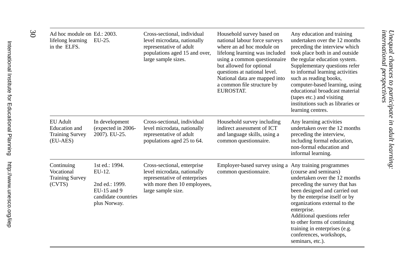| $\infty$ | Ad hoc module on Ed.: 2003.<br>lifelong learning<br>in the ELFS.       | EU-25.                                                                                           | Cross-sectional, individual<br>level microdata, nationally<br>representative of adult<br>populations aged 15 and over,<br>large sample sizes.     | Household survey based on<br>national labour force surveys<br>where an ad hoc module on<br>lifelong learning was included<br>using a common questionnaire<br>but allowed for optional<br>questions at national level.<br>National data are mapped into<br>a common file structure by<br>EUROSTAT. | Any education and training<br>undertaken over the 12 months<br>preceding the interview which<br>took place both in and outside<br>the regular education system.<br>Supplementary questions refer<br>to informal learning activities<br>such as reading books,<br>computer-based learning, using<br>educational broadcast material<br>(tapes etc.) and visiting<br>institutions such as libraries or<br>learning centres. | international perspectives<br>Unequal chances to participate in adult learning. |
|----------|------------------------------------------------------------------------|--------------------------------------------------------------------------------------------------|---------------------------------------------------------------------------------------------------------------------------------------------------|---------------------------------------------------------------------------------------------------------------------------------------------------------------------------------------------------------------------------------------------------------------------------------------------------|--------------------------------------------------------------------------------------------------------------------------------------------------------------------------------------------------------------------------------------------------------------------------------------------------------------------------------------------------------------------------------------------------------------------------|---------------------------------------------------------------------------------|
|          | <b>EU</b> Adult<br>Education and<br><b>Training Survey</b><br>(EU-AES) | In development<br>(expected in 2006-<br>2007). EU-25.                                            | Cross-sectional, individual<br>level microdata, nationally<br>representative of adult<br>populations aged 25 to 64.                               | Household survey including<br>indirect assessment of ICT<br>and language skills, using a<br>common questionnaire.                                                                                                                                                                                 | Any learning activities<br>undertaken over the 12 months<br>preceding the interview,<br>including formal education,<br>non-formal education and<br>informal learning.                                                                                                                                                                                                                                                    |                                                                                 |
|          | Continuing<br>Vocational<br><b>Training Survey</b><br>(CVTS)           | 1st ed.: 1994.<br>EU-12.<br>2nd ed.: 1999.<br>EU-15 and 9<br>candidate countries<br>plus Norway. | Cross-sectional, enterprise<br>level microdata, nationally<br>representative of enterprises<br>with more then 10 employees,<br>large sample size. | Employer-based survey using a Any training programmes<br>common questionnaire.                                                                                                                                                                                                                    | (course and seminars)<br>undertaken over the 12 months<br>preceding the survey that has<br>been designed and carried out<br>by the enterprise itself or by<br>organizations external to the<br>enterprise.<br>Additional questions refer<br>to other forms of continuing<br>training in enterprises (e.g.<br>conferences, workshops,<br>seminars, etc.).                                                                 |                                                                                 |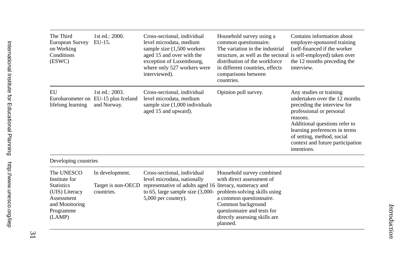| The Third<br>European Survey<br>on Working<br>Conditions<br>(ESWC)                                                        | 1st ed.: $2000$ .<br>EU-15.                         | Cross-sectional, individual<br>level microdata, medium<br>sample size (1,500 workers)<br>aged 15 and over with the<br>exception of Luxembourg,<br>where only 527 workers were<br>interviewed). | Household survey using a<br>common questionnaire.<br>The variation in the industrial<br>structure, as well as the sectoral<br>distribution of the workforce<br>in different countries, effects<br>comparisons between<br>countries. | Contains information about<br>employer-sponsored training<br>(self-financed if the worker<br>is self-employed) taken over<br>the 12 months preceding the<br>interview.                                                                                                             |
|---------------------------------------------------------------------------------------------------------------------------|-----------------------------------------------------|------------------------------------------------------------------------------------------------------------------------------------------------------------------------------------------------|-------------------------------------------------------------------------------------------------------------------------------------------------------------------------------------------------------------------------------------|------------------------------------------------------------------------------------------------------------------------------------------------------------------------------------------------------------------------------------------------------------------------------------|
| EU<br>Eurobarometer on<br>lifelong learning                                                                               | 1st ed.: 2003.<br>EU-15 plus Iceland<br>and Norway. | Cross-sectional, individual<br>level microdata, medium<br>sample size (1,000 individuals<br>aged 15 and upward).                                                                               | Opinion poll survey.                                                                                                                                                                                                                | Any studies or training<br>undertaken over the 12 months<br>preceding the interview for<br>professional or personal<br>reasons.<br>Additional questions refer to<br>learning preferences in terms<br>of setting, method, social<br>context and future participation<br>intentions. |
| Developing countries                                                                                                      |                                                     |                                                                                                                                                                                                |                                                                                                                                                                                                                                     |                                                                                                                                                                                                                                                                                    |
| The UNESCO<br>Institute for<br><b>Statistics</b><br>(UIS) Literacy<br>Assessment<br>and Monitoring<br>Programme<br>(LAMP) | In development.<br>Target is non-OECD<br>countries. | Cross-sectional, individual<br>level microdata, nationally<br>representative of adults aged 16 literacy, numeracy and<br>to $65$ , large sample size $(3,000 -$<br>$5,000$ per country).       | Household survey combined<br>with direct assessment of<br>problem-solving skills using<br>a common questionnaire.<br>Common background<br>questionnaire and tests for<br>directly assessing skills are.<br>planned.                 |                                                                                                                                                                                                                                                                                    |

31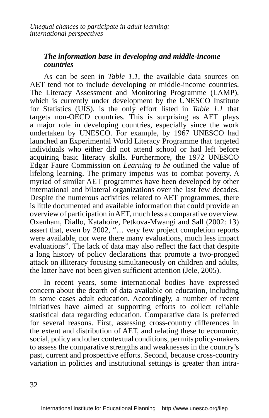#### *The information base in developing and middle-income countries*

As can be seen in *Table 1.1*, the available data sources on AET tend not to include developing or middle-income countries. The Literacy Assessment and Monitoring Programme (LAMP), which is currently under development by the UNESCO Institute for Statistics (UIS), is the only effort listed in *Table 1.1* that targets non-OECD countries. This is surprising as AET plays a major role in developing countries, especially since the work undertaken by UNESCO. For example, by 1967 UNESCO had launched an Experimental World Literacy Programme that targeted individuals who either did not attend school or had left before acquiring basic literacy skills. Furthermore, the 1972 UNESCO Edgar Faure Commission on *Learning to be* outlined the value of lifelong learning. The primary impetus was to combat poverty. A myriad of similar AET programmes have been developed by other international and bilateral organizations over the last few decades. Despite the numerous activities related to AET programmes, there is little documented and available information that could provide an overview of participation in AET, much less a comparative overview. Oxenham, Diallo, Katahoire, Petkova-Mwangi and Sall (2002: 13) assert that, even by 2002, "… very few project completion reports were available, nor were there many evaluations, much less impact evaluations". The lack of data may also reflect the fact that despite a long history of policy declarations that promote a two-pronged attack on illiteracy focusing simultaneously on children and adults, the latter have not been given sufficient attention (Jele, 2005).

In recent years, some international bodies have expressed concern about the dearth of data available on education, including in some cases adult education. Accordingly, a number of recent initiatives have aimed at supporting efforts to collect reliable statistical data regarding education. Comparative data is preferred for several reasons. First, assessing cross-country differences in the extent and distribution of AET, and relating these to economic, social, policy and other contextual conditions, permits policy-makers to assess the comparative strengths and weaknesses in the country's past, current and prospective efforts. Second, because cross-country variation in policies and institutional settings is greater than intra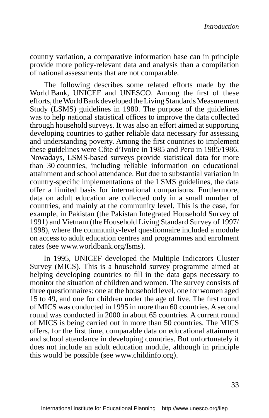country variation, a comparative information base can in principle provide more policy-relevant data and analysis than a compilation of national assessments that are not comparable.

The following describes some related efforts made by the World Bank, UNICEF and UNESCO. Among the first of these efforts, the World Bank developed the Living Standards Measurement Study (LSMS) guidelines in 1980. The purpose of the guidelines was to help national statistical offices to improve the data collected through household surveys. It was also an effort aimed at supporting developing countries to gather reliable data necessary for assessing and understanding poverty. Among the first countries to implement these guidelines were Côte d'Ivoire in 1985 and Peru in 1985/1986. Nowadays, LSMS-based surveys provide statistical data for more than 30 countries, including reliable information on educational attainment and school attendance. But due to substantial variation in country-specific implementations of the LSMS guidelines, the data offer a limited basis for international comparisons. Furthermore, data on adult education are collected only in a small number of countries, and mainly at the community level. This is the case, for example, in Pakistan (the Pakistan Integrated Household Survey of 1991) and Vietnam (the Household Living Standard Survey of 1997/ 1998), where the community-level questionnaire included a module on access to adult education centres and programmes and enrolment rates (see [www.worldbank.org/Ism](http://www.worldbank.org/Isms)s).

In 1995, UNICEF developed the Multiple Indicators Cluster Survey (MICS). This is a household survey programme aimed at helping developing countries to fill in the data gaps necessary to monitor the situation of children and women. The survey consists of three questionnaires: one at the household level, one for women aged 15 to 49, and one for children under the age of five. The first round of MICS was conducted in 1995 in more than 60 countries. A second round was conducted in 2000 in about 65 countries. A current round of MICS is being carried out in more than 50 countries. The MICS offers, for the first time, comparable data on educational attainment and school attendance in developing countries. But unfortunately it does not include an adult education module, although in principle this would be possible (see [www.childinfo.org\).](http://www.childinfo.org)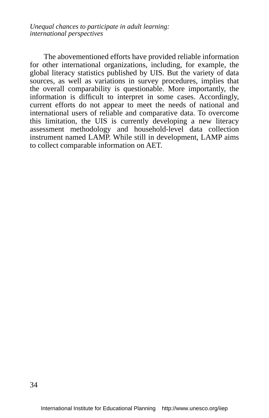*Unequal chances to participate in adult learning: international perspectives*

The abovementioned efforts have provided reliable information for other international organizations, including, for example, the global literacy statistics published by UIS. But the variety of data sources, as well as variations in survey procedures, implies that the overall comparability is questionable. More importantly, the information is difficult to interpret in some cases. Accordingly, current efforts do not appear to meet the needs of national and international users of reliable and comparative data. To overcome this limitation, the UIS is currently developing a new literacy assessment methodology and household-level data collection instrument named LAMP. While still in development, LAMP aims to collect comparable information on AET.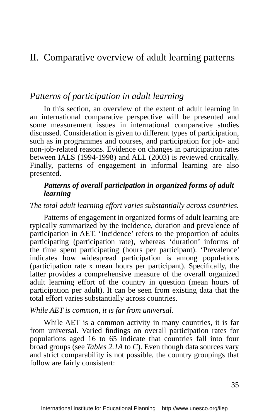## <span id="page-32-0"></span>II. Comparative overview of adult learning patterns

#### *Patterns of participation in adult learning*

In this section, an overview of the extent of adult learning in an international comparative perspective will be presented and some measurement issues in international comparative studies discussed. Consideration is given to different types of participation, such as in programmes and courses, and participation for job- and non-job-related reasons. Evidence on changes in participation rates between IALS (1994-1998) and ALL (2003) is reviewed critically. Finally, patterns of engagement in informal learning are also presented.

#### *Patterns of overall participation in organized forms of adult learning*

#### *The total adult learning effort varies substantially across countries.*

Patterns of engagement in organized forms of adult learning are typically summarized by the incidence, duration and prevalence of participation in AET. 'Incidence' refers to the proportion of adults participating (participation rate), whereas 'duration' informs of the time spent participating (hours per participant). 'Prevalence' indicates how widespread participation is among populations (participation rate  $x$  mean hours per participant). Specifically, the latter provides a comprehensive measure of the overall organized adult learning effort of the country in question (mean hours of participation per adult). It can be seen from existing data that the total effort varies substantially across countries.

#### *While AET is common, it is far from universal.*

While AET is a common activity in many countries, it is far from universal. Varied findings on overall participation rates for populations aged 16 to 65 indicate that countries fall into four broad groups (see *Tables 2.1A* to *C*). Even though data sources vary and strict comparability is not possible, the country groupings that follow are fairly consistent: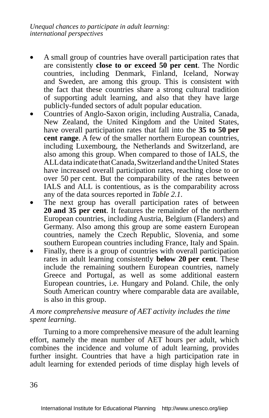*Unequal chances to participate in adult learning: international perspectives*

- A small group of countries have overall participation rates that are consistently **close to or exceed 50 per cent**. The Nordic countries, including Denmark, Finland, Iceland, Norway and Sweden, are among this group. This is consistent with the fact that these countries share a strong cultural tradition of supporting adult learning, and also that they have large publicly-funded sectors of adult popular education.
- Countries of Anglo-Saxon origin, including Australia, Canada, New Zealand, the United Kingdom and the United States, have overall participation rates that fall into the **35 to 50 per cent range**. A few of the smaller northern European countries, including Luxembourg, the Netherlands and Switzerland, are also among this group. When compared to those of IALS, the ALL data indicate that Canada, Switzerland and the United States have increased overall participation rates, reaching close to or over 50 per cent. But the comparability of the rates between IALS and ALL is contentious, as is the comparability across any of the data sources reported in *Table 2.1*.
- The next group has overall participation rates of between **20 and 35 per cent**. It features the remainder of the northern European countries, including Austria, Belgium (Flanders) and Germany. Also among this group are some eastern European countries, namely the Czech Republic, Slovenia, and some southern European countries including France, Italy and Spain.
- Finally, there is a group of countries with overall participation rates in adult learning consistently **below 20 per cent**. These include the remaining southern European countries, namely Greece and Portugal, as well as some additional eastern European countries, i.e. Hungary and Poland. Chile, the only South American country where comparable data are available, is also in this group.

#### *A more comprehensive measure of AET activity includes the time spent learning.*

Turning to a more comprehensive measure of the adult learning effort, namely the mean number of AET hours per adult, which combines the incidence and volume of adult learning, provides further insight. Countries that have a high participation rate in adult learning for extended periods of time display high levels of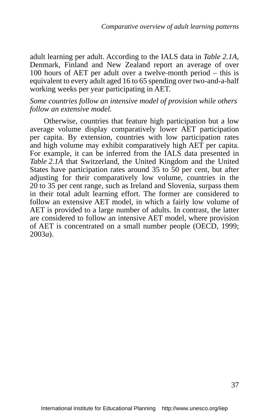adult learning per adult. According to the IALS data in *Table 2.1A*, Denmark, Finland and New Zealand report an average of over 100 hours of AET per adult over a twelve-month period – this is equivalent to every adult aged 16 to 65 spending over two-and-a-half working weeks per year participating in AET.

#### *Some countries follow an intensive model of provision while others follow an extensive model.*

Otherwise, countries that feature high participation but a low average volume display comparatively lower AET participation per capita. By extension, countries with low participation rates and high volume may exhibit comparatively high AET per capita. For example, it can be inferred from the IALS data presented in *Table 2.1A* that Switzerland, the United Kingdom and the United States have participation rates around 35 to 50 per cent, but after adjusting for their comparatively low volume, countries in the 20 to 35 per cent range, such as Ireland and Slovenia, surpass them in their total adult learning effort. The former are considered to follow an extensive AET model, in which a fairly low volume of AET is provided to a large number of adults. In contrast, the latter are considered to follow an intensive AET model, where provision of AET is concentrated on a small number people (OECD, 1999; 2003*a*).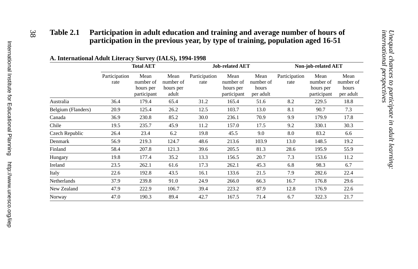|                    | A. International Adult Literacy Survey (IALS), 1994-1998 | <b>Total AET</b>                              |                                         | <b>Job-related AET</b> |                                               |                                         | Non-job-related AET   |                                               |                                         |
|--------------------|----------------------------------------------------------|-----------------------------------------------|-----------------------------------------|------------------------|-----------------------------------------------|-----------------------------------------|-----------------------|-----------------------------------------------|-----------------------------------------|
|                    | Participation<br>rate                                    | Mean<br>number of<br>hours per<br>participant | Mean<br>number of<br>hours per<br>adult | Participation<br>rate  | Mean<br>number of<br>hours per<br>participant | Mean<br>number of<br>hours<br>per adult | Participation<br>rate | Mean<br>number of<br>hours per<br>participant | Mean<br>number of<br>hours<br>per adult |
| Australia          | 36.4                                                     | 179.4                                         | 65.4                                    | 31.2                   | 165.4                                         | 51.6                                    | 8.2                   | 229.5                                         | 18.8                                    |
| Belgium (Flanders) | 20.9                                                     | 125.4                                         | 26.2                                    | 12.5                   | 103.7                                         | 13.0                                    | 8.1                   | 90.7                                          | 7.3                                     |
| Canada             | 36.9                                                     | 230.8                                         | 85.2                                    | 30.0                   | 236.1                                         | 70.9                                    | 9.9                   | 179.9                                         | 17.8                                    |
| Chile              | 19.5                                                     | 235.7                                         | 45.9                                    | 11.2                   | 157.0                                         | 17.5                                    | 9.2                   | 330.1                                         | 30.3                                    |
| Czech Republic     | 26.4                                                     | 23.4                                          | 6.2                                     | 19.8                   | 45.5                                          | 9.0                                     | 8.0                   | 83.2                                          | 6.6                                     |
| Denmark            | 56.9                                                     | 219.3                                         | 124.7                                   | 48.6                   | 213.6                                         | 103.9                                   | 13.0                  | 148.5                                         | 19.2                                    |
| Finland            | 58.4                                                     | 207.8                                         | 121.3                                   | 39.6                   | 205.5                                         | 81.3                                    | 28.6                  | 195.9                                         | 55.9                                    |
| Hungary            | 19.8                                                     | 177.4                                         | 35.2                                    | 13.3                   | 156.5                                         | 20.7                                    | 7.3                   | 153.6                                         | 11.2                                    |
| Ireland            | 23.5                                                     | 262.1                                         | 61.6                                    | 17.3                   | 262.1                                         | 45.3                                    | 6.8                   | 98.3                                          | 6.7                                     |
| Italy              | 22.6                                                     | 192.8                                         | 43.5                                    | 16.1                   | 133.6                                         | 21.5                                    | 7.9                   | 282.6                                         | 22.4                                    |
| Netherlands        | 37.9                                                     | 239.8                                         | 91.0                                    | 24.9                   | 266.0                                         | 66.3                                    | 16.7                  | 176.8                                         | 29.6                                    |
| New Zealand        | 47.9                                                     | 222.9                                         | 106.7                                   | 39.4                   | 223.2                                         | 87.9                                    | 12.8                  | 176.9                                         | 22.6                                    |
| Norway             | 47.0                                                     | 190.3                                         | 89.4                                    | 42.7                   | 167.5                                         | 71.4                                    | 6.7                   | 322.3                                         | 21.7                                    |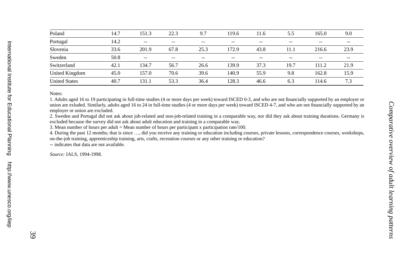| Poland               | 14.7 | 151.3                                                 | 22.3  | 9.7   | 119.6 | 11.6  | 5.5   | 165.0 | 9.0   |
|----------------------|------|-------------------------------------------------------|-------|-------|-------|-------|-------|-------|-------|
| Portugal             | 14.2 | $\hspace{0.05cm} - \hspace{0.05cm} - \hspace{0.05cm}$ | $- -$ | $- -$ | $- -$ | $- -$ | $- -$ | $- -$ | $- -$ |
| Slovenia             | 33.6 | 201.9                                                 | 67.8  | 25.3  | 172.9 | 43.8  | 11.1  | 216.6 | 23.9  |
| Sweden               | 50.8 | $- -$                                                 | $- -$ | $- -$ | $- -$ | $- -$ | $- -$ | $- -$ | $- -$ |
| Switzerland          | 42.1 | 134.7                                                 | 56.7  | 26.6  | 139.9 | 37.3  | 19.7  | 111.2 | 21.9  |
| United Kingdom       | 45.0 | 157.0                                                 | 70.6  | 39.6  | 140.9 | 55.9  | 9.8   | 162.8 | 15.9  |
| <b>United States</b> | 40.7 | 131.1                                                 | 53.3  | 36.4  | 128.3 | 46.6  | 6.3   | 114.6 | 7.3   |

#### Notes:

1. Adults aged 16 to 19 participating in full-time studies (4 or more days per week) toward ISCED 0-3, and who are not financially supported by an employer or union are exluded. Similarly, adults aged 16 to 24 in full-time studies (4 or more days per week) toward ISCED 4-7, and who are not financially supported by an employer or union are excluded.

2. Sweden and Portugal did not ask about job-related and non-job-related training in a comparable way, nor did they ask about training durations. Germany is excluded because the survey did not ask about adult education and training in a comparable way.

3. Mean number of hours per adult = Mean number of hours per participant x participation rate/100.

4. During the past 12 months; that is since …, did you receive any training or education including courses, private lessons, correspondence courses, workshops, on-the-job training, apprenticeship training, arts, crafts, recreation courses or any other training or education?

-- indicates that data are not available.

*Source:* IALS, 1994-1998.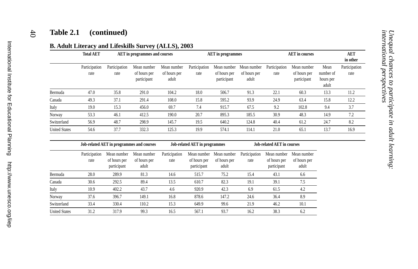# $\ddot{\sigma}$

|                      | <b>Total AET</b>      |                                            | <b>AET</b> in programmes and courses       |                                      |                                            | <b>AET</b> in programmes                   |                                      |                                            | <b>AET</b> in courses                      |                                         | AET<br>in other       |
|----------------------|-----------------------|--------------------------------------------|--------------------------------------------|--------------------------------------|--------------------------------------------|--------------------------------------------|--------------------------------------|--------------------------------------------|--------------------------------------------|-----------------------------------------|-----------------------|
|                      | Participation<br>rate | Participation<br>rate                      | Mean number<br>of hours per<br>participant | Mean number<br>of hours per<br>adult | Participation<br>rate                      | Mean number<br>of hours per<br>participant | Mean number<br>of hours per<br>adult | Participation<br>rate                      | Mean number<br>of hours per<br>participant | Mean<br>number of<br>hours per<br>adult | Participation<br>rate |
| Bermuda              | 47.0                  | 35.8                                       | 291.0                                      | 104.2                                | 18.0                                       | 506.7                                      | 91.3                                 | 22.1                                       | 60.3                                       | 13.3                                    | 11.2                  |
| Canada               | 49.3                  | 37.1                                       | 291.4                                      | 108.0                                | 15.8                                       | 595.2                                      | 93.9                                 | 24.9                                       | 63.4                                       | 15.8                                    | 12.2                  |
| Italy                | 19.0                  | 15.3                                       | 456.0                                      | 69.7                                 | 7.4                                        | 915.7                                      | 67.5                                 | 9.2                                        | 102.8                                      | 9.4                                     | 3.7                   |
| Norway               | 53.3                  | 46.1                                       | 412.5                                      | 190.0                                | 20.7                                       | 895.3                                      | 185.5                                | 30.9                                       | 48.3                                       | 14.9                                    | 7.2                   |
| Switzerland          | 56.9                  | 48.7                                       | 298.9                                      | 145.7                                | 19.5                                       | 640.2                                      | 124.8                                | 40.4                                       | 61.2                                       | 24.7                                    | 8.2                   |
| <b>United States</b> | 54.6                  | 37.7                                       | 332.3                                      | 125.3                                | 19.9                                       | 574.1                                      | 114.1                                | 21.0                                       | 65.1                                       | 13.7                                    | 16.9                  |
|                      |                       |                                            | Job-related AET in programmes and courses  |                                      | <b>Job-related AET</b> in programmes       |                                            |                                      | <b>Job-related AET in courses</b>          |                                            |                                         |                       |
|                      | Participation<br>rate | Mean number<br>of hours per<br>participant | Mean number<br>of hours per<br>adult       | Participation<br>rate                | Mean number<br>of hours per<br>participant | Mean number<br>of hours per<br>adult       | Participation<br>rate                | Mean number<br>of hours per<br>participant | Mean number<br>of hours per<br>adult       |                                         |                       |

|                      |                       | Job-related AET in programmes and courses  |                                      |                       | <b>Job-related AET</b> in programmes       |                                      |                       | <b>Job-related AET in courses</b>          |                                      |
|----------------------|-----------------------|--------------------------------------------|--------------------------------------|-----------------------|--------------------------------------------|--------------------------------------|-----------------------|--------------------------------------------|--------------------------------------|
|                      | Participation<br>rate | Mean number<br>of hours per<br>participant | Mean number<br>of hours per<br>adult | Participation<br>rate | Mean number<br>of hours per<br>participant | Mean number<br>of hours per<br>adult | Participation<br>rate | Mean number<br>of hours per<br>participant | Mean number<br>of hours per<br>adult |
| Bermuda              | 28.0                  | 289.9                                      | 81.3                                 | 14.6                  | 515.7                                      | 75.2                                 | 15.4                  | 43.1                                       | 6.6                                  |
| Canada               | 30.6                  | 292.5                                      | 89.4                                 | 13.5                  | 610.7                                      | 82.3                                 | 19.1                  | 39.1                                       | 7.5                                  |
| Italy                | 10.9                  | 402.2                                      | 43.7                                 | 4.6                   | 920.9                                      | 42.3                                 | 6.9                   | 61.5                                       | 4.2                                  |
| Norway               | 37.6                  | 396.7                                      | 149.1                                | 16.8                  | 878.6                                      | 147.2                                | 24.6                  | 36.4                                       | 8.9                                  |
| Switzerland          | 33.4                  | 330.4                                      | 110.2                                | 15.3                  | 649.9                                      | 99.6                                 | 21.9                  | 46.2                                       | 10.1                                 |
| <b>United States</b> | 31.2                  | 317.9                                      | 99.3                                 | 16.5                  | 567.1                                      | 93.7                                 | 16.2                  | 38.3                                       | 6.2                                  |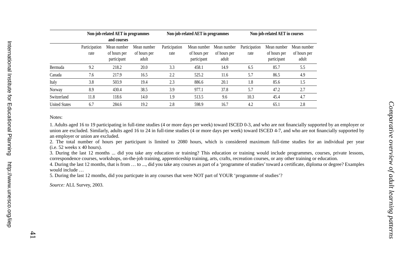|                      |                       | Non-job-related AET in programmes<br>and courses |                                      |                       | Non-job-related AET in programmes          |                                      |                       | Non-job-related AET in courses             |                                      |
|----------------------|-----------------------|--------------------------------------------------|--------------------------------------|-----------------------|--------------------------------------------|--------------------------------------|-----------------------|--------------------------------------------|--------------------------------------|
|                      | Participation<br>rate | Mean number<br>of hours per<br>participant       | Mean number<br>of hours per<br>adult | Participation<br>rate | Mean number<br>of hours per<br>participant | Mean number<br>of hours per<br>adult | Participation<br>rate | Mean number<br>of hours per<br>participant | Mean number<br>of hours per<br>adult |
| Bermuda              | 9.2                   | 218.2                                            | 20.0                                 | 3.3                   | 458.1                                      | 14.9                                 | 6.5                   | 85.7                                       | 5.5                                  |
| Canada               | 7.6                   | 217.9                                            | 16.5                                 | 2.2                   | 525.2                                      | 11.6                                 | 5.7                   | 86.5                                       | 4.9                                  |
| Italy                | 3.8                   | 503.9                                            | 19.4                                 | 2.3                   | 886.6                                      | 20.1                                 | 1.8                   | 85.6                                       | 1.5                                  |
| Norway               | 8.9                   | 430.4                                            | 38.5                                 | 3.9                   | 977.1                                      | 37.8                                 | 5.7                   | 47.2                                       | 2.7                                  |
| Switzerland          | 11.8                  | 118.6                                            | 14.0                                 | 1.9                   | 513.5                                      | 9.6                                  | 10.3                  | 45.4                                       | 4.7                                  |
| <b>United States</b> | 6.7                   | 284.6                                            | 19.2                                 | 2.8                   | 598.9                                      | 16.7                                 | 4.2                   | 65.1                                       | 2.8                                  |

Notes:

1. Adults aged 16 to 19 participating in full-time studies (4 or more days per week) toward ISCED 0-3, and who are not financially supported by an employer or union are excluded. Similarly, adults aged 16 to 24 in full-time studies (4 or more days per week) toward ISCED 4-7, and who are not financially supported by an employer or union are excluded.

2. The total number of hours per participant is limited to 2080 hours, which is considered maximum full-time studies for an individual per year (i.e. 52 weeks x 40 hours).

3. During the last 12 months ... did you take any education or training? This education or training would include programmes, courses, private lessons, correspondence courses, workshops, on-the-job training, apprenticeship training, arts, crafts, recreation courses, or any other training or education.

4. During the last 12 months, that is from ... to ..., did you take any courses as part of a 'programme of studies' toward a certificate, diploma or degree? Examples would include …

5. During the last 12 months, did you particpate in any courses that were NOT part of YOUR 'programme of studies'?

*Source:* ALL Survey, 2003.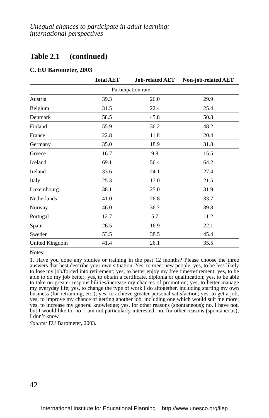# **Table 2.1 (continued)**

#### **C. EU Barometer, 2003**

|                | <b>Total AET</b> | <b>Job-related AET</b> | Non-job-related AET |
|----------------|------------------|------------------------|---------------------|
|                |                  | Participation rate     |                     |
| Austria        | 39.3             | 26.0                   | 29.9                |
| Belgium        | 31.5             | 22.4                   | 25.4                |
| Denmark        | 58.5             | 45.8                   | 50.8                |
| Finland        | 55.9             | 36.2                   | 48.2                |
| France         | 22.8             | 11.8                   | 20.4                |
| Germany        | 35.0             | 18.9                   | 31.8                |
| Greece         | 16.7             | 9.8                    | 15.5                |
| Iceland        | 69.1             | 56.4                   | 64.2                |
| Ireland        | 33.6             | 24.1                   | 27.4                |
| Italy          | 25.3             | 17.0                   | 21.5                |
| Luxembourg     | 38.1             | 25.0                   | 31.9                |
| Netherlands    | 41.0             | 26.8                   | 33.7                |
| Norway         | 46.0             | 36.7                   | 39.8                |
| Portugal       | 12.7             | 5.7                    | 11.2                |
| Spain          | 26.5             | 16.9                   | 22.1                |
| Sweden<br>53.5 |                  | 38.5                   | 45.4                |
| United Kingdom | 41.4             | 26.1                   | 35.5                |

Notes:

1. Have you done any studies or training in the past 12 months? Please choose the three answers that best describe your own situation: Yes, to meet new people; yes, to be less likely to lose my job/forced into retirement; yes, to better enjoy my free time/retirement; yes, to be able to do my job better; yes, to obtain a certificate, diploma or qualification; yes, to be able to take on greater responsibilities/increase my chances of promotion; yes, to better manage my everyday life; yes, to change the type of work I do altogether, including starting my own business (for retraining, etc.); yes, to achieve greater personal satisfaction; yes, to get a job; yes, to improve my chance of getting another job, including one which would suit me more; yes, to increase my general knowledge; yes, for other reasons (spontaneous); no, I have not, but I would like to; no, I am not particularly interested; no, for other reasons (spontaneous); I don't know.

*Source:* EU Barometer, 2003.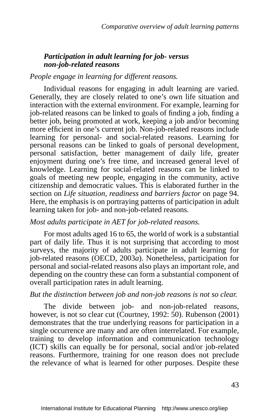# *Participation in adult learning for job- versus non-job-related reasons*

# *People engage in learning for different reasons.*

Individual reasons for engaging in adult learning are varied. Generally, they are closely related to one's own life situation and interaction with the external environment. For example, learning for job-related reasons can be linked to goals of finding a job, finding a better job, being promoted at work, keeping a job and/or becoming more efficient in one's current job. Non-job-related reasons include learning for personal- and social-related reasons. Learning for personal reasons can be linked to goals of personal development, personal satisfaction, better management of daily life, greater enjoyment during one's free time, and increased general level of knowledge. Learning for social-related reasons can be linked to goals of meeting new people, engaging in the community, active citizenship and democratic values. This is elaborated further in the section on *Life situation, readiness and barriers factor* on page 94. Here, the emphasis is on portraying patterns of participation in adult learning taken for job- and non-job-related reasons.

# *Most adults participate in AET for job-related reasons.*

For most adults aged 16 to 65, the world of work is a substantial part of daily life. Thus it is not surprising that according to most surveys, the majority of adults participate in adult learning for job-related reasons (OECD, 2003*a*). Nonetheless, participation for personal and social-related reasons also plays an important role, and depending on the country these can form a substantial component of overall participation rates in adult learning.

# *But the distinction between job and non-job reasons is not so clear.*

The divide between job- and non-job-related reasons, however, is not so clear cut (Courtney, 1992:  $\dot{5}0$ ). Rubenson (2001) demonstrates that the true underlying reasons for participation in a single occurrence are many and are often interrelated. For example, training to develop information and communication technology (ICT) skills can equally be for personal, social and/or job-related reasons. Furthermore, training for one reason does not preclude the relevance of what is learned for other purposes. Despite these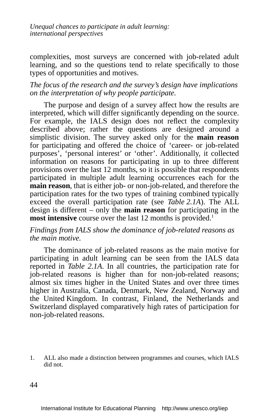complexities, most surveys are concerned with job-related adult learning, and so the questions tend to relate specifically to those types of opportunities and motives.

### *The focus of the research and the survey's design have implications on the interpretation of why people participate.*

The purpose and design of a survey affect how the results are interpreted, which will differ significantly depending on the source. For example, the IALS design does not reflect the complexity described above; rather the questions are designed around a simplistic division. The survey asked only for the **main reason** for participating and offered the choice of 'career- or job-related purposes', 'personal interest' or 'other'. Additionally, it collected information on reasons for participating in up to three different provisions over the last 12 months, so it is possible that respondents participated in multiple adult learning occurrences each for the **main reason**, that is either job- or non-job-related, and therefore the participation rates for the two types of training combined typically exceed the overall participation rate (see *Table 2.1A*). The ALL design is different – only the **main reason** for participating in the **most intensive** course over the last 12 months is provided.<sup>1</sup>

## *Findings from IALS show the dominance of job-related reasons as the main motive.*

The dominance of job-related reasons as the main motive for participating in adult learning can be seen from the IALS data reported in *Table 2.1A*. In all countries, the participation rate for job-related reasons is higher than for non-job-related reasons; almost six times higher in the United States and over three times higher in Australia, Canada, Denmark, New Zealand, Norway and the United Kingdom. In contrast, Finland, the Netherlands and Switzerland displayed comparatively high rates of participation for non-job-related reasons.

<sup>1.</sup> ALL also made a distinction between programmes and courses, which IALS did not.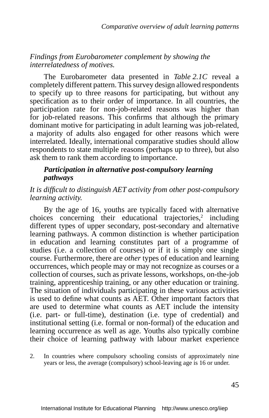# *Findings from Eurobarometer complement by showing the interrelatedness of motives.*

The Eurobarometer data presented in *Table 2.1C* reveal a completely different pattern. This survey design allowed respondents to specify up to three reasons for participating, but without any specification as to their order of importance. In all countries, the participation rate for non-job-related reasons was higher than for job-related reasons. This confirms that although the primary dominant motive for participating in adult learning was job-related, a majority of adults also engaged for other reasons which were interrelated. Ideally, international comparative studies should allow respondents to state multiple reasons (perhaps up to three), but also ask them to rank them according to importance.

#### *Participation in alternative post-compulsory learning pathways*

#### *It is diffi cult to distinguish AET activity from other post-compulsory learning activity.*

By the age of 16, youths are typically faced with alternative choices concerning their educational trajectories, $2$  including different types of upper secondary, post-secondary and alternative learning pathways. A common distinction is whether participation in education and learning constitutes part of a programme of studies (i.e. a collection of courses) or if it is simply one single course. Furthermore, there are *other* types of education and learning occurrences, which people may or may not recognize as courses or a collection of courses, such as private lessons, workshops, on-the-job training, apprenticeship training, or any other education or training. The situation of individuals participating in these various activities is used to define what counts as AET. Other important factors that are used to determine what counts as AET include the intensity (i.e. part- or full-time), destination (i.e. type of credential) and institutional setting (i.e. formal or non-formal) of the education and learning occurrence as well as age. Youths also typically combine their choice of learning pathway with labour market experience

#### 2. In countries where compulsory schooling consists of approximately nine years or less, the average (compulsory) school-leaving age is 16 or under.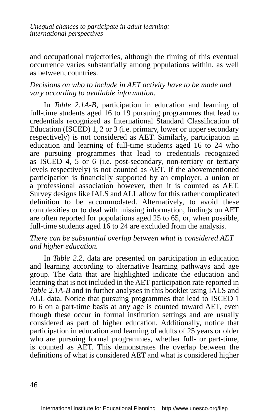and occupational trajectories, although the timing of this eventual occurrence varies substantially among populations within, as well as between, countries.

## *Decisions on who to include in AET activity have to be made and vary according to available information.*

In *Table 2.1A-B*, participation in education and learning of full-time students aged 16 to 19 pursuing programmes that lead to credentials recognized as International Standard Classification of Education (ISCED) 1, 2 or 3 (i.e. primary, lower or upper secondary respectively) is not considered as AET. Similarly, participation in education and learning of full-time students aged 16 to 24 who are pursuing programmes that lead to credentials recognized as ISCED 4, 5 or 6 (i.e. post-secondary, non-tertiary or tertiary levels respectively) is not counted as AET. If the abovementioned participation is financially supported by an employer, a union or a professional association however, then it is counted as AET. Survey designs like IALS and ALL allow for this rather complicated definition to be accommodated. Alternatively, to avoid these complexities or to deal with missing information, findings on AET are often reported for populations aged 25 to 65, or, when possible, full-time students aged 16 to 24 are excluded from the analysis.

#### *There can be substantial overlap between what is considered AET and higher education.*

In *Table 2.2*, data are presented on participation in education and learning according to alternative learning pathways and age group. The data that are highlighted indicate the education and learning that is not included in the AET participation rate reported in *Table 2.1A-B* and in further analyses in this booklet using IALS and ALL data. Notice that pursuing programmes that lead to ISCED 1 to 6 on a part-time basis at any age is counted toward AET, even though these occur in formal institution settings and are usually considered as part of higher education. Additionally, notice that participation in education and learning of adults of 25 years or older who are pursuing formal programmes, whether full- or part-time, is counted as AET. This demonstrates the overlap between the definitions of what is considered AET and what is considered higher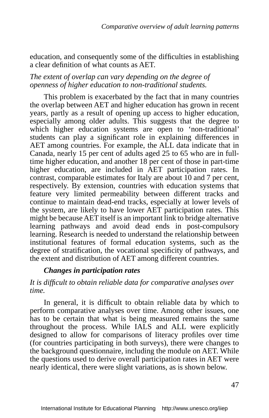education, and consequently some of the difficulties in establishing a clear definition of what counts as AET.

# *The extent of overlap can vary depending on the degree of openness of higher education to non-traditional students.*

This problem is exacerbated by the fact that in many countries the overlap between AET and higher education has grown in recent years, partly as a result of opening up access to higher education, especially among older adults. This suggests that the degree to which higher education systems are open to 'non-traditional' students can play a significant role in explaining differences in AET among countries. For example, the ALL data indicate that in Canada, nearly 15 per cent of adults aged 25 to 65 who are in fulltime higher education, and another 18 per cent of those in part-time higher education, are included in AET participation rates. In contrast, comparable estimates for Italy are about 10 and 7 per cent, respectively. By extension, countries with education systems that feature very limited permeability between different tracks and continue to maintain dead-end tracks, especially at lower levels of the system, are likely to have lower AET participation rates. This might be because AET itself is an important link to bridge alternative learning pathways and avoid dead ends in post-compulsory learning. Research is needed to understand the relationship between institutional features of formal education systems, such as the degree of stratification, the vocational specificity of pathways, and the extent and distribution of AET among different countries.

# *Changes in participation rates*

# *It is diffi cult to obtain reliable data for comparative analyses over time.*

In general, it is difficult to obtain reliable data by which to perform comparative analyses over time. Among other issues, one has to be certain that what is being measured remains the same throughout the process. While IALS and ALL were explicitly designed to allow for comparisons of literacy profiles over time (for countries participating in both surveys), there were changes to the background questionnaire, including the module on AET. While the questions used to derive overall participation rates in AET were nearly identical, there were slight variations, as is shown below.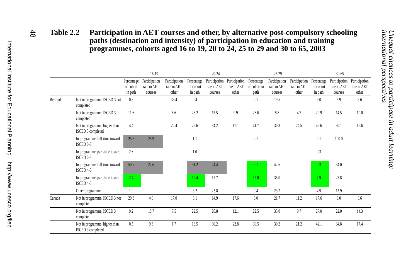| Table 2.2 | Participation in AET courses and other, by alternative post-compulsory schooling<br>paths (destination and intensity) of participation in education and training<br>programmes, cohorts aged 16 to 19, 20 to 24, 25 to 29 and 30 to 65, 2003 |                                    |                                         |                                       |                                    |                                         |                                       |                                    |                                         |                                       |                                    |                                         |                                       |
|-----------|----------------------------------------------------------------------------------------------------------------------------------------------------------------------------------------------------------------------------------------------|------------------------------------|-----------------------------------------|---------------------------------------|------------------------------------|-----------------------------------------|---------------------------------------|------------------------------------|-----------------------------------------|---------------------------------------|------------------------------------|-----------------------------------------|---------------------------------------|
|           |                                                                                                                                                                                                                                              |                                    | $16-19$                                 |                                       |                                    | $20 - 24$                               |                                       |                                    | 25-29                                   |                                       |                                    | $30 - 65$                               |                                       |
|           |                                                                                                                                                                                                                                              | Percentage<br>of cohort<br>in path | Participation<br>rate in AET<br>courses | Participation<br>rate in AET<br>other | Percentage<br>of cohort<br>in path | Participation<br>rate in AET<br>courses | Participation<br>rate in AET<br>other | Percentage<br>of cohort in<br>path | Participation<br>rate in AET<br>courses | Participation<br>rate in AET<br>other | Percentage<br>of cohort<br>in path | Participation<br>rate in AET<br>courses | Participation<br>rate in AET<br>other |
| Bermuda   | Not in programme, ISCED 3 not<br>completed                                                                                                                                                                                                   | 0.8                                |                                         | 36.4                                  | 0.4                                |                                         |                                       | 2.1                                | 19.5                                    |                                       | 9.0                                | 6.9                                     | 8.6                                   |
|           | Not in programme, ISCED 3<br>completed                                                                                                                                                                                                       | 11.6                               |                                         | 8.6                                   | 28.2                               | 13.5                                    | 9.9                                   | 26.6                               | 8.8                                     | 4.7                                   | 29.9                               | 14.5                                    | 10.0                                  |
|           | Not in programme, higher than<br>ISCED 3 completed                                                                                                                                                                                           | 4.4                                |                                         | 22.4                                  | 22.6                               | 34.2                                    | 17.1                                  | 41.7                               | 30.3                                    | 24.5                                  | 45.6                               | 30.1                                    | 16.6                                  |
|           | In programme, full-time toward<br>ISCED 0-3                                                                                                                                                                                                  | 25.6                               | 28.9                                    |                                       | 1.1                                |                                         |                                       | 2.1                                |                                         |                                       | 0.1                                | 100.0                                   |                                       |
|           | In programme, part-time toward<br>ISCED 0-3                                                                                                                                                                                                  | 2.6                                |                                         |                                       | 1.0                                |                                         |                                       |                                    |                                         |                                       | 0.3                                |                                         |                                       |
|           | In programme, full-time toward<br>ISCED 4-6                                                                                                                                                                                                  | 50.7                               | 22.6                                    |                                       | 31.2                               | 24.4                                    |                                       | 5.1                                | 42.6                                    |                                       | 2.3                                | 34.0                                    |                                       |
|           | In programme, part-time toward<br>ISCED 4-6                                                                                                                                                                                                  | 2.4                                |                                         |                                       | 12.4                               | 15.7                                    |                                       | 13.0                               | 35.0                                    |                                       | 7.9                                | 23.8                                    |                                       |
|           | Other programme                                                                                                                                                                                                                              | 1.9                                |                                         |                                       | 3.2                                | 25.8                                    |                                       | 9.4                                | 23.7                                    |                                       | 4.9                                | 15.9                                    |                                       |
| Canada    | Not in programme, ISCED 3 not<br>completed                                                                                                                                                                                                   | 20.3                               | 4.6                                     | 17.0                                  | 8.1                                | 14.9                                    | 17.6                                  | 8.0                                | 21.7                                    | 11.2                                  | 17.6                               | 9.0                                     | 6.6                                   |
|           | Not in programme, ISCED 3<br>completed                                                                                                                                                                                                       | 9.2                                | 10.7                                    | 7.5                                   | 22.5                               | 26.8                                    | 12.1                                  | 22.5                               | 33.0                                    | 9.7                                   | 27.0                               | 22.0                                    | 14.3                                  |
|           | Not in programme, higher than<br>ISCED 3 completed                                                                                                                                                                                           | 0.5                                | 9.3                                     | 1.7                                   | 13.5                               | 30.2                                    | 22.8                                  | 39.5                               | 30.2                                    | 21.2                                  | 42.1                               | 34.8                                    | 17.4                                  |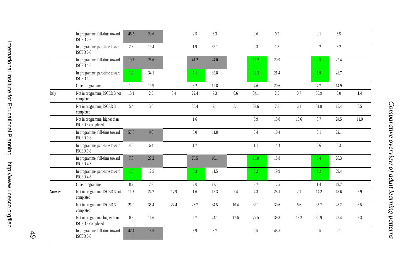|        | In programme, full-time toward<br>ISCED 0-3        | 45.5             | 23.6 |      | 2.5  | 6.3  |      | 0.6                | 0.2  |      | 0.1              | 6.5  |        |
|--------|----------------------------------------------------|------------------|------|------|------|------|------|--------------------|------|------|------------------|------|--------|
|        | In programme, part-time toward<br>ISCED 0-3        | 2.6              | 19.4 |      | 1.9  | 37.1 |      | 0.3                | 1.5  |      | 0.2              | 6.2  |        |
|        | In programme, full-time toward<br>ISCED 4-6        | 19.7             | 26.6 |      | 41.2 | 24.0 |      | 12.2               | 20.9 |      | 2.5              | 22.4 |        |
|        | In programme, part-time toward<br>ISCED 4-6        | 1.2 <sup>°</sup> | 34.1 |      | 7.1  | 32.8 |      | 12.3               | 21.4 |      | 5.9              | 28.7 |        |
|        | Other programme                                    | 1.0              | 10.9 |      | 3.2  | 19.8 |      | 4.6                | 20.6 |      | 4.7              | 14.9 |        |
| Italy  | Not in programme, ISCED 3 not<br>completed         | 15.1             | 2.3  | 3.4  | 22.4 | 7.3  | 0.6  | 34.1               | 2.3  | 0.7  | 55.9             | 3.0  | 1.4    |
|        | Not in programme, ISCED 3<br>completed             | 5.4              | 5.6  |      | 35.4 | 7.1  | 5.1  | 37.6               | 7.3  | 6.1  | 31.8             | 15.4 | 6.5    |
|        | Not in programme, higher than<br>ISCED 3 completed |                  |      |      | 1.6  |      |      | 6.9                | 15.0 | 10.6 | 8.7              | 24.5 | $11.0$ |
|        | In programme, full-time toward<br>ISCED 0-3        | 57.6             | 9.0  |      | 6.0  | 11.8 |      | 0.4                | 10.4 |      | 0.1              | 22.1 |        |
|        | In programme, part-time toward<br>ISCED 0-3        | 4.5              | 6.4  |      | 1.7  |      |      | 1.1                | 14.4 |      | 0.6              | 8.3  |        |
|        | In programme, full-time toward<br>ISCED 4-6        | 7.8              | 27.2 |      | 25.5 | 10.1 |      | 10.0 <sub>10</sub> | 18.8 |      | 0.4              | 26.3 |        |
|        | In programme, part-time toward<br>ISCED 4-6        | 1.5              | 12.5 |      | 5.3  | 11.5 |      | 6.2                | 19.9 |      | 1.2 <sup>°</sup> | 29.4 |        |
|        | Other programme                                    | 8.2              | 7.8  |      | 2.0  | 13.1 |      | 3.7                | 17.5 |      | 1.4              | 19.7 |        |
| Norway | Not in programme, ISCED 3 not<br>completed         | 11.3             | 24.2 | 17.9 | 1.6  | 18.3 | 2.4  | 4.3                | 28.1 | 2.1  | 14.2             | 18.6 | 6.9    |
|        | Not in programme, ISCED 3<br>completed             | 21.0             | 35.4 | 24.4 | 26.7 | 34.5 | 10.4 | 32.1               | 30.6 | 6.6  | 35.7             | 28.2 | 8.5    |
|        | Not in programme, higher than<br>ISCED 3 completed | 0.9              | 16.6 |      | 6.7  | 44.1 | 17.6 | 27.5               | 39.8 | 13.2 | 30.9             | 42.4 | 9.3    |
|        | In programme, full-time toward<br>ISCED 0-3        | 47.4             | 18.5 |      | 5.9  | 8.7  |      | 0.5                | 45.5 |      | 0.5              | 2.1  |        |

49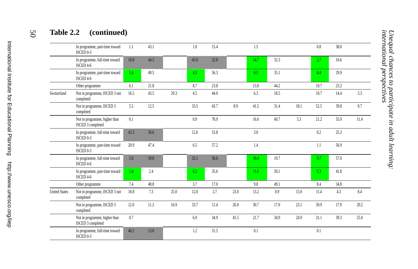# **Table 2.2 (continued)**

| Table 2.2            | (continued)                                        |      |      |      |      |      |      |      |      |      |      |      |      |
|----------------------|----------------------------------------------------|------|------|------|------|------|------|------|------|------|------|------|------|
|                      | In programme, part-time toward<br>ISCED 0-3        | 1.1  | 43.1 |      | 1.0  | 15.4 |      | 1.5  |      |      | 0.8  | 38.0 |      |
|                      | In programme, full-time toward<br>ISCED 4-6        | 10.8 | 44.5 |      | 45.0 | 22.8 |      | 14.7 | 32.3 |      | 2.7  | 16.6 |      |
|                      | In programme, part-time toward<br>ISCED 4-6        | 1.4  | 49.5 |      | 4.3  | 56.3 |      | 6.5  | 35.1 |      | 4.4  | 29.9 |      |
|                      | Other programme                                    | 6.1  | 21.8 |      | 8.7  | 23.8 |      | 13.0 | 44.2 |      | 10.7 | 23.2 |      |
| Switzerland          | Not in programme, ISCED 3 not<br>completed         | 16.5 | 43.5 | 29.3 | 4.5  | 44.0 |      | 6.3  | 18.5 |      | 10.7 | 14.4 | 3.3  |
|                      | Not in programme, ISCED 3<br>completed             | 5.5  | 12.5 |      | 33.5 | 43.7 | 8.9  | 41.5 | 31.4 | 18.1 | 52.5 | 39.8 | 9.7  |
|                      | Not in programme, higher than<br>ISCED 3 completed | 0.1  |      |      | 0.9  | 78.9 |      | 16.0 | 60.7 | 5.3  | 21.2 | 55.9 | 11.4 |
|                      | In programme, full-time toward<br>ISCED 0-3        | 43.3 | 36.6 |      | 12.6 | 53.8 |      | 3.0  |      |      | 0.2  | 25.3 |      |
|                      | In programme, part-time toward<br>ISCED 0-3        | 20.9 | 47.4 |      | 6.5  | 57.2 |      | 1.4  |      |      | 1.1  | 56.9 |      |
|                      | In programme, full-time toward<br>ISCED 4-6        | 5.0  | 59.0 |      | 32.1 | 36.6 |      | 10.4 | 19.7 |      | 0.7  | 57.0 |      |
|                      | In programme, part-time toward<br>ISCED 4-6        | 1.4  | 2.4  |      | 6.2  | 35.6 |      | 11.6 | 50.1 |      | 5.3  | 41.8 |      |
|                      | Other programme                                    | 7.4  | 48.8 |      | 3.7  | 17.0 |      | 9.8  | 49.1 |      | 8.4  | 34.8 |      |
| <b>United States</b> | Not in programme, ISCED 3 not<br>completed         | 18.8 | 7.3  | 25.0 | 12.0 | 2.7  | 23.0 | 13.2 | 0.9  | 15.0 | 11.4 | 4.3  | 8.4  |
|                      | Not in programme, ISCED 3<br>completed             | 12.0 | 11.3 | 16.9 | 33.7 | 11.4 | 26.0 | 30.7 | 17.0 | 23.1 | 39.9 | 17.9 | 20.2 |
|                      | Not in programme, higher than<br>ISCED 3 completed | 0.7  |      |      | 6.9  | 34.9 | 41.5 | 21.7 | 34.9 | 24.9 | 31.1 | 39.3 | 25.0 |
|                      | In programme, full-time toward<br>ISCED 0-3        | 46.2 | 13.0 |      | 1.2  | 31.5 |      | 0.1  |      |      | 0.1  |      |      |

50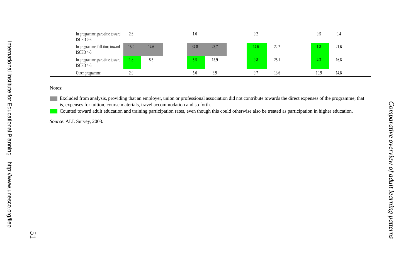| In programme, part-time toward<br>ISCED 0-3 | 2.6  |      | 1.0  |      | 0.2  |      | 0.5  | 9.4  |  |
|---------------------------------------------|------|------|------|------|------|------|------|------|--|
| In programme, full-time toward<br>ISCED 4-6 | 15.0 | 14.6 | 34.8 | 23.7 | 14.6 | 22.2 |      | 21.6 |  |
| In programme, part-time toward<br>ISCED 4-6 | (8)  | 8.5  | ن. ن | 15.9 |      | 25.1 | 4.3  | 16.8 |  |
| Other programme                             | 2.9  |      | 5.0  | 3.9  | 9.7  | 13.6 | 10.9 | 14.8 |  |

Notes:

 Excluded from analysis, providing that an employer, union or professional association did not contribute towards the direct expenses of the programme; that is, expenses for tuition, course materials, travel accommodation and so forth.

Counted toward adult education and training participation rates, even though this could otherwise also be treated as participation in higher education.

*Source*: ALL Survey, 2003.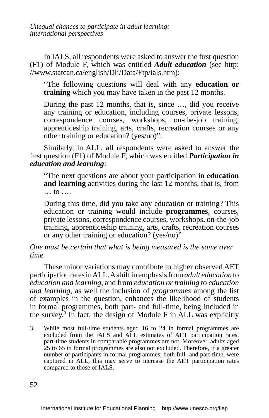In IALS, all respondents were asked to answer the first question (F1) of Module F, which was entitled *Adult education* (see http: //[www.statcan.ca/english/Dli/Data/Ftp/ials.htm\):](http://www.statcan.ca/english/Dli/Data/Ftp/ials.htm):)

 "The following questions will deal with any **education or training** which you may have taken in the past 12 months.

 During the past 12 months, that is, since …, did you receive any training or education, including courses, private lessons, correspondence courses, workshops, on-the-job training, apprenticeship training, arts, crafts, recreation courses or any other training or education? (yes/no)".

Similarly, in ALL, all respondents were asked to answer the first question  $(F1)$  of Module  $\overline{F}$ , which was entitled *Participation in education and learning*:

 "The next questions are about your participation in **education and learning** activities during the last 12 months, that is, from … to ….

 During this time, did you take any education or training? This education or training would include **programmes**, courses, private lessons, correspondence courses, workshops, on-the-job training, apprenticeship training, arts, crafts, recreation courses or any other training or education? (yes/no)"

*One must be certain that what is being measured is the same over time.*

These minor variations may contribute to higher observed AET participation rates in ALL. A shift in emphasis from *adult education* to *education and learning*, and from *education or training* to *education and learning*, as well the inclusion of *programmes* among the list of examples in the question, enhances the likelihood of students in formal programmes, both part- and full-time, being included in the survey.3 In fact, the design of Module F in ALL was explicitly

3. While most full-time students aged 16 to 24 in formal programmes are excluded from the IALS and ALL estimates of AET participation rates, part-time students in comparable programmes are not. Moreover, adults aged 25 to 65 in formal programmes are also not excluded. Therefore, if a greater number of participants in formal programmes, both full- and part-time, were captured in ALL, this may serve to increase the AET participation rates compared to those of IALS.

52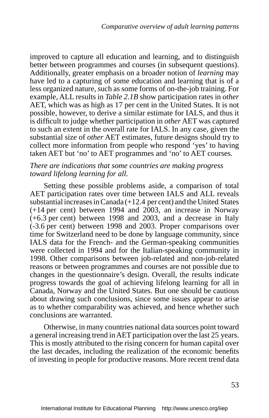improved to capture all education and learning, and to distinguish better between programmes and courses (in subsequent questions). Additionally, greater emphasis on a broader notion of *learning* may have led to a capturing of some education and learning that is of a less organized nature, such as some forms of on-the-job training. For example, ALL results in *Table 2.1B* show participation rates in *other* AET, which was as high as 17 per cent in the United States. It is not possible, however, to derive a similar estimate for IALS, and thus it is difficult to judge whether participation in *other* AET was captured to such an extent in the overall rate for IALS. In any case, given the substantial size of *other* AET estimates, future designs should try to collect more information from people who respond 'yes' to having taken AET but 'no' to AET programmes and 'no' to AET courses.

#### *There are indications that some countries are making progress toward lifelong learning for all.*

Setting these possible problems aside, a comparison of total AET participation rates over time between IALS and ALL reveals substantial increases in Canada (+12.4 per cent) and the United States (+14 per cent) between 1994 and 2003, an increase in Norway (+6.3 per cent) between 1998 and 2003, and a decrease in Italy (-3.6 per cent) between 1998 and 2003. Proper comparisons over time for Switzerland need to be done by language community, since IALS data for the French- and the German-speaking communities were collected in 1994 and for the Italian-speaking community in 1998. Other comparisons between job-related and non-job-related reasons or between programmes and courses are not possible due to changes in the questionnaire's design. Overall, the results indicate progress towards the goal of achieving lifelong learning for all in Canada, Norway and the United States. But one should be cautious about drawing such conclusions, since some issues appear to arise as to whether comparability was achieved, and hence whether such conclusions are warranted.

Otherwise, in many countries national data sources point toward a general increasing trend in AET participation over the last 25 years. This is mostly attributed to the rising concern for human capital over the last decades, including the realization of the economic benefits of investing in people for productive reasons. More recent trend data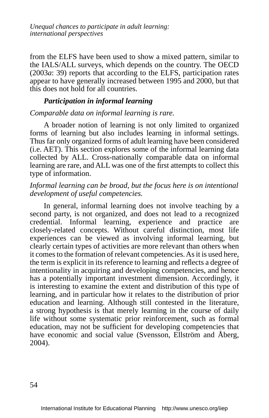from the ELFS have been used to show a mixed pattern, similar to the IALS/ALL surveys, which depends on the country. The OECD (2003*a*: 39) reports that according to the ELFS, participation rates appear to have generally increased between 1995 and 2000, but that this does not hold for all countries.

#### *Participation in informal learning*

#### *Comparable data on informal learning is rare.*

A broader notion of learning is not only limited to organized forms of learning but also includes learning in informal settings. Thus far only organized forms of adult learning have been considered (i.e. AET). This section explores some of the informal learning data collected by ALL. Cross-nationally comparable data on informal learning are rare, and ALL was one of the first attempts to collect this type of information.

# *Informal learning can be broad, but the focus here is on intentional development of useful competencies.*

In general, informal learning does not involve teaching by a second party, is not organized, and does not lead to a recognized credential. Informal learning, experience and practice are closely-related concepts. Without careful distinction, most life experiences can be viewed as involving informal learning, but clearly certain types of activities are more relevant than others when it comes to the formation of relevant competencies. As it is used here, the term is explicit in its reference to learning and reflects a degree of intentionality in acquiring and developing competencies, and hence has a potentially important investment dimension. Accordingly, it is interesting to examine the extent and distribution of this type of learning, and in particular how it relates to the distribution of prior education and learning. Although still contested in the literature, a strong hypothesis is that merely learning in the course of daily life without some systematic prior reinforcement, such as formal education, may not be sufficient for developing competencies that have economic and social value (Svensson, Ellström and Åberg, 2004).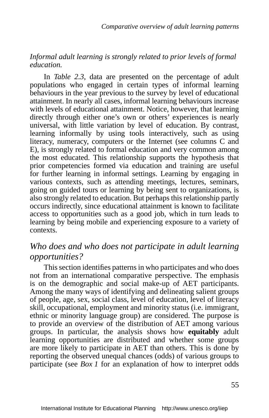# *Informal adult learning is strongly related to prior levels of formal education.*

In *Table 2.3*, data are presented on the percentage of adult populations who engaged in certain types of informal learning behaviours in the year previous to the survey by level of educational attainment. In nearly all cases, informal learning behaviours increase with levels of educational attainment. Notice, however, that learning directly through either one's own or others' experiences is nearly universal, with little variation by level of education. By contrast, learning informally by using tools interactively, such as using literacy, numeracy, computers or the Internet (see columns C and E), is strongly related to formal education and very common among the most educated. This relationship supports the hypothesis that prior competencies formed via education and training are useful for further learning in informal settings. Learning by engaging in various contexts, such as attending meetings, lectures, seminars, going on guided tours or learning by being sent to organizations, is also strongly related to education. But perhaps this relationship partly occurs indirectly, since educational attainment is known to facilitate access to opportunities such as a good job, which in turn leads to learning by being mobile and experiencing exposure to a variety of contexts.

# *Who does and who does not participate in adult learning opportunities?*

This section identifies patterns in who participates and who does not from an international comparative perspective. The emphasis is on the demographic and social make-up of AET participants. Among the many ways of identifying and delineating salient groups of people, age, sex, social class, level of education, level of literacy skill, occupational, employment and minority status (i.e. immigrant, ethnic or minority language group) are considered. The purpose is to provide an overview of the distribution of AET among various groups. In particular, the analysis shows how **equitably** adult learning opportunities are distributed and whether some groups are more likely to participate in AET than others. This is done by reporting the observed unequal chances (odds) of various groups to participate (see *Box 1* for an explanation of how to interpret odds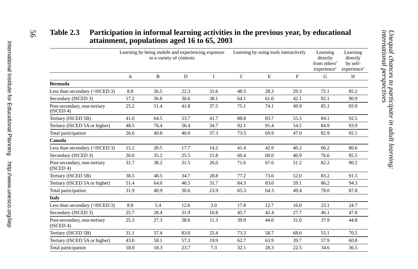|                                                                                                                                                                         |      | Learning by being mobile and experiencing exposure | to a variety of contexts |      |               | Learning by using tools interactively |      | Learning<br>directly<br>from others'<br>experience <sup>1</sup> | Learning<br>directly<br>by self-<br>experience <sup>1</sup> |
|-------------------------------------------------------------------------------------------------------------------------------------------------------------------------|------|----------------------------------------------------|--------------------------|------|---------------|---------------------------------------|------|-----------------------------------------------------------------|-------------------------------------------------------------|
|                                                                                                                                                                         | A    | $\mathbf B$                                        | D                        | I    | $\mathcal{C}$ | E                                     | F    | G                                                               | H                                                           |
| <b>Bermuda</b>                                                                                                                                                          |      |                                                    |                          |      |               |                                       |      |                                                                 |                                                             |
| Less than secondary ( <isced 3)<="" td=""><td>8.8</td><td>26.5</td><td>22.3</td><td>31.6</td><td>48.5</td><td>28.3</td><td>29.3</td><td>72.1</td><td>85.2</td></isced>  | 8.8  | 26.5                                               | 22.3                     | 31.6 | 48.5          | 28.3                                  | 29.3 | 72.1                                                            | 85.2                                                        |
| Secondary (ISCED 3)                                                                                                                                                     | 17.2 | 36.8                                               | 30.6                     | 38.1 | 64.1          | 61.0                                  | 42.1 | 82.1                                                            | 90.9                                                        |
| Post-secondary, non-tertiary<br>(ISCED 4)                                                                                                                               | 25.2 | 51.4                                               | 41.8                     | 37.5 | 75.1          | 74.1                                  | 49.9 | 85.1                                                            | 93.9                                                        |
| Tertiary (ISCED 5B)                                                                                                                                                     | 41.0 | 64.5                                               | 53.7                     | 41.7 | 88.8          | 83.7                                  | 55.3 | 84.1                                                            | 92.5                                                        |
| Tertiary (ISCED 5A or higher)                                                                                                                                           | 48.5 | 76.4                                               | 56.4                     | 34.7 | 92.1          | 91.4                                  | 54.5 | 84.9                                                            | 93.9                                                        |
| Total participation                                                                                                                                                     | 26.6 | 49.8                                               | 40.0                     | 37.3 | 73.5          | 69.9                                  | 47.0 | 82.9                                                            | 92.1                                                        |
| Canada                                                                                                                                                                  |      |                                                    |                          |      |               |                                       |      |                                                                 |                                                             |
| Less than secondary ( <isced 3)<="" td=""><td>15.2</td><td>20.5</td><td>17.7</td><td>14.2</td><td>41.4</td><td>42.9</td><td>40.2</td><td>66.2</td><td>80.6</td></isced> | 15.2 | 20.5                                               | 17.7                     | 14.2 | 41.4          | 42.9                                  | 40.2 | 66.2                                                            | 80.6                                                        |
| Secondary (ISCED 3)                                                                                                                                                     | 26.0 | 35.2                                               | 25.5                     | 21.8 | 60.4          | 60.0                                  | 46.9 | 76.6                                                            | 85.5                                                        |
| Post-secondary, non-tertiary<br>(ISCED 4)                                                                                                                               | 31.7 | 38.2                                               | 31.5                     | 26.0 | 71.6          | 67.6                                  | 51.2 | 82.2                                                            | 90.2                                                        |
| Tertiary (ISCED 5B)                                                                                                                                                     | 38.5 | 48.5                                               | 34.7                     | 28.8 | 77.2          | 73.6                                  | 52.0 | 83.2                                                            | 91.5                                                        |
| Tertiary (ISCED 5A or higher)                                                                                                                                           | 51.4 | 64.0                                               | 46.5                     | 31.7 | 84.3          | 83.0                                  | 59.1 | 86.2                                                            | 94.3                                                        |
| Total participation                                                                                                                                                     | 31.9 | 40.9                                               | 30.6                     | 23.9 | 65.3          | 64.3                                  | 49.4 | 78.0                                                            | 87.8                                                        |
| <b>Italy</b>                                                                                                                                                            |      |                                                    |                          |      |               |                                       |      |                                                                 |                                                             |
| Less than secondary ( <isced 3)<="" td=""><td>8.8</td><td>5.4</td><td>12.6</td><td>3.0</td><td>17.8</td><td>12.7</td><td>16.0</td><td>23.1</td><td>24.7</td></isced>    | 8.8  | 5.4                                                | 12.6                     | 3.0  | 17.8          | 12.7                                  | 16.0 | 23.1                                                            | 24.7                                                        |
| Secondary (ISCED 3)                                                                                                                                                     | 25.7 | 28.4                                               | 31.9                     | 10.8 | 45.7          | 42.4                                  | 27.7 | 46.1                                                            | 47.8                                                        |
| Post-secondary, non-tertiary<br>(ISCED 4)                                                                                                                               | 25.3 | 27.3                                               | 38.0                     | 11.3 | 39.9          | 44.0                                  | 31.0 | 37.9                                                            | 44.8                                                        |
| Tertiary (ISCED 5B)                                                                                                                                                     | 31.1 | 37.4                                               | 83.0                     | 25.4 | 73.3          | 58.7                                  | 68.6 | 55.1                                                            | 70.5                                                        |
| Tertiary (ISCED 5A or higher)                                                                                                                                           | 43.0 | 58.1                                               | 57.3                     | 19.9 | 62.7          | 63.9                                  | 39.7 | 57.9                                                            | 60.8                                                        |
| Total participation                                                                                                                                                     | 18.0 | 18.3                                               | 23.7                     | 7.3  | 32.1          | 28.3                                  | 22.5 | 34.6                                                            | 36.5                                                        |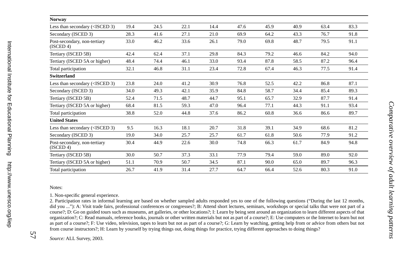| <b>Norway</b>                                                                                                                                                           |      |      |      |      |      |      |      |      |      |
|-------------------------------------------------------------------------------------------------------------------------------------------------------------------------|------|------|------|------|------|------|------|------|------|
| Less than secondary ( <isced 3)<="" td=""><td>19.4</td><td>24.5</td><td>22.1</td><td>14.4</td><td>47.6</td><td>45.9</td><td>40.9</td><td>63.4</td><td>83.3</td></isced> | 19.4 | 24.5 | 22.1 | 14.4 | 47.6 | 45.9 | 40.9 | 63.4 | 83.3 |
| Secondary (ISCED 3)                                                                                                                                                     | 28.3 | 41.6 | 27.1 | 21.0 | 69.9 | 64.2 | 43.3 | 76.7 | 91.8 |
| Post-secondary, non-tertiary<br>(ISCED 4)                                                                                                                               | 33.0 | 46.2 | 33.6 | 26.1 | 79.0 | 69.8 | 48.7 | 79.5 | 91.1 |
| Tertiary (ISCED 5B)                                                                                                                                                     | 42.4 | 62.4 | 37.1 | 29.8 | 84.3 | 79.2 | 46.6 | 84.2 | 94.0 |
| Tertiary (ISCED 5A or higher)                                                                                                                                           | 48.4 | 74.4 | 46.1 | 33.0 | 93.4 | 87.8 | 58.5 | 87.2 | 96.4 |
| Total participation                                                                                                                                                     | 32.1 | 46.8 | 31.1 | 23.4 | 72.8 | 67.4 | 46.3 | 77.5 | 91.4 |
| <b>Switzerland</b>                                                                                                                                                      |      |      |      |      |      |      |      |      |      |
| Less than secondary ( <isced 3)<="" td=""><td>23.8</td><td>24.0</td><td>41.2</td><td>30.9</td><td>76.8</td><td>52.5</td><td>42.2</td><td>86.8</td><td>87.1</td></isced> | 23.8 | 24.0 | 41.2 | 30.9 | 76.8 | 52.5 | 42.2 | 86.8 | 87.1 |
| Secondary (ISCED 3)                                                                                                                                                     | 34.0 | 49.3 | 42.1 | 35.9 | 84.8 | 58.7 | 34.4 | 85.4 | 89.3 |
| Tertiary (ISCED 5B)                                                                                                                                                     | 52.4 | 71.5 | 48.7 | 44.7 | 95.1 | 65.7 | 32.9 | 87.7 | 91.4 |
| Tertiary (ISCED 5A or higher)                                                                                                                                           | 68.4 | 81.5 | 59.3 | 47.0 | 96.4 | 77.1 | 44.3 | 91.1 | 93.4 |
| Total participation                                                                                                                                                     | 38.8 | 52.0 | 44.8 | 37.6 | 86.2 | 60.8 | 36.6 | 86.6 | 89.7 |
| <b>United States</b>                                                                                                                                                    |      |      |      |      |      |      |      |      |      |
| Less than secondary ( <isced 3)<="" td=""><td>9.5</td><td>16.3</td><td>18.1</td><td>20.7</td><td>31.8</td><td>39.1</td><td>34.9</td><td>68.6</td><td>81.2</td></isced>  | 9.5  | 16.3 | 18.1 | 20.7 | 31.8 | 39.1 | 34.9 | 68.6 | 81.2 |
| Secondary (ISCED 3)                                                                                                                                                     | 19.0 | 34.0 | 25.7 | 25.7 | 61.7 | 61.8 | 50.6 | 77.9 | 91.2 |
| Post-secondary, non-tertiary<br>(ISCED 4)                                                                                                                               | 30.4 | 44.9 | 22.6 | 30.0 | 74.8 | 66.3 | 61.7 | 84.9 | 94.8 |
| Tertiary (ISCED 5B)                                                                                                                                                     | 30.0 | 50.7 | 37.3 | 33.1 | 77.9 | 79.4 | 59.0 | 89.0 | 92.0 |
| Tertiary (ISCED 5A or higher)                                                                                                                                           | 51.1 | 70.9 | 50.7 | 34.5 | 87.1 | 90.0 | 65.0 | 89.7 | 96.3 |
| Total participation                                                                                                                                                     | 26.7 | 41.9 | 31.4 | 27.7 | 64.7 | 66.4 | 52.6 | 80.3 | 91.0 |
|                                                                                                                                                                         |      |      |      |      |      |      |      |      |      |

#### Notes:

1. Non-specific general experience.

2. Participation rates in informal learning are based on whether sampled adults responded yes to one of the following questions ("During the last 12 months, did you ..."): A: Visit trade fairs, professional conferences or congresses?; B: Attend short lectures, seminars, workshops or special talks that were not part of a course?; D: Go on guided tours such as museums, art galleries, or other locations?; I: Learn by being sent around an organization to learn different aspects of that organization?; C: Read manuals, reference books, journals or other written materials but not as part of a course?; E: Use computers or the Internet to learn but not as part of a course?; F: Use video, television, tapes to learn but not as part of a course?; G: Learn by watching, getting help from or advice from others but not from course instructors?; H: Learn by yourself by trying things out, doing things for practice, trying different approaches to doing things?

57

*Source:* ALL Survey, 2003.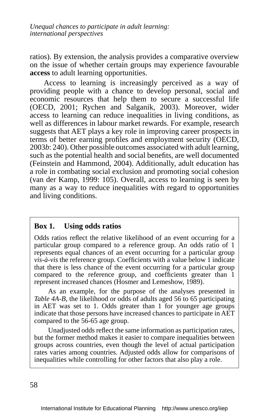ratios). By extension, the analysis provides a comparative overview on the issue of whether certain groups may experience favourable **access** to adult learning opportunities.

Access to learning is increasingly perceived as a way of providing people with a chance to develop personal, social and economic resources that help them to secure a successful life (OECD, 2001; Rychen and Salganik, 2003). Moreover, wider access to learning can reduce inequalities in living conditions, as well as differences in labour market rewards. For example, research suggests that AET plays a key role in improving career prospects in terms of better earning profiles and employment security (OECD, 2003*b*: 240). Other possible outcomes associated with adult learning, such as the potential health and social benefits, are well documented (Feinstein and Hammond, 2004). Additionally, adult education has a role in combating social exclusion and promoting social cohesion (van der Kamp, 1999: 105). Overall, access to learning is seen by many as a way to reduce inequalities with regard to opportunities and living conditions.

# **Box 1. Using odds ratios**

Odds ratios reflect the relative likelihood of an event occurring for a particular group compared to a reference group. An odds ratio of 1 represents equal chances of an event occurring for a particular group *vis-à-vis* the reference group. Coefficients with a value below 1 indicate that there is less chance of the event occurring for a particular group compared to the reference group, and coefficients greater than 1 represent increased chances (Hosmer and Lemeshow, 1989).

As an example, for the purpose of the analyses presented in *Table 4A-B*, the likelihood or odds of adults aged 56 to 65 participating in AET was set to 1. Odds greater than 1 for younger age groups indicate that those persons have increased chances to participate in AET compared to the 56-65 age group.

Unadjusted odds reflect the same information as participation rates, but the former method makes it easier to compare inequalities between groups across countries, even though the level of actual participation rates varies among countries. Adjusted odds allow for comparisons of inequalities while controlling for other factors that also play a role.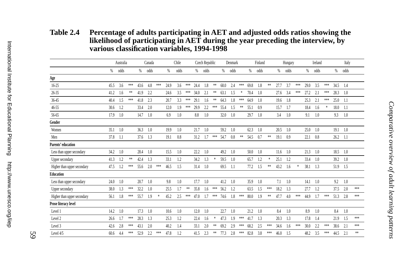|                             |      | Australia |       |      | Canada |        |      | Chile |         |      | Czech Republic |           |               | Denmark |        |      | Finland |        |      | Hungary |     |      | Ireland |        |      | Italy  |       |
|-----------------------------|------|-----------|-------|------|--------|--------|------|-------|---------|------|----------------|-----------|---------------|---------|--------|------|---------|--------|------|---------|-----|------|---------|--------|------|--------|-------|
|                             | %    | odds      |       | %    | odds   |        | %    | odds  |         | %    | odds           |           | $\frac{0}{0}$ | odds    |        | %    | odds    |        | %    | odds    |     | %    | odds    |        | %    | odds   |       |
| Age                         |      |           |       |      |        |        |      |       |         |      |                |           |               |         |        |      |         |        |      |         |     |      |         |        |      |        |       |
| $16 - 25$                   | 45.5 | 3.6       | $***$ | 43.6 | 4.8    | $***$  | 24.9 | 3.6   | $* * *$ | 24.4 | 1.8            | $\$$ $\$$ | 68.0          | 2.4     | $***$  | 69.8 | 1.8     | $*$    | 27.7 | 3.7     | *** | 29.0 | 3.5     | ***    | 34.5 | 1.4    |       |
| $26 - 35$                   | 41.2 | 1.6       | $* *$ | 41.9 | 2.2    |        | 24.6 | 3.5   | ***     | 34.0 | 2.1            | 88        | 63.1          | 1.5     | $\ast$ | 70.4 | 1.0     |        | 27.6 | 3.4     | *** | 27.2 | 2.1     | \$\$\$ | 28.3 | 1.0    |       |
| 36-45                       | 40.4 | 1.5       | $***$ | 41.8 | 2.3    |        | 20.7 | 3.3   | $* * *$ | 29.1 | 1.6            | 88        | 64.3          | 1.8     | $***$  | 64.9 | 1.0     |        | 19.6 | 1.8     |     | 25.3 | 2.1     | \$\$\$ | 25.0 | $-1.1$ |       |
| 46-55                       | 30.6 | 1.2       |       | 33.4 | 2.0    |        | 12.0 | 1.9   | ***     | 29.9 | 2.2            | \$\$\$    | 55.4          | 1.5     | $*$    | 55.1 | 0.9     |        | 15.7 | 1.7     |     | 18.4 | 1.6     | *      | 18.0 | 1.1    |       |
| 56-65                       | 17.9 | 1.0       |       | 14.7 | 1.0    |        | 6.9  | 1.0   |         | 8.8  | 1.0            |           | 32.0          | 1.0     |        | 29.7 | 1.0     |        | 3.4  | 1.0     |     | 9.1  | 1.0     |        | 9.3  | 1.0    |       |
| Gender                      |      |           |       |      |        |        |      |       |         |      |                |           |               |         |        |      |         |        |      |         |     |      |         |        |      |        |       |
| Women                       | 35.1 | 1.0       |       | 36.3 | 1.0    |        | 19.9 | 1.0   |         | 21.7 | 1.0            |           | 59.2          | 1.0     |        | 62.3 | 1.0     |        | 20.5 | 1.0     |     | 25.0 | 1.0     |        | 19.1 | 1.0    |       |
| Men                         | 37.8 | 1.1       |       | 37.6 | 1.3    |        | 19.1 | 0.8   |         | 31.2 | 1.7            | \$\$\$    | 54.7          | 0.8     | $* *$  | 54.5 | 0.7     | **     | 19.1 | 0.9     |     | 22.1 | 0.8     |        | 26.2 | 1.1    |       |
| Parents' education          |      |           |       |      |        |        |      |       |         |      |                |           |               |         |        |      |         |        |      |         |     |      |         |        |      |        |       |
| Less than upper secondary   | 34.2 | 1.0       |       | 28.4 | 1.0    |        | 15.5 | 1.0   |         | 22.2 | 1.0            |           | 49.2          | 1.0     |        | 50.0 | 1.0     |        | 11.6 | 1.0     |     | 21.3 | 1.0     |        | 18.5 | 1.0    |       |
| Upper secondary             | 41.3 | 1.2       | $* *$ | 42.4 | 1.3    |        | 33.1 | 1.2   |         | 34.2 | 1.3            | *         | 59.5          | 1.0     |        | 65.7 | 1.2     | $\ast$ | 25.1 | 1.2     |     | 33.4 | 1.0     |        | 39.2 | 1.0    |       |
| Higher than upper secondary | 47.5 | 1.2       | $***$ | 55.6 | 2.0    | $***$  | 46.5 | 1.5   |         | 31.4 | 1.0            |           | 69.5          | 1.1     |        | 77.2 | 1.5     | **     | 43.2 | 1.6     | \$  | 38.1 | 1.3     |        | 51.9 | 1.5    |       |
| Education                   |      |           |       |      |        |        |      |       |         |      |                |           |               |         |        |      |         |        |      |         |     |      |         |        |      |        |       |
| Less than upper secondary   | 24.0 | 1.0       |       | 20.7 | 1.0    |        | 9.8  | 1.0   |         | 17.7 | 1.0            |           | 41.2          | 1.0     |        | 35.9 | 1.0     |        | 7.1  | 1.0     |     | 14.1 | 1.0     |        | 9.2  | 1.0    |       |
| Upper secondary             | 38.0 | 1.3       | $***$ | 32.2 | 1.0    |        | 25.5 | 17    | $* *$   | 35.8 | 1.6            | $* * *$   | 56.2          | 1.2     |        | 63.5 | 1.5     | $***$  | 18.2 | 1.3     |     | 27.7 | 1.2     |        | 37.5 | 2.0    | ***   |
| Higher than upper secondary | 56.1 | 1.8       | $***$ | 55.7 | 1.9    | $\ast$ | 45.2 | 2.5   | ***     | 47.0 | 1.7            | \$333     | 74.6          | 1.8     | $***$  | 80.0 | 1.9     | **     | 47.7 | 4.0     | *** | 44.9 | 1.7     | ***    | 51.3 | 2.8    | ***   |
| Prose literacy level        |      |           |       |      |        |        |      |       |         |      |                |           |               |         |        |      |         |        |      |         |     |      |         |        |      |        |       |
| Level 1                     | 14.2 | 1.0       |       | 17.3 | 1.0    |        | 10.6 | 1.0   |         | 12.0 | 1.0            |           | 22.7          | 1.0     |        | 21.2 | 1.0     |        | 8.4  | 1.0     |     | 8.9  | 1.0     |        | 8.4  | 1.0    |       |
| Level 2                     | 26.6 | 1.7       | $***$ | 28.3 | 1.3    |        | 25.3 | 1.2   |         | 22.4 | 1.6            | *         | 47.3          | 1.9     | $***$  | 41.7 | 1.3     |        | 20.3 | 1.3     |     | 17.8 | 1.4     |        | 21.9 | 1.5    | $***$ |
| Level 3                     | 42.6 | 2.8       | $***$ | 43.1 | 2.0    |        | 40.2 | 1.4   |         | 33.1 | 2.0            | $\pm\pm$  | 69.2          | 2.9     | $***$  | 68.2 | 2.5     | $***$  | 34.6 | 1.6     | *** | 30.0 | 2.2     | \$333  | 38.6 | 2.1    | ***   |
| Level 4/5                   | 60.6 | 4.4       | ***   | 52.9 | 2.2    | $***$  | 47.8 | 1.2   |         | 41.5 | 2.3            | 88        | 77.3          | 2.8     | $***$  | 82.8 | 3.8     | ***    | 46.0 | 1.5     |     | 48.2 | 3.5     | ***    | 44.5 | 2.1    | **    |

**Table 2.4 Percentage of adults participating in AET and adjusted odds ratios showing the likelihood of participating in AET during the year preceding the interview, by various classifi cation variables, 1994-1998**

59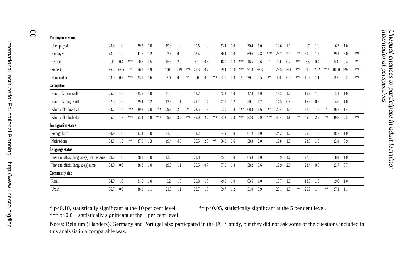| <b>Employment status</b>                             |      |           |          |                  |     |       |       |      |          |                |         |        |            |      |       |                  |            |           |                  |     |            |            |            |        |                  |                  |       |
|------------------------------------------------------|------|-----------|----------|------------------|-----|-------|-------|------|----------|----------------|---------|--------|------------|------|-------|------------------|------------|-----------|------------------|-----|------------|------------|------------|--------|------------------|------------------|-------|
| Unemployed                                           | 28.8 | 1.0       |          | 29.5             | 1.0 |       | 19.3  | 1.0  |          | $19.5$ 1.0     |         |        | 53.4 1.0   |      |       |                  | $30.4$ 1.0 |           | $12.6$ 1.0       |     |            | 9.7        | 1.0        |        | $16.3$ 1.0       |                  |       |
| Employed                                             | 43.2 | 1.2       |          | 41.7             | 1.2 |       | 22.5  | 0.9  |          | 33.4           | 1.0     |        | 60.4       | 1.0  |       | 69.6             | 2.8        | $***$     | 28.7             | 2.1 | $\ast\ast$ | $30.2$ 1.3 |            |        | 29.1             | 3.0              | $***$ |
| Retired                                              | 9.0  | 0.4       | $***$    | $10.7$ 0.5       |     |       | 15.3  | 2.0  |          | $5.1\qquad0.3$ |         |        | 18.0       | 0.3  | $***$ | 16.5             | 0.6        | $\,$ $\,$ | $\overline{1.4}$ | 0.2 | $* * *$    | 3.5        | 0.4        |        | 5.4              | 0.4              | $* *$ |
| Student                                              |      | 96.2 69.5 | $\ast$   | 66.1             | 3.9 |       | 100.0 | >99  | $***$    | 21.3           | 0.7     |        | 89.4       | 16.0 | $***$ |                  | 91.8 93.3  |           | 29.5             | >99 | $$33*$     | 50.2       | 27.2       | \$\$\$ | $100.0$ >99      |                  | ***   |
| Homemaker                                            | 13.0 | 0.3       | $***$    | 23.1             | 0.6 |       | 8.0   | 0.5  | $* *$    | 0.0            | $0.0\,$ | \$\$\$ | 22.0       | 0.3  |       | 29.1             | 0.5        | $**$      | $0.0\,$          | 0.0 | ***        | $11.3$ 1.1 |            |        | 3.3              | 0.2              | ***   |
| Occupation                                           |      |           |          |                  |     |       |       |      |          |                |         |        |            |      |       |                  |            |           |                  |     |            |            |            |        |                  |                  |       |
| Blue-collar low-skill                                | 25.6 | 1.0       |          | 25.5             | 1.0 |       | 11.5  | 1.0  |          | 18.7           | 1.0     |        | 42.3       | 1.0  |       |                  | 47.8 1.0   |           | 13.3             | 1.0 |            |            | $16.9$ 1.0 |        |                  | $13.1 \quad 1.0$ |       |
| Blue-collar high-skill                               | 32.6 | 1.0       |          | 29.4             | 1.2 |       | 12.8  | 1.1  |          | 29.1 1.4       |         |        | 47.1       | 1.2  |       | $50.1 \quad 1.2$ |            |           | 14.5 0.9         |     |            |            | 15.8 0.9   |        | $14.6$ 1.0       |                  |       |
| White-collar low-skill                               | 43.7 | 1.6       | $***$    | 39.8             | 2.0 | $***$ | 29.8  | 2.0  | $\pm\pm$ | 22.5           | 1.3     |        | 63.0       | 1.8  | $***$ | 68.3             | 1.6        | $***$     | 25.4             | 1.3 |            | $37.6$ 1.8 |            | $\ast$ | 26.7             | 1.4              |       |
| White-collar high-skill                              | 55.4 | 1.7       | $***$    | 53.4             | 1.8 | $***$ | 49.8  | 3.2  | $***$    | 45.0           | 2.2     | ***    | 73.2       | 2.3  | $***$ | 82.0             | 2.9        | $***$     | 45.4             | 1.8 | **         | 45.6       | 2.2        | $**$   | 49.8             | 2.5              | ***   |
| <b>Immigration</b> status                            |      |           |          |                  |     |       |       |      |          |                |         |        |            |      |       |                  |            |           |                  |     |            |            |            |        |                  |                  |       |
| Foreign-born                                         | 30.9 | 1.0       |          | 33.4             | 1.0 |       | 31.5  | 1.0  |          | 13.2           | 1.0     |        | 54.9       | 1.0  |       |                  | $61.2$ 1.0 |           | 24.2 1.0         |     |            | $26.5$ 1.0 |            |        | $28.7$ 1.0       |                  |       |
| Native-born                                          | 38.5 | 1.3       | $\pm\pm$ | 37.9             | 1.3 |       | 19.4  | 4.5  |          | 26.5           | 2.3     | $*$    | 56.9       | 0.6  |       |                  | 58.3 2.0   |           | 19.8 1.7         |     |            | $23.3$ 1.0 |            |        | 22.4 0.9         |                  |       |
| Language status                                      |      |           |          |                  |     |       |       |      |          |                |         |        |            |      |       |                  |            |           |                  |     |            |            |            |        |                  |                  |       |
| First and official language(s) not the same 29.2 1.0 |      |           |          | 28.1             | 1.0 |       | 13.5  | 1.0  |          | 23.8           | 1.0     |        | $45.6$ 1.0 |      |       |                  | 65.8 1.0   |           | 10.9             | 1.0 |            | $27.5$ 1.0 |            |        |                  | $18.4 - 1.0$     |       |
| First and official language(s) same                  |      | 38.0 0.9  |          | 38.8             | 1.0 |       | 19.5  | -1.1 |          | $26.5$ 0.7     |         |        | 57.0 1.8   |      |       |                  | 58.2 0.6   |           | 19.9 2.0         |     |            | 23.4 0.5   |            |        | 22.7             | 0.7              |       |
| <b>Community size</b>                                |      |           |          |                  |     |       |       |      |          |                |         |        |            |      |       |                  |            |           |                  |     |            |            |            |        |                  |                  |       |
| Rural                                                |      | 34.0 1.0  |          | 31.5             | 1.0 |       | 9.2   | 1.0  |          | 20.8           | 1.0     |        | $49.0$ 1.0 |      |       |                  | 63.5 1.0   |           | 13.7             | 1.0 |            |            | 18.3 1.0   |        |                  | $19.0 \t1.0$     |       |
| Urban                                                | 36.7 | 0.9       |          | $38.1 \quad 1.1$ |     |       | 21.5  | 1.1  |          | $28.7$ 1.3     |         |        | 59.7 1.2   |      |       |                  | $51.0$ 0.9 |           | 23.1             | 1.3 | $8\,$      | 26.9       | 1.4        | **     | $27.1 \quad 1.1$ |                  |       |

\* p<0.10, statistically significant at the 10 per cent level. \*\* p<0.05, statistically significant at the 5 per cent level.

\*\*\* p<0.01, statistically significant at the 1 per cent level.

Notes: Belgium (Flanders), Germany and Portugal also particpated in the IALS study, but they did not ask some of the questions included in this analysis in a comparable way.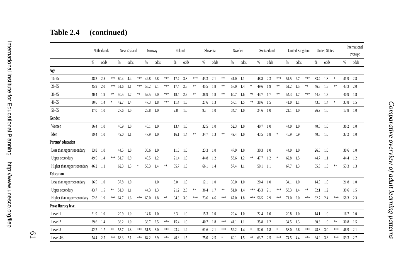| Table 2.4 | (continued) |
|-----------|-------------|
|-----------|-------------|

|                                      |                  | Netherlands |          |                  | New Zealand |          | Norway           |      |          | Poland     |      |          |                  | Slovenia |            | Sweden           |      |            |                  | Switzerland |          |                  | United Kingdom |         |                  | <b>United States</b> |        |                  | International<br>average |
|--------------------------------------|------------------|-------------|----------|------------------|-------------|----------|------------------|------|----------|------------|------|----------|------------------|----------|------------|------------------|------|------------|------------------|-------------|----------|------------------|----------------|---------|------------------|----------------------|--------|------------------|--------------------------|
|                                      | %                | odds        |          | %                | odds        |          | %                | odds |          | %          | odds |          | %                | odds     |            | %                | odds |            | %                | odds        |          | %                | odds           |         | %                | odds                 |        | %                | odds                     |
| Age                                  |                  |             |          |                  |             |          |                  |      |          |            |      |          |                  |          |            |                  |      |            |                  |             |          |                  |                |         |                  |                      |        |                  |                          |
| $16 - 25$                            | 48.3 2.5         |             | $***$    | 60.4 4.4         |             | $***$    | 42.8             | 2.8  | $* * *$  | 17.7       | 3.8  | $***$    | 43.3 2.1         |          | $\ast\ast$ | $41.0$ 1.1       |      |            | 48.8 2.3         |             | ***      | 51.5 2.7         |                | $* * *$ | 33.4             | 1.8                  | $\,$ 8 | 41.9 2.8         |                          |
| $26 - 35$                            | 45.9             | 2.0         | ***      | 51.6 2.1         |             | ***      | 56.2             | 2.1  | $* * *$  | 17.4       | 2.5  | $* *$    | 45.5             | 1.8      | **         | 57.0             | 1.4  | $\ast$     | 49.6             | 1.9         | $* *$    | 51.2             | 1.5            | $* *$   | 46.5             | 1.5                  | 88     | 43.3 2.0         |                          |
| $36 - 45$                            | 40.4             | 1.9         | $\pm\pm$ | 50.5 1.7         |             | $\pm\pm$ | 52.5             | 2.0  | $* * *$  | 18.4       | 2.7  | $* *$    | 38.9             | 1.8      | $\pm\pm$   | 60.7             | 1.6  | $\pm\pm$   | 43.7             | 1.7         | $\pm\pm$ | 54.3 1.7         |                | 222     | 44.9 1.3         |                      |        | 40.9             | 1.8                      |
| $46 - 55$                            | $30.6$ 1.4       |             | $\ast$   | 42.7 1.4         |             |          | 47.3             | 1.8  | $* * *$  | 11.4 1.8   |      |          | $27.6$ 1.3       |          |            | 57.1             | 1.5  | $\ast\ast$ | 38.6 1.5         |             |          | $41.0$ 1.1       |                |         | 43.8             | 1.4                  | $\,$ 8 | 33.8 1.5         |                          |
| 56-65                                | $17.0 \quad 1.0$ |             |          | $27.6$ 1.0       |             |          | 23.8 1.0         |      |          | 2.8        | 1.0  |          | 9.5              | 1.0      |            | 34.7 1.0         |      |            | 24.6 1.0         |             |          | $21.1 \quad 1.0$ |                |         | $26.9$ 1.0       |                      |        | $17.8$ 1.0       |                          |
| Gender                               |                  |             |          |                  |             |          |                  |      |          |            |      |          |                  |          |            |                  |      |            |                  |             |          |                  |                |         |                  |                      |        |                  |                          |
| Women                                | 36.4 1.0         |             |          | $46.9$ 1.0       |             |          | $46.1 \quad 1.0$ |      |          | 13.4 1.0   |      |          | 32.5 1.0         |          |            | 52.3 1.0         |      |            | $40.7$ 1.0       |             |          | 44.0 1.0         |                |         | $40.6$ 1.0       |                      |        | $36.2 \quad 1.0$ |                          |
| Men                                  | 39.4 1.0         |             |          | $49.0$ 1.1       |             |          | 47.9             | 1.0  |          | 16.1       | 1.4  | $* *$    | 34.7 1.3         |          | $\ast\ast$ | 49.4 1.0         |      |            | 43.5             | 0.8         | $\,$     | 45.9 0.9         |                |         | $40.8$ 1.0       |                      |        | 37.2 1.0         |                          |
| Parents' education                   |                  |             |          |                  |             |          |                  |      |          |            |      |          |                  |          |            |                  |      |            |                  |             |          |                  |                |         |                  |                      |        |                  |                          |
| Less than upper secondary            | 33.8 1.0         |             |          | 44.5 1.0         |             |          | 38.6             | 1.0  |          | $11.5$ 1.0 |      |          | 23.3             | 1.0      |            | 47.9 1.0         |      |            | $30.3$ 1.0       |             |          | 44.0 1.0         |                |         | $26.5$ 1.0       |                      |        | $30.6$ 1.0       |                          |
| Upper secondary                      | 49.5 1.4         |             |          | *** $51.7$ 0.9   |             |          | 49.5             | 1.2  |          | 21.4 1.0   |      |          | 44.8 1.2         |          |            | 53.6 1.2         |      | $* *$      | 47.7             | 1.2         | $\ast$   | 62.8 1.5         |                |         | 44.7 1.1         |                      |        | 44.4 1.2         |                          |
| Higher than upper secondary          | $46.2$ 1.1       |             |          | $62.3$ 1.3       |             | $\cdot$  | 58.3             | 1.4  | $* *$    | 35.7 1.3   |      |          | 66.1 1.4         |          |            | 57.4 1.1         |      |            | $50.1 \quad 1.1$ |             |          | 67.7 1.3         |                |         | 55.3             | 1.3                  | \$8    | 53.3 1.3         |                          |
| <b>Education</b>                     |                  |             |          |                  |             |          |                  |      |          |            |      |          |                  |          |            |                  |      |            |                  |             |          |                  |                |         |                  |                      |        |                  |                          |
| Less than upper secondary            | $26.5$ 1.0       |             |          | 37.8 1.0         |             |          |                  | 1.0  |          | 8.0        | 1.0  |          | $12.1 \quad 1.0$ |          |            | $35.0 \quad 1.0$ |      |            | $20.4$ 1.0       |             |          | 34.1 1.0         |                |         | $14.0$ 1.0       |                      |        | $21.8$ 1.0       |                          |
| Upper secondary                      | 43.7 1.5         |             | $* *$    | $51.0$ 1.1       |             |          | 44.3             | 1.3  |          | 21.2       | 2.3  | $\pm\pm$ | 36.4 1.7         |          | $\ast\ast$ | 51.8             | -1.4 |            | *** $45.3$ 2.1   |             | $* * *$  | 53.3 1.4         |                | $8\,$   | 32.1 1.2         |                      |        | 39.6 1.5         |                          |
| Higher than upper secondary 52.8 1.9 |                  |             |          | *** 64.7 1.6     |             | ***      | 65.0             | 1.8  | $\pm\pm$ | 34.3       | 3.0  | $***$    | 73.6 4.6         |          | ***        | 67.0             | 1.8  |            | *** 56.5 2.9     |             | ***      | $71.0$ 2.0       |                | ***     | $62.7$ $2.4$     |                      | ***    | 58.3 2.3         |                          |
| Prose literacy level                 |                  |             |          |                  |             |          |                  |      |          |            |      |          |                  |          |            |                  |      |            |                  |             |          |                  |                |         |                  |                      |        |                  |                          |
| Level 1                              | $21.9$ 1.0       |             |          | $29.9$ 1.0       |             |          | $14.6$ 1.0       |      |          | 8.3        | 1.0  |          | $15.3 \quad 1.0$ |          |            | 29.4 1.0         |      |            | 22.4 1.0         |             |          | $20.8$ 1.0       |                |         | $14.1 \quad 1.0$ |                      |        | $16.7$ 1.0       |                          |
| Level 2                              | 29.6 1.4         |             |          | $36.2 \quad 1.0$ |             |          | 38.7             | 2.5  | $* * *$  | 15.4 1.0   |      |          | 40.7             | 1.8      | $***$      | $41.1$ 1.1       |      |            | 35.8 1.2         |             |          | 34.5 1.3         |                |         | $30.6$ 1.9       |                      | $8\,8$ | 30.8 1.5         |                          |
| Level 3                              | $42.2$ 1.7       |             | $**$     | 55.7 1.8         |             | ***      | 51.5 3.0         |      | $* * *$  | 23.4 1.2   |      |          | $61.6$ 2.1       |          | ***        | 52.2 1.4         |      | $\ast$     | 52.0 1.8         |             | $\ast$   | 58.0 2.6         |                | 222     | 48.3 3.0         |                      | ***    | 46.9 2.1         |                          |
| Level 4/5                            | 54.4 2.5         |             | ***      | 68.3 2.1         |             | ***      | 64.2 3.9         |      | ***      | 40.8 1.5   |      |          | 75.0 2.5         |          | $\ast$     | $60.1$ 1.5       |      | **         | 63.7 2.5         |             | $* * *$  | 74.5 4.4         |                | ***     | 64.2 3.8         |                      | 888    | 59.3 2.7         |                          |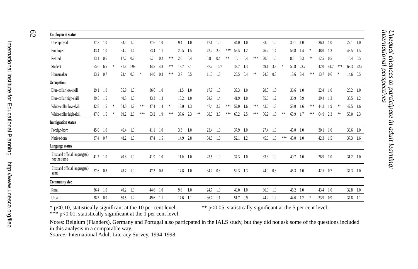| <b>Employment status</b>                       |                  |     |   |              |                  |        |            |       |        |                  |      |     |      |                  |       |            |     |        |            |      |                     |                  |      |        |                  |      |       |          |                  |
|------------------------------------------------|------------------|-----|---|--------------|------------------|--------|------------|-------|--------|------------------|------|-----|------|------------------|-------|------------|-----|--------|------------|------|---------------------|------------------|------|--------|------------------|------|-------|----------|------------------|
| Unemployed                                     | 37.8 1.0         |     |   |              | 33.5 1.0         |        | 37.6 1.0   |       |        | 9.4              | 1.0  |     |      | $17.1 \quad 1.0$ |       | 44.0 1.0   |     |        | 33.0       | 1.0  |                     | $30.1 \quad 1.0$ |      |        | $26.3$ 1.0       |      |       |          | $27.1 - 1.0$     |
| Employed                                       | 43.4             | 1.0 |   | 54.2         | 1.4              |        | 53.4       | 1.1   |        | 20.5             | -1.5 |     | 42.2 | 2.5              | $***$ | 59.5       | 1.2 |        | 46.2       | 1.4  |                     | 56.8             | 1.4  | *      | 48.0 1.3         |      |       | 43.5     | 1.5              |
| Retired                                        | 13.1             | 0.6 |   | $17.7 \t0.7$ |                  |        | 6.7        | 0.2   | $***$  | 2.0              | 0.4  |     | 5.8  | 0.4              | **    | 16.1       | 0.4 | \$\$\$ | 20.5       | 1.0  |                     | 8.6              | 0.3  | $* *$  | $12.5 \t0.5$     |      |       | 10.4     | 0.5              |
| Student                                        | 65.6             | 6.5 | * | 91.8         | >99              |        | 44.5       | 4.8   | ***    | 18.7             | 3.1  |     | 87.7 | 15.7             |       | 39.7       | 1.3 |        | 49.1       | 3.8  | $\boldsymbol{\ast}$ | 55.8             | 23.7 |        | 42.0             | 41.7 | ***   | 63.3     | 22.2             |
| Homemaker                                      | $23.2 \quad 0.7$ |     |   | 23.4         | 0.5              | $\ast$ | 14.0       | 0.3   | $***$  | 3.7              | 0.5  |     | 11.0 | 1.3              |       | 25.5       | 0.4 | **     | 24.8       | 0.8  |                     | 13.6             | 0.4  | $***$  | 13.7             | 0.6  | *     |          | $14.6$ 0.5       |
| Occupation                                     |                  |     |   |              |                  |        |            |       |        |                  |      |     |      |                  |       |            |     |        |            |      |                     |                  |      |        |                  |      |       |          |                  |
| Blue-collar low-skill                          | $29.1 \quad 1.0$ |     |   |              | 35.9 1.0         |        | $36.6$ 1.0 |       |        | $11.5$ 1.0       |      |     |      | $17.9$ 1.0       |       | $39.3$ 1.0 |     |        | $28.3$ 1.0 |      |                     | $36.6$ 1.0       |      |        | $22.4$ 1.0       |      |       |          | $26.2 \quad 1.0$ |
| Blue-collar high-skill                         | 39.5 1.5         |     |   | 40.5         | 1.0              |        | 43.3       | 1.3   |        | $10.2 \quad 1.0$ |      |     | 24.9 | - 1.4            |       | 41.9       | 1.0 |        | 35.6       | -1.2 |                     | 36.9 0.9         |      |        | 29.4 1.3         |      |       |          | $30.5$ 1.2       |
| White-collar low-skill                         | 42.8             | 1.5 | * | 54.0         | -1.7             | $***$  | 47.4       | 1.4   | $\ast$ | 18.0 1.3         |      |     | 47.4 | 2.7              | ***   | 52.0       | 1.6 | ***    | $43.6$ 1.3 |      |                     | 58.0             | 1.6  | ***    | 44.2             | 1.9  | $* *$ |          | $42.5$ 1.6       |
| White-collar high-skill                        | 47.8             | 1.5 | 8 | 69.2         | 2.6              | $***$  | 63.2       | 1.9   | ***    | 37.6             | 2.3  | $*$ | 68.0 | 3.5              | ***   | 68.2       | 2.5 | \$\$\$ | 56.2       | 1.8  | **                  | 68.9             | 1.7  | ***    | 64.9             | 2.3  | **    | 58.0     | 2.3              |
| <b>Immigration</b> status                      |                  |     |   |              |                  |        |            |       |        |                  |      |     |      |                  |       |            |     |        |            |      |                     |                  |      |        |                  |      |       |          |                  |
| Foreign-born                                   | 45.0             | 1.0 |   | 46.4         | 1.0              |        | 41.1       | 1.0   |        | 3.3              | 1.0  |     | 23.4 | 1.0              |       | 37.9 1.0   |     |        | 27.4       | -1.0 |                     | 45.0             | 1.0  |        | $30.1 \quad 1.0$ |      |       |          | 33.6 1.0         |
| Native-born                                    | 37.4 0.7         |     |   | 48.2         | 1.3              |        | 47.4 1.5   |       |        | 14.9             | 2.8  |     |      | 34.8 1.6         |       | 52.1 1.2   |     |        | 45.6       | 1.8  | \$\$\$              | $45.0$ 1.0       |      |        | 42.3 1.5         |      |       |          | $37.3$ 1.6       |
| Language status                                |                  |     |   |              |                  |        |            |       |        |                  |      |     |      |                  |       |            |     |        |            |      |                     |                  |      |        |                  |      |       |          |                  |
| First and official language(s)<br>not the same | 41.7             | 1.0 |   | 40.8         | 1.0              |        | 41.9       | 1.0   |        | 11.0             | 1.0  |     | 23.5 | 1.0              |       | 37.3       | 1.0 |        | 33.3       | 1.0  |                     | 40.7             | 1.0  |        | 28.9             | 1.0  |       |          | $31.2$ 1.0       |
| First and official language(s)<br>same         | 37.6             | 0.8 |   | 48.7         | 1.0              |        | 47.3       | 0.8   |        | 14.8             | 1.0  |     | 34.7 | 0.8              |       | 52.3       | 1.3 |        | 44.0       | 0.8  |                     | 45.3             | 1.0  |        | 42.5             | 0.7  |       |          | 37.3 1.0         |
| <b>Community size</b>                          |                  |     |   |              |                  |        |            |       |        |                  |      |     |      |                  |       |            |     |        |            |      |                     |                  |      |        |                  |      |       |          |                  |
| Rural                                          | 36.4             | 1.0 |   |              | $40.2 \quad 1.0$ |        | 44.6       | 1.0   |        | 9.6              | 1.0  |     | 24.7 | 1.0              |       | 49.0 1.0   |     |        | 36.9       | 1.0  |                     | 46.2             | 1.0  |        | 43.4 1.0         |      |       |          | $32.8$ 1.0       |
| Urban                                          | 38.3             | 0.9 |   | 50.5         | -1.2             |        | 49.6       | - 1.1 |        | $17.6$ 1.1       |      |     | 36.7 | -1.1             |       | 51.7       | 0.9 |        | 44.2       | 1.2  |                     | 44.6             | 1.2  | $\ast$ | 33.9 0.9         |      |       | 37.8 1.1 |                  |

\* p<0.10, statistically signifi cant at the 10 per cent level. \*\* p<0.05, statistically signifi cant at the 5 per cent level.

\*\*\* p<0.01, statistically significant at the 1 per cent level.

Notes: Belgium (Flanders), Germany and Portugal also particpated in the IALS study, but they did not ask some of the questions included in this analysis in a comparable way.

*Source:* International Adult Literacy Survey, 1994-1998.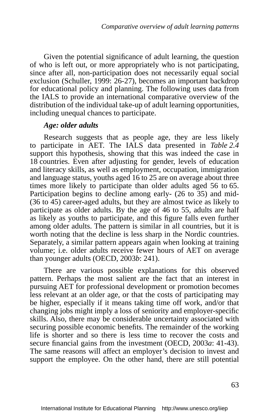Given the potential significance of adult learning, the question of who is left out, or more appropriately who is not participating, since after all, non-participation does not necessarily equal social exclusion (Schuller, 1999: 26-27), becomes an important backdrop for educational policy and planning. The following uses data from the IALS to provide an international comparative overview of the distribution of the individual take-up of adult learning opportunities, including unequal chances to participate.

#### *Age: older adults*

Research suggests that as people age, they are less likely to participate in AET. The IALS data presented in *Table 2.4* support this hypothesis, showing that this was indeed the case in 18 countries. Even after adjusting for gender, levels of education and literacy skills, as well as employment, occupation, immigration and language status, youths aged 16 to 25 are on average about three times more likely to participate than older adults aged 56 to 65. Participation begins to decline among early- (26 to 35) and mid-(36 to 45) career-aged adults, but they are almost twice as likely to participate as older adults. By the age of 46 to 55, adults are half as likely as youths to participate, and this figure falls even further among older adults. The pattern is similar in all countries, but it is worth noting that the decline is less sharp in the Nordic countries. Separately, a similar pattern appears again when looking at training volume; i.e. older adults receive fewer hours of AET on average than younger adults (OECD, 2003*b*: 241).

There are various possible explanations for this observed pattern. Perhaps the most salient are the fact that an interest in pursuing AET for professional development or promotion becomes less relevant at an older age, or that the costs of participating may be higher, especially if it means taking time off work, and/or that changing jobs might imply a loss of seniority and employer-specific skills. Also, there may be considerable uncertainty associated with securing possible economic benefits. The remainder of the working life is shorter and so there is less time to recover the costs and secure financial gains from the investment (OECD, 2003*a*: 41-43). The same reasons will affect an employer's decision to invest and support the employee. On the other hand, there are still potential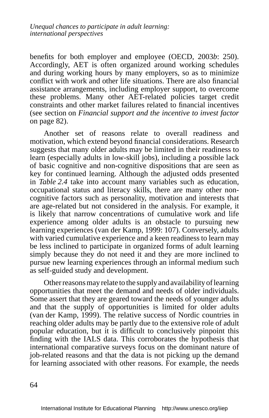benefits for both employer and employee (OECD, 2003*b*: 250). Accordingly, AET is often organized around working schedules and during working hours by many employers, so as to minimize conflict with work and other life situations. There are also financial assistance arrangements, including employer support, to overcome these problems. Many other AET-related policies target credit constraints and other market failures related to financial incentives (see section on *Financial support and the incentive to invest factor*  on page 82).

Another set of reasons relate to overall readiness and motivation, which extend beyond financial considerations. Research suggests that many older adults may be limited in their readiness to learn (especially adults in low-skill jobs), including a possible lack of basic cognitive and non-cognitive dispositions that are seen as key for continued learning. Although the adjusted odds presented in *Table 2.4* take into account many variables such as education, occupational status and literacy skills, there are many other noncognitive factors such as personality, motivation and interests that are age-related but not considered in the analysis. For example, it is likely that narrow concentrations of cumulative work and life experience among older adults is an obstacle to pursuing new learning experiences (van der Kamp, 1999: 107). Conversely, adults with varied cumulative experience and a keen readiness to learn may be less inclined to participate in organized forms of adult learning simply because they do not need it and they are more inclined to pursue new learning experiences through an informal medium such as self-guided study and development.

Other reasons may relate to the supply and availability of learning opportunities that meet the demand and needs of older individuals. Some assert that they are geared toward the needs of younger adults and that the supply of opportunities is limited for older adults (van der Kamp, 1999). The relative success of Nordic countries in reaching older adults may be partly due to the extensive role of adult popular education, but it is difficult to conclusively pinpoint this finding with the IALS data. This corroborates the hypothesis that international comparative surveys focus on the dominant nature of job-related reasons and that the data is not picking up the demand for learning associated with other reasons. For example, the needs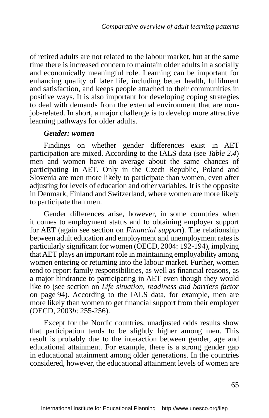of retired adults are not related to the labour market, but at the same time there is increased concern to maintain older adults in a socially and economically meaningful role. Learning can be important for enhancing quality of later life, including better health, fulfilment and satisfaction, and keeps people attached to their communities in positive ways. It is also important for developing coping strategies to deal with demands from the external environment that are nonjob-related. In short, a major challenge is to develop more attractive learning pathways for older adults.

#### *Gender: women*

Findings on whether gender differences exist in AET participation are mixed. According to the IALS data (see *Table 2.4*) men and women have on average about the same chances of participating in AET. Only in the Czech Republic, Poland and Slovenia are men more likely to participate than women, even after adjusting for levels of education and other variables. It is the opposite in Denmark, Finland and Switzerland, where women are more likely to participate than men.

Gender differences arise, however, in some countries when it comes to employment status and to obtaining employer support for AET (again see section on *Financial support*). The relationship between adult education and employment and unemployment rates is particularly significant for women (OECD,  $2004: 192-194$ ), implying that AET plays an important role in maintaining employability among women entering or returning into the labour market. Further, women tend to report family responsibilities, as well as financial reasons, as a major hindrance to participating in AET even though they would like to (see section on *Life situation, readiness and barriers factor* on page 94). According to the IALS data, for example, men are more likely than women to get financial support from their employer (OECD, 2003*b*: 255-256).

Except for the Nordic countries, unadjusted odds results show that participation tends to be slightly higher among men. This result is probably due to the interaction between gender, age and educational attainment. For example, there is a strong gender gap in educational attainment among older generations. In the countries considered, however, the educational attainment levels of women are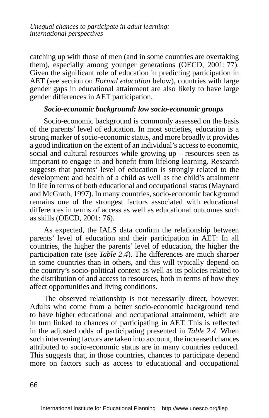catching up with those of men (and in some countries are overtaking them), especially among younger generations (OECD, 2001: 77). Given the significant role of education in predicting participation in AET (see section on *Formal education* below), countries with large gender gaps in educational attainment are also likely to have large gender differences in AET participation.

#### *Socio-economic background: low socio-economic groups*

Socio-economic background is commonly assessed on the basis of the parents' level of education. In most societies, education is a strong marker of socio-economic status, and more broadly it provides a good indication on the extent of an individual's access to economic, social and cultural resources while growing up – resources seen as important to engage in and benefit from lifelong learning. Research suggests that parents' level of education is strongly related to the development and health of a child as well as the child's attainment in life in terms of both educational and occupational status (Maynard and McGrath, 1997). In many countries, socio-economic background remains one of the strongest factors associated with educational differences in terms of access as well as educational outcomes such as skills (OECD, 2001: 76).

As expected, the IALS data confirm the relationship between parents' level of education and their participation in AET: In all countries, the higher the parents' level of education, the higher the participation rate (see *Table 2.4*). The differences are much sharper in some countries than in others, and this will typically depend on the country's socio-political context as well as its policies related to the distribution of and access to resources, both in terms of how they affect opportunities and living conditions.

The observed relationship is not necessarily direct, however. Adults who come from a better socio-economic background tend to have higher educational and occupational attainment, which are in turn linked to chances of participating in AET. This is reflected in the adjusted odds of participating presented in *Table 2.4*. When such intervening factors are taken into account, the increased chances attributed to socio-economic status are in many countries reduced. This suggests that, in those countries, chances to participate depend more on factors such as access to educational and occupational

66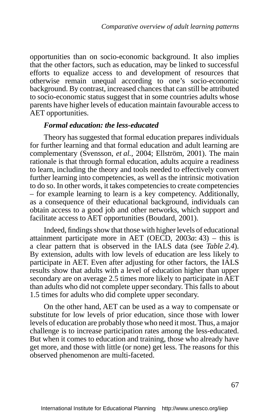opportunities than on socio-economic background. It also implies that the other factors, such as education, may be linked to successful efforts to equalize access to and development of resources that otherwise remain unequal according to one's socio-economic background. By contrast, increased chances that can still be attributed to socio-economic status suggest that in some countries adults whose parents have higher levels of education maintain favourable access to AET opportunities.

#### *Formal education: the less-educated*

Theory has suggested that formal education prepares individuals for further learning and that formal education and adult learning are complementary (Svensson, *et al.*, 2004; Ellström, 2001). The main rationale is that through formal education, adults acquire a readiness to learn, including the theory and tools needed to effectively convert further learning into competencies, as well as the intrinsic motivation to do so. In other words, it takes competencies to create competencies – for example learning to learn is  $\hat{a}$  key competency. Additionally, as a consequence of their educational background, individuals can obtain access to a good job and other networks, which support and facilitate access to AET opportunities (Boudard, 2001).

Indeed, findings show that those with higher levels of educational attainment participate more in AET (OECD,  $2003a: 43$ ) – this is a clear pattern that is observed in the IALS data (see *Table 2.4*). By extension, adults with low levels of education are less likely to participate in AET. Even after adjusting for other factors, the IALS results show that adults with a level of education higher than upper secondary are on average 2.5 times more likely to participate in AET than adults who did not complete upper secondary. This falls to about 1.5 times for adults who did complete upper secondary.

On the other hand, AET can be used as a way to compensate or substitute for low levels of prior education, since those with lower levels of education are probably those who need it most. Thus, a major challenge is to increase participation rates among the less-educated. But when it comes to education and training, those who already have get more, and those with little (or none) get less. The reasons for this observed phenomenon are multi-faceted.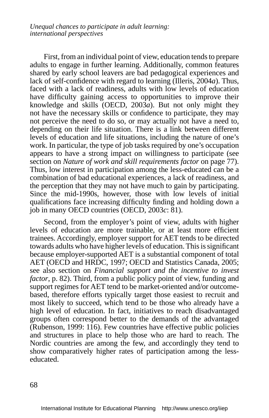First, from an individual point of view, education tends to prepare adults to engage in further learning. Additionally, common features shared by early school leavers are bad pedagogical experiences and lack of self-confidence with regard to learning (Illeris, 2004*a*). Thus, faced with a lack of readiness, adults with low levels of education have difficulty gaining access to opportunities to improve their knowledge and skills (OECD, 2003*a*). But not only might they not have the necessary skills or confidence to participate, they may not perceive the need to do so, or may actually not have a need to, depending on their life situation. There is a link between different levels of education and life situations, including the nature of one's work. In particular, the type of job tasks required by one's occupation appears to have a strong impact on willingness to participate (see section on *Nature of work and skill requirements factor* on page 77). Thus, low interest in participation among the less-educated can be a combination of bad educational experiences, a lack of readiness, and the perception that they may not have much to gain by participating. Since the mid-1990s, however, those with low levels of initial qualifications face increasing difficulty finding and holding down a job in many OECD countries (OECD, 2003*c*: 81).

Second, from the employer's point of view, adults with higher levels of education are more trainable, or at least more efficient trainees. Accordingly, employer support for AET tends to be directed towards adults who have higher levels of education. This is significant because employer-supported AET is a substantial component of total AET (OECD and HRDC, 1997; OECD and Statistics Canada, 2005; see also section on *Financial support and the incentive to invest factor*, p. 82). Third, from a public policy point of view, funding and support regimes for AET tend to be market-oriented and/or outcomebased, therefore efforts typically target those easiest to recruit and most likely to succeed, which tend to be those who already have a high level of education. In fact, initiatives to reach disadvantaged groups often correspond better to the demands of the advantaged (Rubenson, 1999: 116). Few countries have effective public policies and structures in place to help those who are hard to reach. The Nordic countries are among the few, and accordingly they tend to show comparatively higher rates of participation among the lesseducated.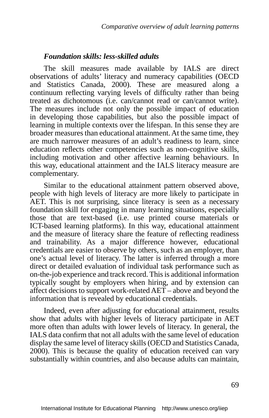#### *Foundation skills: less-skilled adults*

The skill measures made available by IALS are direct observations of adults' literacy and numeracy capabilities (OECD and Statistics Canada, 2000). These are measured along a continuum reflecting varying levels of difficulty rather than being treated as dichotomous (i.e. can/cannot read or can/cannot write). The measures include not only the possible impact of education in developing those capabilities, but also the possible impact of learning in multiple contexts over the lifespan. In this sense they are broader measures than educational attainment. At the same time, they are much narrower measures of an adult's readiness to learn, since education reflects other competencies such as non-cognitive skills, including motivation and other affective learning behaviours. In this way, educational attainment and the IALS literacy measure are complementary.

Similar to the educational attainment pattern observed above, people with high levels of literacy are more likely to participate in AET. This is not surprising, since literacy is seen as a necessary foundation skill for engaging in many learning situations, especially those that are text-based (i.e. use printed course materials or ICT-based learning platforms). In this way, educational attainment and the measure of literacy share the feature of reflecting readiness and trainability. As a major difference however, educational credentials are easier to observe by others, such as an employer, than one's actual level of literacy. The latter is inferred through a more direct or detailed evaluation of individual task performance such as on-the-job experience and track record. This is additional information typically sought by employers when hiring, and by extension can affect decisions to support work-related AET – above and beyond the information that is revealed by educational credentials.

Indeed, even after adjusting for educational attainment, results show that adults with higher levels of literacy participate in AET more often than adults with lower levels of literacy. In general, the IALS data confirm that not all adults with the same level of education display the same level of literacy skills (OECD and Statistics Canada, 2000). This is because the quality of education received can vary substantially within countries, and also because adults can maintain,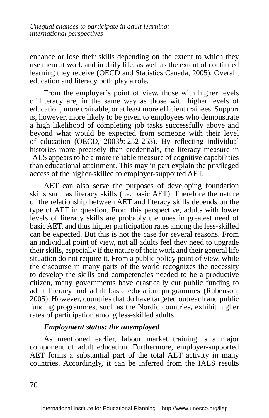enhance or lose their skills depending on the extent to which they use them at work and in daily life, as well as the extent of continued learning they receive (OECD and Statistics Canada, 2005). Overall, education and literacy both play a role.

From the employer's point of view, those with higher levels of literacy are, in the same way as those with higher levels of education, more trainable, or at least more efficient trainees. Support is, however, more likely to be given to employees who demonstrate a high likelihood of completing job tasks successfully above and beyond what would be expected from someone with their level of education (OECD, 2003*b*: 252-253). By reflecting individual histories more precisely than credentials, the literacy measure in IALS appears to be a more reliable measure of cognitive capabilities than educational attainment. This may in part explain the privileged access of the higher-skilled to employer-supported AET.

AET can also serve the purposes of developing foundation skills such as literacy skills (i.e. basic AET). Therefore the nature of the relationship between AET and literacy skills depends on the type of AET in question. From this perspective, adults with lower levels of literacy skills are probably the ones in greatest need of basic AET, and thus higher participation rates among the less-skilled can be expected. But this is not the case for several reasons. From an individual point of view, not all adults feel they need to upgrade their skills, especially if the nature of their work and their general life situation do not require it. From a public policy point of view, while the discourse in many parts of the world recognizes the necessity to develop the skills and competencies needed to be a productive citizen, many governments have drastically cut public funding to adult literacy and adult basic education programmes (Rubenson, 2005). However, countries that do have targeted outreach and public funding programmes, such as the Nordic countries, exhibit higher rates of participation among less-skilled adults.

# *Employment status: the unemployed*

As mentioned earlier, labour market training is a major component of adult education. Furthermore, employer-supported AET forms a substantial part of the total AET activity in many countries. Accordingly, it can be inferred from the IALS results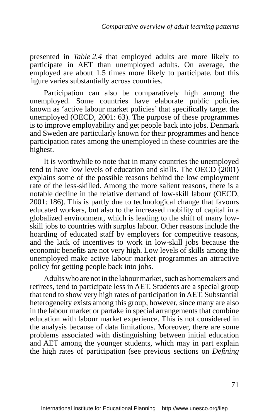presented in *Table 2.4* that employed adults are more likely to participate in AET than unemployed adults. On average, the employed are about 1.5 times more likely to participate, but this figure varies substantially across countries.

Participation can also be comparatively high among the unemployed. Some countries have elaborate public policies known as 'active labour market policies' that specifically target the unemployed (OECD, 2001: 63). The purpose of these programmes is to improve employability and get people back into jobs. Denmark and Sweden are particularly known for their programmes and hence participation rates among the unemployed in these countries are the highest.

It is worthwhile to note that in many countries the unemployed tend to have low levels of education and skills. The OECD (2001) explains some of the possible reasons behind the low employment rate of the less-skilled. Among the more salient reasons, there is a notable decline in the relative demand of low-skill labour (OECD, 2001: 186). This is partly due to technological change that favours educated workers, but also to the increased mobility of capital in a globalized environment, which is leading to the shift of many lowskill jobs to countries with surplus labour. Other reasons include the hoarding of educated staff by employers for competitive reasons, and the lack of incentives to work in low-skill jobs because the economic benefits are not very high. Low levels of skills among the unemployed make active labour market programmes an attractive policy for getting people back into jobs.

Adults who are not in the labour market, such as homemakers and retirees, tend to participate less in AET. Students are a special group that tend to show very high rates of participation in AET. Substantial heterogeneity exists among this group, however, since many are also in the labour market or partake in special arrangements that combine education with labour market experience. This is not considered in the analysis because of data limitations. Moreover, there are some problems associated with distinguishing between initial education and AET among the younger students, which may in part explain the high rates of participation (see previous sections on *Defining*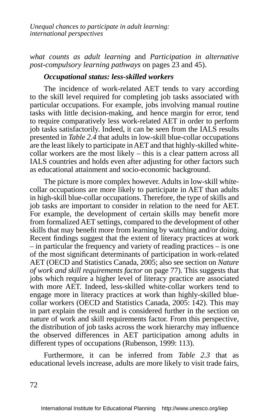*what counts as adult learning* and *Participation in alternative post-compulsory learning pathways* on pages 23 and 45).

#### *Occupational status: less-skilled workers*

The incidence of work-related AET tends to vary according to the skill level required for completing job tasks associated with particular occupations. For example, jobs involving manual routine tasks with little decision-making, and hence margin for error, tend to require comparatively less work-related AET in order to perform job tasks satisfactorily. Indeed, it can be seen from the IALS results presented in *Table 2.4* that adults in low-skill blue-collar occupations are the least likely to participate in AET and that highly-skilled whitecollar workers are the most likely – this is a clear pattern across all IALS countries and holds even after adjusting for other factors such as educational attainment and socio-economic background.

The picture is more complex however. Adults in low-skill whitecollar occupations are more likely to participate in AET than adults in high-skill blue-collar occupations. Therefore, the type of skills and job tasks are important to consider in relation to the need for AET. For example, the development of certain skills may benefit more from formalized AET settings, compared to the development of other skills that may benefit more from learning by watching and/or doing. Recent findings suggest that the extent of literacy practices at work – in particular the frequency and variety of reading practices – is one of the most significant determinants of participation in work-related AET (OECD and Statistics Canada, 2005; also see section on *Nature of work and skill requirements factor* on page 77). This suggests that jobs which require a higher level of literacy practice are associated with more AET. Indeed, less-skilled white-collar workers tend to engage more in literacy practices at work than highly-skilled bluecollar workers (OECD and Statistics Canada, 2005: 142). This may in part explain the result and is considered further in the section on nature of work and skill requirements factor. From this perspective, the distribution of job tasks across the work hierarchy may influence the observed differences in AET participation among adults in different types of occupations (Rubenson, 1999: 113).

Furthermore, it can be inferred from *Table 2.3* that as educational levels increase, adults are more likely to visit trade fairs,

72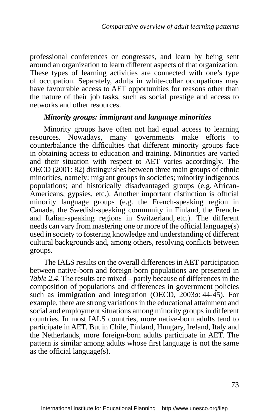professional conferences or congresses, and learn by being sent around an organization to learn different aspects of that organization. These types of learning activities are connected with one's type of occupation. Separately, adults in white-collar occupations may have favourable access to AET opportunities for reasons other than the nature of their job tasks, such as social prestige and access to networks and other resources.

# *Minority groups: immigrant and language minorities*

Minority groups have often not had equal access to learning resources. Nowadays, many governments make efforts to counterbalance the difficulties that different minority groups face in obtaining access to education and training. Minorities are varied and their situation with respect to AET varies accordingly. The OECD (2001: 82) distinguishes between three main groups of ethnic minorities, namely: migrant groups in societies; minority indigenous populations; and historically disadvantaged groups (e.g. African-Americans, gypsies, etc.). Another important distinction is official minority language groups (e.g. the French-speaking region in Canada, the Swedish-speaking community in Finland, the Frenchand Italian-speaking regions in Switzerland, etc.). The different needs can vary from mastering one or more of the official language(s) used in society to fostering knowledge and understanding of different cultural backgrounds and, among others, resolving conflicts between groups.

The IALS results on the overall differences in AET participation between native-born and foreign-born populations are presented in *Table 2.4*. The results are mixed – partly because of differences in the composition of populations and differences in government policies such as immigration and integration (OECD, 2003*a*: 44-45). For example, there are strong variations in the educational attainment and social and employment situations among minority groups in different countries. In most IALS countries, more native-born adults tend to participate in AET. But in Chile, Finland, Hungary, Ireland, Italy and the Netherlands, more foreign-born adults participate in AET. The pattern is similar among adults whose first language is not the same as the official language $(s)$ .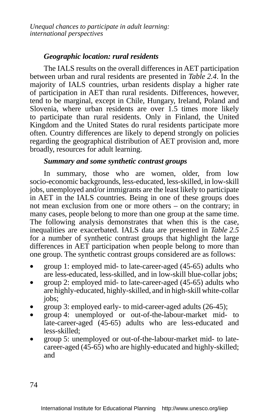# *Geographic location: rural residents*

The IALS results on the overall differences in AET participation between urban and rural residents are presented in *Table 2.4*. In the majority of IALS countries, urban residents display a higher rate of participation in AET than rural residents. Differences, however, tend to be marginal, except in Chile, Hungary, Ireland, Poland and Slovenia, where urban residents are over 1.5 times more likely to participate than rural residents. Only in Finland, the United Kingdom and the United States do rural residents participate more often. Country differences are likely to depend strongly on policies regarding the geographical distribution of AET provision and, more broadly, resources for adult learning.

# *Summary and some synthetic contrast groups*

In summary, those who are women, older, from low socio-economic backgrounds, less-educated, less-skilled, in low-skill jobs, unemployed and/or immigrants are the least likely to participate in AET in the IALS countries. Being in one of these groups does not mean exclusion from one or more others – on the contrary; in many cases, people belong to more than one group at the same time. The following analysis demonstrates that when this is the case, inequalities are exacerbated. IALS data are presented in *Table 2.5* for a number of synthetic contrast groups that highlight the large differences in AET participation when people belong to more than one group. The synthetic contrast groups considered are as follows:

- group 1: employed mid- to late-career-aged (45-65) adults who are less-educated, less-skilled, and in low-skill blue-collar jobs;
- group 2: employed mid- to late-career-aged (45-65) adults who are highly-educated, highly-skilled, and in high-skill white-collar jobs;
- group 3: employed early- to mid-career-aged adults (26-45);
- group 4: unemployed or out-of-the-labour-market mid- to late-career-aged (45-65) adults who are less-educated and less-skilled;
- group 5: unemployed or out-of-the-labour-market mid- to latecareer-aged (45-65) who are highly-educated and highly-skilled; and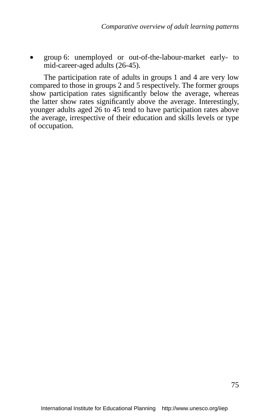• group 6: unemployed or out-of-the-labour-market early- to mid-career-aged adults (26-45).

The participation rate of adults in groups 1 and 4 are very low compared to those in groups 2 and 5 respectively. The former groups show participation rates significantly below the average, whereas the latter show rates significantly above the average. Interestingly, younger adults aged 26 to 45 tend to have participation rates above the average, irrespective of their education and skills levels or type of occupation.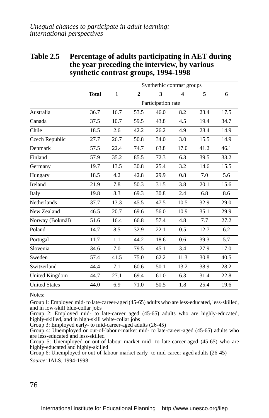## **Table 2.5 Percentage of adults participating in AET during the year preceding the interview, by various synthetic contrast groups, 1994-1998**

|                      |              |              |                | Synthethic contrast groups |      |      |      |
|----------------------|--------------|--------------|----------------|----------------------------|------|------|------|
|                      | <b>Total</b> | $\mathbf{1}$ | $\overline{2}$ | 3                          | 4    | 5    | 6    |
|                      |              |              |                | Participation rate         |      |      |      |
| Australia            | 36.7         | 16.7         | 53.5           | 46.0                       | 8.2  | 23.4 | 17.5 |
| Canada               | 37.5         | 10.7         | 59.5           | 43.8                       | 4.5  | 19.4 | 34.7 |
| Chile                | 18.5         | 2.6          | 42.2           | 26.2                       | 4.9  | 28.4 | 14.9 |
| Czech Republic       | 27.7         | 26.7         | 50.8           | 34.0                       | 3.0  | 15.5 | 14.9 |
| Denmark              | 57.5         | 22.4         | 74.7           | 63.8                       | 17.0 | 41.2 | 46.1 |
| Finland              | 57.9         | 35.2         | 85.5           | 72.3                       | 6.3  | 39.5 | 33.2 |
| Germany              | 19.7         | 13.5         | 30.8           | 25.4                       | 3.2  | 14.6 | 15.5 |
| Hungary              | 18.5         | 4.2          | 42.8           | 29.9                       | 0.8  | 7.0  | 5.6  |
| Ireland              | 21.9         | 7.8          | 50.3           | 31.5                       | 3.8  | 20.1 | 15.6 |
| Italy                | 19.8         | 8.3          | 69.3           | 30.8                       | 2.4  | 6.8  | 8.6  |
| <b>Netherlands</b>   | 37.7         | 13.3         | 45.5           | 47.5                       | 10.5 | 32.9 | 29.0 |
| New Zealand          | 46.5         | 20.7         | 69.6           | 56.0                       | 10.9 | 35.1 | 29.9 |
| Norway (Bokmål)      | 51.6         | 16.4         | 66.8           | 57.4                       | 4.8  | 7.7  | 27.2 |
| Poland               | 14.7         | 8.5          | 32.9           | 22.1                       | 0.5  | 12.7 | 6.2  |
| Portugal             | 11.7         | 1.1          | 44.2           | 18.6                       | 0.6  | 39.3 | 5.7  |
| Slovenia             | 34.6         | 7.0          | 79.5           | 45.1                       | 3.4  | 27.9 | 17.0 |
| Sweden               | 57.4         | 41.5         | 75.0           | 62.2                       | 11.3 | 30.8 | 40.5 |
| Switzerland          | 44.4         | 7.1          | 60.6           | 50.1                       | 13.2 | 38.9 | 28.2 |
| United Kingdom       | 44.7         | 27.1         | 69.4           | 61.0                       | 6.3  | 31.4 | 22.8 |
| <b>United States</b> | 44.0         | 6.9          | 71.0           | 50.5                       | 1.8  | 25.4 | 19.6 |

Notes:

Group 1: Employed mid- to late-career-aged (45-65) adults who are less-educated, less-skilled, and in low-skill blue-collar jobs

Group 2: Employed mid- to late-career aged (45-65) adults who are highly-educated, highly-skilled, and in high-skill white-collar jobs

Group 3: Employed early- to mid-career-aged adults (26-45)

Group 4: Unemployed or out-of-labour-market mid- to late-career-aged (45-65) adults who are less-educated and less-skilled

Group 5: Unemployed or out-of-labour-market mid- to late-career-aged (45-65) who are highly-educated and highly-skilled

Group 6: Unemployed or out-of-labour-market early- to mid-career-aged adults (26-45) *Source:* IALS, 1994-1998.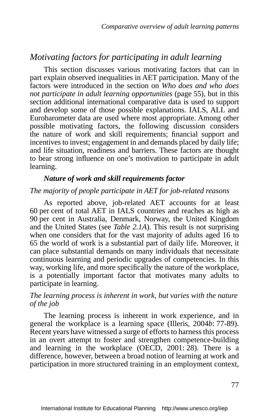## *Motivating factors for participating in adult learning*

This section discusses various motivating factors that can in part explain observed inequalities in AET participation. Many of the factors were introduced in the section on *Who does and who does not participate in adult learning opportunities* (page 55), but in this section additional international comparative data is used to support and develop some of those possible explanations. IALS, ALL and Eurobarometer data are used where most appropriate. Among other possible motivating factors, the following discussion considers the nature of work and skill requirements; financial support and incentives to invest; engagement in and demands placed by daily life; and life situation, readiness and barriers. These factors are thought to bear strong influence on one's motivation to participate in adult learning.

## *Nature of work and skill requirements factor*

## *The majority of people participate in AET for job-related reasons*

As reported above, job-related AET accounts for at least 60 per cent of total AET in IALS countries and reaches as high as 90 per cent in Australia, Denmark, Norway, the United Kingdom and the United States (see *Table 2.1A*). This result is not surprising when one considers that for the vast majority of adults aged 16 to 65 the world of work is a substantial part of daily life. Moreover, it can place substantial demands on many individuals that necessitate continuous learning and periodic upgrades of competencies. In this way, working life, and more specifically the nature of the workplace, is a potentially important factor that motivates many adults to participate in learning.

## *The learning process is inherent in work, but varies with the nature of the job*

The learning process is inherent in work experience, and in general the workplace is a learning space (Illeris, 2004*b*: 77-89). Recent years have witnessed a surge of efforts to harness this process in an overt attempt to foster and strengthen competence-building and learning in the workplace (OECD, 2001: 28). There is a difference, however, between a broad notion of learning at work and participation in more structured training in an employment context,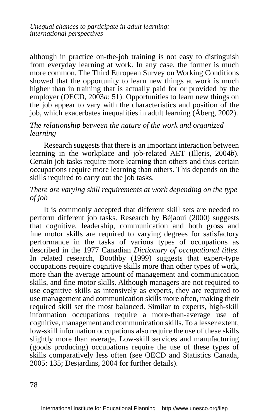although in practice on-the-job training is not easy to distinguish from everyday learning at work. In any case, the former is much more common. The Third European Survey on Working Conditions showed that the opportunity to learn new things at work is much higher than in training that is actually paid for or provided by the employer (OECD, 2003*a*: 51). Opportunities to learn new things on the job appear to vary with the characteristics and position of the job, which exacerbates inequalities in adult learning (Åberg, 2002).

## *The relationship between the nature of the work and organized learning*

Research suggests that there is an important interaction between learning in the workplace and job-related AET (Illeris, 2004*b*). Certain job tasks require more learning than others and thus certain occupations require more learning than others. This depends on the skills required to carry out the job tasks.

## *There are varying skill requirements at work depending on the type of job*

It is commonly accepted that different skill sets are needed to perform different job tasks. Research by Béjaoui (2000) suggests that cognitive, leadership, communication and both gross and fine motor skills are required to varying degrees for satisfactory performance in the tasks of various types of occupations as described in the 1977 Canadian *Dictionary of occupational titles*. In related research, Boothby (1999) suggests that expert-type occupations require cognitive skills more than other types of work, more than the average amount of management and communication skills, and fine motor skills. Although managers are not required to use cognitive skills as intensively as experts, they are required to use management and communication skills more often, making their required skill set the most balanced. Similar to experts, high-skill information occupations require a more-than-average use of cognitive, management and communication skills. To a lesser extent, low-skill information occupations also require the use of these skills slightly more than average. Low-skill services and manufacturing (goods producing) occupations require the use of these types of skills comparatively less often (see OECD and Statistics Canada, 2005: 135; Desjardins, 2004 for further details).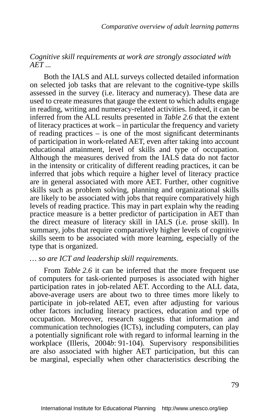## *Cognitive skill requirements at work are strongly associated with AET ...*

Both the IALS and ALL surveys collected detailed information on selected job tasks that are relevant to the cognitive-type skills assessed in the survey (i.e. literacy and numeracy). These data are used to create measures that gauge the extent to which adults engage in reading, writing and numeracy-related activities. Indeed, it can be inferred from the ALL results presented in *Table 2.6* that the extent of literacy practices at work – in particular the frequency and variety of reading practices – is one of the most significant determinants of participation in work-related AET, even after taking into account educational attainment, level of skills and type of occupation. Although the measures derived from the IALS data do not factor in the intensity or criticality of different reading practices, it can be inferred that jobs which require a higher level of literacy practice are in general associated with more AET. Further, other cognitive skills such as problem solving, planning and organizational skills are likely to be associated with jobs that require comparatively high levels of reading practice. This may in part explain why the reading practice measure is a better predictor of participation in AET than the direct measure of literacy skill in IALS (i.e. prose skill). In summary, jobs that require comparatively higher levels of cognitive skills seem to be associated with more learning, especially of the type that is organized.

## *… so are ICT and leadership skill requirements.*

From *Table 2.6* it can be inferred that the more frequent use of computers for task-oriented purposes is associated with higher participation rates in job-related AET. According to the ALL data, above-average users are about two to three times more likely to participate in job-related AET, even after adjusting for various other factors including literacy practices, education and type of occupation. Moreover, research suggests that information and communication technologies (ICTs), including computers, can play a potentially significant role with regard to informal learning in the workplace (Illeris, 2004*b*: 91-104). Supervisory responsibilities are also associated with higher AET participation, but this can be marginal, especially when other characteristics describing the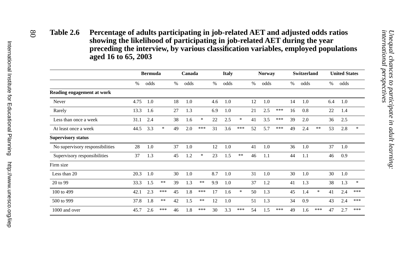| Table 2.6                       | Percentage of adults participating in job-related AET and adjusted odds ratios<br>showing the likelihood of participating in job-related AET during the year<br>preceding the interview, by various classification variables, employed populations<br>aged 16 to 65, 2003 |      |         |                 |      |        |               |      |              |        |    |               |     |    |                    |          |      |                      |        |
|---------------------------------|---------------------------------------------------------------------------------------------------------------------------------------------------------------------------------------------------------------------------------------------------------------------------|------|---------|-----------------|------|--------|---------------|------|--------------|--------|----|---------------|-----|----|--------------------|----------|------|----------------------|--------|
|                                 |                                                                                                                                                                                                                                                                           |      | Bermuda |                 |      | Canada |               |      | <b>Italy</b> |        |    | <b>Norway</b> |     |    | <b>Switzerland</b> |          |      | <b>United States</b> |        |
|                                 |                                                                                                                                                                                                                                                                           | %    | odds    |                 | $\%$ | odds   |               | $\%$ | odds         |        | %  | odds          |     | %  | odds               |          | $\%$ | odds                 |        |
| Reading engagement at work      |                                                                                                                                                                                                                                                                           |      |         |                 |      |        |               |      |              |        |    |               |     |    |                    |          |      |                      |        |
| Never                           |                                                                                                                                                                                                                                                                           | 4.75 | 1.0     |                 | 18   | 1.0    |               | 4.6  | 1.0          |        | 12 | 1.0           |     | 14 | 1.0                |          | 6.4  | 1.0                  |        |
| Rarely                          |                                                                                                                                                                                                                                                                           | 13.3 | 1.6     |                 | 27   | 1.3    |               | 6.9  | 1.0          |        | 21 | 2.5           | *** | 16 | 0.8                |          | 22   | 1.4                  |        |
| Less than once a week           |                                                                                                                                                                                                                                                                           | 31.1 | 2.4     |                 | 38   | 1.6    | *             | 22   | 2.5          | $\ast$ | 41 | 3.5           | *** | 39 | 2.0                |          | 36   | 2.5                  |        |
| At least once a week            |                                                                                                                                                                                                                                                                           | 44.5 | 3.3     | $\ast$          | 49   | 2.0    | ***           | 31   | 3.6          | ***    | 52 | 5.7           | *** | 49 | 2.4                | $\pm\pm$ | 53   | 2.8                  | $\ast$ |
| <b>Supervisory status</b>       |                                                                                                                                                                                                                                                                           |      |         |                 |      |        |               |      |              |        |    |               |     |    |                    |          |      |                      |        |
| No supervisory responsibilities |                                                                                                                                                                                                                                                                           | 28   | 1.0     |                 | 37   | 1.0    |               | 12   | 1.0          |        | 41 | 1.0           |     | 36 | 1.0                |          | 37   | 1.0                  |        |
| Supervisory responsibilities    |                                                                                                                                                                                                                                                                           | 37   | 1.3     |                 | 45   | 1.2    | $\frac{1}{2}$ | 23   | 1.5          | **     | 46 | 1.1           |     | 44 | 1.1                |          | 46   | 0.9                  |        |
| Firm size                       |                                                                                                                                                                                                                                                                           |      |         |                 |      |        |               |      |              |        |    |               |     |    |                    |          |      |                      |        |
| Less than 20                    |                                                                                                                                                                                                                                                                           | 20.3 | 1.0     |                 | 30   | 1.0    |               | 8.7  | 1.0          |        | 31 | 1.0           |     | 30 | 1.0                |          | 30   | 1.0                  |        |
| 20 to 99                        |                                                                                                                                                                                                                                                                           | 33.3 | 1.5     | $\frac{1}{2}$ % | 39   | 1.3    | **            | 9.9  | 1.0          |        | 37 | 1.2           |     | 41 | 1.3                |          | 38   | 1.3                  | $\ast$ |
| 100 to 499                      |                                                                                                                                                                                                                                                                           | 42.1 | 2.3     | ***             | 45   | 1.8    | ***           | 17   | 1.6          | $\ast$ | 50 | 1.3           |     | 45 | 1.4                | $\ast$   | 41   | 2.4                  | ***    |
| 500 to 999                      |                                                                                                                                                                                                                                                                           | 37.8 | 1.8     | $\frac{1}{2}$ % | 42   | 1.5    | **            | 12   | 1.0          |        | 51 | 1.3           |     | 34 | 0.9                |          | 43   | 2.4                  | ***    |
| 1000 and over                   |                                                                                                                                                                                                                                                                           | 45.7 | 2.6     | ***             | 46   | 1.8    | ***           | 30   | 3.3          | ***    | 54 | 1.5           | *** | 49 | 1.6                | ***      | 47   | 2.7                  | ***    |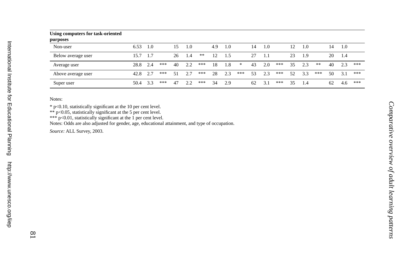| Using computers for task-oriented<br>purposes |      |     |     |    |     |     |     |     |     |    |     |     |    |     |     |    |     |     |
|-----------------------------------------------|------|-----|-----|----|-----|-----|-----|-----|-----|----|-----|-----|----|-----|-----|----|-----|-----|
| Non-user                                      | 6.53 | 1.0 |     | 15 | 1.0 |     | 4.9 | 1.0 |     | 14 | 1.0 |     | 12 | 1.0 |     | 14 | 1.0 |     |
| Below average user                            | 15.7 | 1.7 |     | 26 | 1.4 | **  | 12  | .5  |     | 27 | 1.1 |     | 23 | 1.9 |     | 20 | 1.4 |     |
| Average user                                  | 28.8 | 2.4 | *** | 40 | 2.2 | *** | 18  | 1.8 | *   | 43 | 2.0 | *** | 35 | 2.3 | **  | 40 | 2.3 | *** |
| Above average user                            | 42.8 | 2.7 | *** | 51 | 2.7 | *** | 28  | 2.3 | *** | 53 | 2.3 | *** | 52 | 3.3 | *** | 50 | 3.1 | *** |
| Super user                                    | 50.4 | 3.3 | *** | 47 | 2.2 | *** | 34  | 2.9 |     | 62 | 3.1 | *** | 35 | 1.4 |     | 62 | 4.6 | *** |

Notes:

\* p<0.10, statistically signifi cant at the 10 per cent level.

 $*$  p<0.05, statistically significant at the 5 per cent level.

\*\*\* p<0.01, statistically significant at the 1 per cent level.

Notes: Odds are also adjusted for gender, age, educational attainment, and type of occupation.

*Source:* ALL Survey, 2003.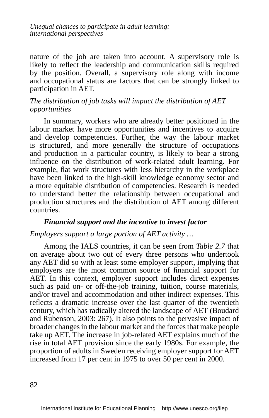*Unequal chances to participate in adult learning: international perspectives*

nature of the job are taken into account. A supervisory role is likely to reflect the leadership and communication skills required by the position. Overall, a supervisory role along with income and occupational status are factors that can be strongly linked to participation in AET.

## *The distribution of job tasks will impact the distribution of AET opportunities*

In summary, workers who are already better positioned in the labour market have more opportunities and incentives to acquire and develop competencies. Further, the way the labour market is structured, and more generally the structure of occupations and production in a particular country, is likely to bear a strong influence on the distribution of work-related adult learning. For example, flat work structures with less hierarchy in the workplace have been linked to the high-skill knowledge economy sector and a more equitable distribution of competencies. Research is needed to understand better the relationship between occupational and production structures and the distribution of AET among different countries.

## *Financial support and the incentive to invest factor*

## *Employers support a large portion of AET activity …*

Among the IALS countries, it can be seen from *Table 2.7* that on average about two out of every three persons who undertook any AET did so with at least some employer support, implying that employers are the most common source of financial support for AET. In this context, employer support includes direct expenses such as paid on- or off-the-job training, tuition, course materials, and/or travel and accommodation and other indirect expenses. This reflects a dramatic increase over the last quarter of the twentieth century, which has radically altered the landscape of AET (Boudard and Rubenson, 2003: 267). It also points to the pervasive impact of broader changes in the labour market and the forces that make people take up AET. The increase in job-related AET explains much of the rise in total AET provision since the early 1980s. For example, the proportion of adults in Sweden receiving employer support for AET increased from 17 per cent in 1975 to over 50 per cent in 2000.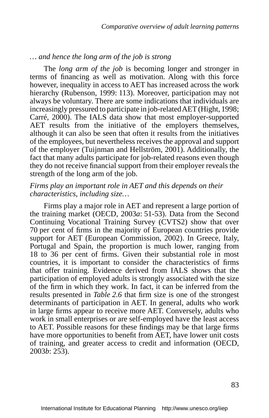#### *… and hence the long arm of the job is strong*

The *long arm of the job* is becoming longer and stronger in terms of financing as well as motivation. Along with this force however, inequality in access to AET has increased across the work hierarchy (Rubenson, 1999: 113). Moreover, participation may not always be voluntary. There are some indications that individuals are increasingly pressured to participate in job-related AET (Hight, 1998; Carré, 2000). The IALS data show that most employer-supported AET results from the initiative of the employers themselves, although it can also be seen that often it results from the initiatives of the employees, but nevertheless receives the approval and support of the employer (Tuijnman and Hellström, 2001). Additionally, the fact that many adults participate for job-related reasons even though they do not receive financial support from their employer reveals the strength of the long arm of the job.

## *Firms play an important role in AET and this depends on their characteristics, including size…*

Firms play a major role in AET and represent a large portion of the training market (OECD, 2003*a*: 51-53). Data from the Second Continuing Vocational Training Survey (CVTS2) show that over 70 per cent of firms in the majority of European countries provide support for AET (European Commission, 2002). In Greece, Italy, Portugal and Spain, the proportion is much lower, ranging from 18 to 36 per cent of firms. Given their substantial role in most countries, it is important to consider the characteristics of firms that offer training. Evidence derived from IALS shows that the participation of employed adults is strongly associated with the size of the firm in which they work. In fact, it can be inferred from the results presented in *Table 2.6* that firm size is one of the strongest determinants of participation in AET. In general, adults who work in large firms appear to receive more AET. Conversely, adults who work in small enterprises or are self-employed have the least access to AET. Possible reasons for these findings may be that large firms have more opportunities to benefit from AET, have lower unit costs of training, and greater access to credit and information (OECD, 2003*b*: 253).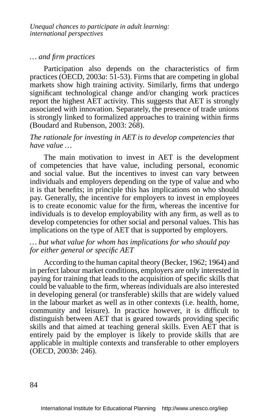*Unequal chances to participate in adult learning: international perspectives*

#### *… and fi rm practices*

Participation also depends on the characteristics of firm practices (OECD, 2003*a*: 51-53). Firms that are competing in global markets show high training activity. Similarly, firms that undergo significant technological change and/or changing work practices report the highest AET activity. This suggests that AET is strongly associated with innovation. Separately, the presence of trade unions is strongly linked to formalized approaches to training within firms (Boudard and Rubenson, 2003: 268).

## *The rationale for investing in AET is to develop competencies that have value …*

The main motivation to invest in AET is the development of competencies that have value, including personal, economic and social value. But the incentives to invest can vary between individuals and employers depending on the type of value and who it is that benefits; in principle this has implications on who should pay. Generally, the incentive for employers to invest in employees is to create economic value for the firm, whereas the incentive for individuals is to develop employability with any firm, as well as to develop competencies for other social and personal values. This has implications on the type of AET that is supported by employers.

#### *… but what value for whom has implications for who should pay for either general or specifi c AET*

According to the human capital theory (Becker, 1962; 1964) and in perfect labour market conditions, employers are only interested in paying for training that leads to the acquisition of specific skills that could be valuable to the firm, whereas individuals are also interested in developing general (or transferable) skills that are widely valued in the labour market as well as in other contexts (i.e. health, home, community and leisure). In practice however, it is difficult to distinguish between AET that is geared towards providing specific skills and that aimed at teaching general skills. Even AET that is entirely paid by the employer is likely to provide skills that are applicable in multiple contexts and transferable to other employers (OECD, 2003*b*: 246).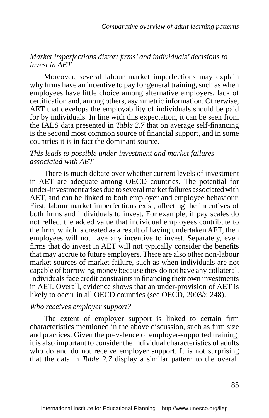## *Market imperfections distort fi rms' and individuals' decisions to invest in AET*

Moreover, several labour market imperfections may explain why firms have an incentive to pay for general training, such as when employees have little choice among alternative employers, lack of certification and, among others, asymmetric information. Otherwise, AET that develops the employability of individuals should be paid for by individuals. In line with this expectation, it can be seen from the IALS data presented in *Table 2.7* that on average self-financing is the second most common source of financial support, and in some countries it is in fact the dominant source.

## *This leads to possible under-investment and market failures associated with AET*

There is much debate over whether current levels of investment in AET are adequate among OECD countries. The potential for under-investment arises due to several market failures associated with AET, and can be linked to both employer and employee behaviour. First, labour market imperfections exist, affecting the incentives of both firms and individuals to invest. For example, if pay scales do not reflect the added value that individual employees contribute to the firm, which is created as a result of having undertaken AET, then employees will not have any incentive to invest. Separately, even firms that do invest in AET will not typically consider the benefits that may accrue to future employers. There are also other non-labour market sources of market failure, such as when individuals are not capable of borrowing money because they do not have any collateral. Individuals face credit constraints in financing their own investments in AET. Overall, evidence shows that an under-provision of AET is likely to occur in all OECD countries (see OECD, 2003*b*: 248).

## *Who receives employer support?*

The extent of employer support is linked to certain firm characteristics mentioned in the above discussion, such as firm size and practices. Given the prevalence of employer-supported training, it is also important to consider the individual characteristics of adults who do and do not receive employer support. It is not surprising that the data in *Table 2.7* display a similar pattern to the overall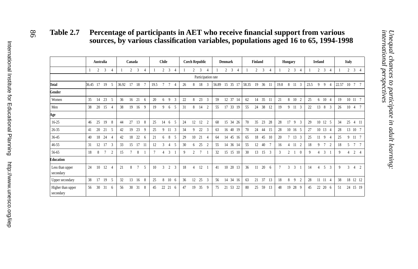| Table 2.7                      |               |                |                       |                | Percentage of participants in AET who receive financial support from various<br>sources, by various classification variables, populations aged 16 to 65, 1994-1998 |                |                |                |      |              |                      |                |    |                       |               |                    |       |                |             |       |                |               |             |                |                      |                |                |                       |                |                |                      |  |
|--------------------------------|---------------|----------------|-----------------------|----------------|--------------------------------------------------------------------------------------------------------------------------------------------------------------------|----------------|----------------|----------------|------|--------------|----------------------|----------------|----|-----------------------|---------------|--------------------|-------|----------------|-------------|-------|----------------|---------------|-------------|----------------|----------------------|----------------|----------------|-----------------------|----------------|----------------|----------------------|--|
|                                |               | Australia      |                       |                |                                                                                                                                                                    | Canada         |                |                |      | <b>Chile</b> |                      |                |    | <b>Czech Republic</b> |               |                    |       | <b>Denmark</b> |             |       | Finland        |               |             | <b>Hungary</b> |                      |                | <b>Ireland</b> |                       |                | Italy          |                      |  |
|                                |               | $\overline{2}$ | 3                     | $\overline{4}$ |                                                                                                                                                                    | $\overline{c}$ | $\overline{3}$ | $\overline{4}$ |      |              | $2 \quad 3$          |                |    | 2                     | $\mathcal{R}$ |                    |       |                | $2 \quad 3$ |       | $\overline{c}$ | 3             |             | $2 \quad 3$    | $\overline{4}$       |                | $2 \quad 3$    |                       |                |                | $2 \t3 \t4$          |  |
|                                |               |                |                       |                |                                                                                                                                                                    |                |                |                |      |              |                      |                |    |                       |               | Participation rate |       |                |             |       |                |               |             |                |                      |                |                |                       |                |                |                      |  |
| Total                          | 36.45 17 19 5 |                |                       |                | 36.92 17 18 7                                                                                                                                                      |                |                |                | 19.5 |              | 7 7                  |                | 26 | 8                     | 18            |                    | 56.89 |                | 15 35 17    | 58.35 |                | 19 36 11      | 19.8 8 11 3 |                |                      | 23.5           | $9 \quad 9$    | $\overline{4}$        | $22.57$ 10 7 7 |                |                      |  |
| Gender                         |               |                |                       |                |                                                                                                                                                                    |                |                |                |      |              |                      |                |    |                       |               |                    |       |                |             |       |                |               |             |                |                      |                |                |                       |                |                |                      |  |
| Women                          | 35            | 14             | 23                    | $\overline{5}$ | 36                                                                                                                                                                 |                | 16 21          | 6              | 20   |              | 6 <sup>9</sup>       | $\overline{3}$ | 22 | 8                     | 23            | $\overline{3}$     | 59    |                | 12 37 14    | 62    |                | 14 35 11      | 21          |                | 8 10 2               | 25             |                | $6 \t10 \t4$          | 19             |                | $10 \t11 \t7$        |  |
| Men                            | 38            |                | 20 15                 | $\overline{4}$ | 38                                                                                                                                                                 |                | 19 16 9        |                | 19   |              | $9\quad 6$           | -5             | 31 | 8                     | 14 2          |                    | 55    |                | 17 33 19    | 55    |                | 24 38 12      | 19          |                | 9 11 3               | 22             |                | 13 8 3                | 26             |                | $10 \quad 4 \quad 7$ |  |
| Age                            |               |                |                       |                |                                                                                                                                                                    |                |                |                |      |              |                      |                |    |                       |               |                    |       |                |             |       |                |               |             |                |                      |                |                |                       |                |                |                      |  |
| $16 - 25$                      | 46            | 25             | 19                    | $\mathbf{8}$   | 44                                                                                                                                                                 | 27             | 13             | 8              | 25   |              | $14 \quad 6 \quad 5$ |                | 24 |                       | $12 \quad 12$ | $\overline{2}$     | 68    |                | 15 34 26    | 70    | 35             | 23 28         | 28          |                | 1793                 | 29             |                | $10 \t12 \t5$         | 34             |                | 25 4 11              |  |
| $26 - 35$                      | 41            | 20             | 21                    | 5              | 42                                                                                                                                                                 | 19             | 23             | - 9            | 25   |              | $9 \quad 11$         | $\overline{3}$ | 34 | $\mathbf{Q}$          | 22            | 3                  | 63    |                | 16 40 19    | 70    |                | 24 44 15      | 28          |                | $10 \t16 \t5$        | 27             |                | $10 \t13 \t4$         | 28             |                | 13 10 7              |  |
| $36 - 45$                      | 40            | 18             | 24                    | $\overline{4}$ | 42                                                                                                                                                                 | 18             | 22             | - 6            | 21   |              | 6 8                  | 5              | 29 |                       | $10 \quad 21$ | $\overline{4}$     | 64    |                | 14 45 16    | 65    |                | 18 45 10      | 20          |                | $7 \t13 \t3$         | 25             | $11 \quad 9$   |                       | 25             |                | 9 11 7               |  |
| $46 - 55$                      | 31            |                | $12 \quad 17 \quad 3$ |                | 33                                                                                                                                                                 |                | 15 17 11       |                | 12   |              | $3 \quad 4$          | 5              | 30 | 6                     | 25            | $\overline{2}$     | 55    |                | 14 36 14    | 55    |                | 12 40 7       | 16          |                | $4 \quad 11 \quad 2$ | 18             | 9 <sub>7</sub> | $\overline{2}$        | 18             |                | 5 7 7                |  |
| 56-65                          | 18            | 8              | $\overline{7}$        | $\overline{c}$ | 15                                                                                                                                                                 | 7              | 8              |                |      |              | $4 \overline{3}$     |                | 9  | $\overline{2}$        | 7             |                    | 32    |                | 15 15 10    | 30    |                | 13 15 3       | 3           | 2 <sub>1</sub> | $\overline{0}$       | $\overline{9}$ |                | $\overline{3}$        | 9              | $\overline{4}$ | 2 <sub>1</sub>       |  |
| <b>Education</b>               |               |                |                       |                |                                                                                                                                                                    |                |                |                |      |              |                      |                |    |                       |               |                    |       |                |             |       |                |               |             |                |                      |                |                |                       |                |                |                      |  |
| Less than upper<br>secondary   | 24            |                | $10 \t12 \t4$         |                | 21                                                                                                                                                                 | 8              | 7              | 5              | 10   |              | $3 \quad 2$          | $\overline{3}$ | 18 | 4                     | 12            |                    | 41    |                | 10 20 13    | 36    |                | $11 \t20 \t6$ | $\tau$      |                | $3 \quad 3 \quad 1$  | 14             | $\overline{4}$ | 5 <sup>3</sup>        | 9              | $\mathcal{E}$  | $4\quad 2$           |  |
| Upper secondary                | 38            |                | 17 19 5               |                | 32                                                                                                                                                                 | 13             |                | 16 8           | 25   |              | 8 10 6               |                | 36 |                       | 12 25         | 3                  | 56    |                | 14 34 16    | 63    |                | 21 37 13      | 18          |                | $8 \t 9 \t 2$        | 28             |                | $11 \quad 11 \quad 4$ | 38             |                | 18 12 12             |  |
| Higher than upper<br>secondary | 56            | 30             | 31                    | 6              | 56                                                                                                                                                                 |                | 30 31 8        |                | 45   |              | 22 21 6              |                | 47 |                       | 19 35         | 9                  | 75    |                | 21 53 22    | 80    | 25             | 59 13         | 48          |                | 19 28 9              | 45             |                | 22 20 6               | 51             |                | 24 15 19             |  |

| <b>Table 2.7</b> | Percentage of participants in AET who receive financial support from various       |
|------------------|------------------------------------------------------------------------------------|
|                  | sources, by various classification variables, populations aged 16 to 65, 1994-1998 |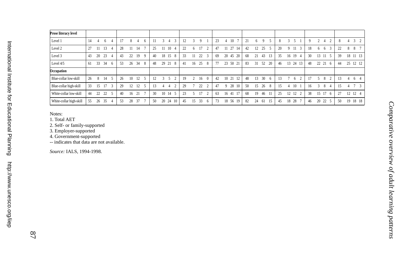| Prose literacy level    |    |    |    |              |    |    |    |              |    |   |             |          |    |    |              |                |    |             |          |    |    |             |      |    |    |               |          |        |         |               |    |   |                |
|-------------------------|----|----|----|--------------|----|----|----|--------------|----|---|-------------|----------|----|----|--------------|----------------|----|-------------|----------|----|----|-------------|------|----|----|---------------|----------|--------|---------|---------------|----|---|----------------|
| Level 1                 | 14 |    |    |              | 17 |    |    | <sup>n</sup> | 11 | 3 | 3<br>4      |          | 12 |    | $\mathbf{Q}$ |                | 23 |             |          | 21 | 6  | $\mathbf Q$ |      | 8  |    |               | $\Omega$ | $\sim$ |         |               |    | 4 | $3 \quad 2$    |
| Level 2                 | 27 | 11 | 13 | 4            | 28 |    | 14 |              | 25 |   | 10          |          | 22 |    | 17           |                | 47 |             | 27<br>14 | 42 | 12 | 25          |      | 20 | 9  | $\mathcal{R}$ | 18       | 6      |         | $\mathcal{R}$ | 22 | 8 | 8              |
| Level 3                 | 43 | 20 | 23 |              | 43 | 22 | 19 | 9            | 40 |   | 18 15<br>8  |          | 33 | 11 | 22           |                | 69 |             | 20 45 20 | 68 | 21 | 43          | 13   | 35 | 16 | 19            | 30       |        | 13 11 5 |               | 39 |   | 18 11 13       |
| Level 4/5               | 61 | 33 | 34 | 6            | 53 | 26 | 34 | 8            | 48 |   | 29 21       | 8        | 41 | 16 | 25           | 8              | 77 |             | 23 50 21 | 83 | 31 | 52          | 20   | 46 |    | 13 24 13      | 48       | 22     | 21      | -6            | 44 |   | 25 12 12       |
| Occupation              |    |    |    |              |    |    |    |              |    |   |             |          |    |    |              |                |    |             |          |    |    |             |      |    |    |               |          |        |         |               |    |   |                |
| Blue-collar low-skill   | 26 | 8  | 14 |              | 26 | 10 | 12 |              | 12 | 3 | -5          | $\gamma$ | 19 |    | 16           | $\theta$       | 42 | $10\quad21$ | 12       | 48 | 13 | 30          | -6   | 13 |    | 6             | 17       |        |         |               | 13 | 4 | 6 4            |
| Blue-collar high-skill  | 33 | 15 | 17 | $\mathbf{3}$ | 29 | 12 | 12 |              | 13 | 4 | 4           | $\gamma$ | 29 |    | 22           |                | 47 | Q           | 28<br>10 | 50 | 15 | 26          | -8   | 15 |    | 10            | 16       |        | 8       | $\mathcal{A}$ | 15 | 4 | $\overline{3}$ |
| White-collar low-skill  | 44 | 22 | 22 | 5            | 40 | 16 | 21 | n,           | 30 |   | 10 14       | 5        | 23 |    | 17           | $\overline{2}$ | 63 |             | 16 41 17 | 68 | 19 | 46          | - 11 | 25 |    | 12 12 2       | 38       |        | 15 17 6 |               | 27 |   | 12 12 4        |
| White-collar high-skill | 55 | 26 | 35 | 4            | 53 | 28 | 37 |              | 50 |   | 20 24<br>10 |          | 45 | 15 | 33           | -6             | 73 |             | 18 56 19 | 82 | 24 | 61          | 15   | 45 | 18 | 28            | 46       | 20     | 22 5    |               | 50 |   | 19 18 18       |

Notes:

1. Total AET

2. Self- or family-supported

3. Employer-supported 4. Government-supported -- indicates that data are not available.

*Source:* IALS, 1994-1998.

International Institute for Educational Planning http://www.unesco.org/iiep

http://www.unesco.org/iiep

International Institute for Educational Planning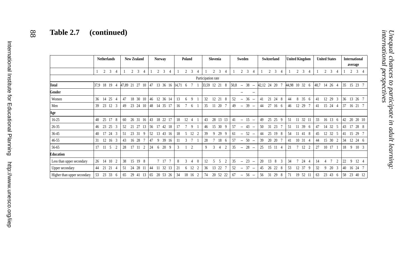|                             |              |               | <b>Netherlands</b> |                |    | <b>New Zealand</b>               |                      |     |                | <b>Norway</b>  |                |                  | Poland         |                |                |    | Slovenia           |                |                |      | Sweden                   |        |                          |               | Switzerland |                 |    |                                  | <b>United Kingdom</b> |    |    | <b>United States</b> |                |               | <b>International</b><br>average |  |
|-----------------------------|--------------|---------------|--------------------|----------------|----|----------------------------------|----------------------|-----|----------------|----------------|----------------|------------------|----------------|----------------|----------------|----|--------------------|----------------|----------------|------|--------------------------|--------|--------------------------|---------------|-------------|-----------------|----|----------------------------------|-----------------------|----|----|----------------------|----------------|---------------|---------------------------------|--|
|                             |              |               | 2 3                |                |    | $\overline{2}$<br>$\overline{3}$ |                      |     | $\overline{c}$ | $\overline{3}$ | $\overline{4}$ |                  | $\overline{c}$ | 3              |                |    | $\overline{2}$     | 3              |                |      | $2 \quad 3$              |        | $\overline{4}$           |               | $2 \quad 3$ | $\Delta$        |    | $\overline{2}$<br>$\overline{3}$ | $\overline{4}$        |    |    | $2 \quad 3$          |                |               | $2 \quad 3$                     |  |
|                             |              |               |                    |                |    |                                  |                      |     |                |                |                |                  |                |                |                |    | Participation rate |                |                |      |                          |        |                          |               |             |                 |    |                                  |                       |    |    |                      |                |               |                                 |  |
| Total                       | 37.9 18 19 4 |               |                    |                |    |                                  | 47.89 21 27 10       | 47  |                |                |                | 13 36 16 14,71 6 |                | 7              |                |    | 33,59 12 21 8      |                |                | 50,8 | $-38 -$                  |        |                          | 42.12 24 20 7 |             |                 |    |                                  | 44,98 10 32 6         |    |    | 40,7 14 26 4         |                | 35 15 23 7    |                                 |  |
| Gender                      |              |               |                    |                |    |                                  |                      |     |                |                |                |                  |                |                |                |    |                    |                |                |      | ۰.                       |        | $\overline{\phantom{a}}$ |               |             |                 |    |                                  |                       |    |    |                      |                |               |                                 |  |
| Women                       |              |               | 36 14 25           |                | 47 |                                  | 18 30 10             |     |                | 46 12 36 14    |                | 13               | 6              | $\overline{9}$ |                | 32 |                    | 12 21          | - 8            | 52   | $\overline{\phantom{a}}$ | $36 -$ |                          | 41            | 21 24 8     |                 | 44 |                                  | 8 35 6                | 41 |    | 12 29 3              |                | 36 13 26 7    |                                 |  |
| Men                         |              |               | 39 23 12 3         |                | 49 |                                  | 23 24 10             |     |                | 48 14 35 17    |                | 16               | $\tau$         | 6              |                | 35 |                    | 11 20 7        |                | 49   | $\sim$                   | 39     | $\sim$                   | 44            | 27          | 16 <sub>6</sub> | 46 |                                  | 12 29 7               | 41 |    | 15 24                | $\overline{4}$ | 37 16 21 7    |                                 |  |
| Age                         |              |               |                    |                |    |                                  |                      |     |                |                |                |                  |                |                |                |    |                    |                |                |      |                          |        |                          |               |             |                 |    |                                  |                       |    |    |                      |                |               |                                 |  |
| $16 - 25$                   | 48 25 17     |               |                    | 8              | 60 |                                  | 26 31 16             |     |                | 43 18 22 17    |                |                  | 18 12          | $\overline{4}$ |                | 43 |                    | 28 13 13       |                | 41   | $-15 -$                  |        |                          | 49            | 25          | $25 - 9$        | 51 |                                  | 11 32 11              | 33 |    | $16 \t13 \t6$        |                | 42 20 20 10   |                                 |  |
| $26 - 35$                   |              |               | 46 23 25 3         |                | 52 |                                  | 21 27 13             | 156 |                | 17 42 18       |                | 17               | $\tau$         | 9              |                | 46 |                    | 15 30 9        |                | 57   | $-43 -$                  |        |                          | 50            | 31 23 7     |                 | 51 |                                  | 11 39 6               | 47 |    | 14 32 5              |                | 43 17 28 8    |                                 |  |
| $36 - 45$                   |              |               | 40 17 24 3         |                | 51 | 23 31                            | 9                    |     |                | 52 13 43 16    |                | 18               | 5              | 12 2           |                | 39 | 9                  | 29 9           |                | 61   | $\sim$                   | $52 -$ |                          | 44            | 25          | 198             | 54 |                                  | 11 41 8               | 45 | 12 | 32 5                 |                | 41 15 29      |                                 |  |
| $46 - 55$                   | 31 12 16 3   |               |                    |                | 43 | 16 28                            | 7                    | 47  | 9              |                | 39 16          | 11               | 3              | 7              |                | 28 | $\tau$             | 18 6           |                | 57   | $\sim$                   | $50 -$ |                          | 39            | 20 20 7     |                 | 41 |                                  | 10314                 | 44 |    | 15 30 2              |                | 34 12 24 6    |                                 |  |
| 56-65                       |              | $17$ $11$ $5$ |                    | 2              | 28 | 17 11                            | 2                    | 24  | 6              | 20 9           |                | 3                |                | 2              |                | 9  | $\overline{3}$     | $\overline{4}$ | $\overline{2}$ | 35   | $\sim$                   | 28     | $\sim$                   | 25            | 15 11 4     |                 | 21 | $7\phantom{.0}$                  | 12 <sub>2</sub>       | 27 |    | $10$ $17$ $1$        |                | 18 9 10 3     |                                 |  |
| <b>Education</b>            |              |               |                    |                |    |                                  |                      |     |                |                |                |                  |                |                |                |    |                    |                |                |      |                          |        |                          |               |             |                 |    |                                  |                       |    |    |                      |                |               |                                 |  |
| Less than upper secondary   |              |               | 26 14 10           | $\overline{c}$ | 38 |                                  | 15 19 8              |     |                | 7 17 7         |                | 8                | $\overline{3}$ | $\overline{4}$ | $\overline{0}$ | 12 | 5                  | 5              | 2              | 35   | $\sim$                   | 23     | $\sim$                   | 20            | 13 8        | 3               | 34 | 24<br>$\overline{7}$             | $\overline{4}$        | 14 |    | 7                    | $\overline{2}$ | $22^{\circ}$  | 9 12 4                          |  |
| Upper secondary             |              | 44 21 21      |                    |                | 51 |                                  | 24 28 11             | 44  |                | 11 32 13       |                | 21               | 6              | 12 2           |                | 36 |                    | 13 22          |                | 52   | $\sim$                   | $37 -$ |                          | 45            | 26 22 8     |                 | 53 |                                  | 12 37 9               | 32 | 9  | 20 3                 |                | 40  16  24  7 |                                 |  |
| Higher than upper secondary | 53           |               | 23 33 6            |                | 65 |                                  | 29 41 13 65 20 53 26 |     |                |                |                | 34               |                | 18 16 2        |                | 74 |                    | 20 52 22       |                | 67   | $\sim$                   | $56 -$ |                          | 56            | 31          | 29<br>- 8       | 71 | 19                               | 52 11                 | 63 | 23 | 43                   | - 6            | 58            | 23 40 12                        |  |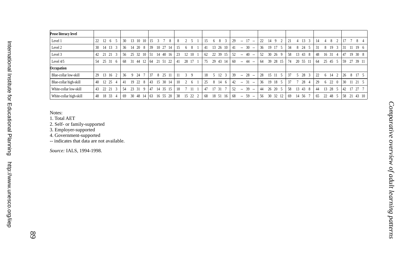| Prose literacy level    |                       |                                 |                            |                         |                            |                                                                        |                          |                                               |
|-------------------------|-----------------------|---------------------------------|----------------------------|-------------------------|----------------------------|------------------------------------------------------------------------|--------------------------|-----------------------------------------------|
| Level 1                 | 22<br>12              | 13 10<br>10 <sup>10</sup><br>30 | 8<br>15                    |                         | 8<br>29<br>15<br>6         | 17<br>22<br>$\overline{9}$<br>14<br>$\overline{\phantom{a}}$<br>$\sim$ | 13                       | 84<br>14                                      |
| Level 2                 | 30<br>14 13           | 14 20<br>36<br>8                | 10 27<br>39<br>14          | 15<br>8<br>6.           | 13 26 10<br>41<br> 41      | 30<br>36<br>19<br>17<br>$\overline{\phantom{a}}$<br>$\sim$             | 34<br>8<br>24<br>5       | 196<br>31<br>8<br>19<br>11<br>31<br>3         |
| Level 3                 | 21<br>21<br>42        | 25 32<br>10<br>56               | 40<br>16<br>51<br>14       | 10<br>12<br>23          | 39<br>22<br>62<br>52<br>15 | 40<br>52<br>26<br>30<br>$\mathbf Q$<br>$\sim$<br>$-$                   | 43<br>58<br>13<br>8      | 30 8<br>16 31<br>19<br>48<br>47               |
| Level $4/5$             | 25 31<br>54<br>-6     | 31<br>-12<br>68<br>-44          | 51<br>-22<br>21<br>64      | 28 17<br>41             | 29 43 14<br>75<br>60       | 39 28 15<br>44<br>64<br>$\sim$<br>$\sim$                               | 20<br>55 11<br>74        | 27<br>39 11<br>25 45 5<br>59<br>64            |
| Occupation              |                       |                                 |                            |                         |                            |                                                                        |                          |                                               |
| Blue-collar low-skill   | 29<br>13 16<br>$\sim$ | 24<br>36<br>9                   | 37<br>25<br>8              | $3 \quad 9$             | 5 12<br>39<br>18           | 28<br>28<br>15<br>$\overline{\phantom{a}}$                             | 28<br>37<br>$\mathbf{c}$ | 8 17 5<br>22<br>26<br>14<br>6.                |
| Blue-collar high-skill  | 40<br>12 25           | 19 22<br>8                      | 15 30<br>43<br>-14         | -6                      | 25<br>8<br>14<br>42<br>6   | 31<br>36<br>18<br>19<br>$\overline{\phantom{a}}$<br>$\sim$             | 28<br>37                 | $11 \quad 21 \quad 5$<br>29<br>22<br>30<br>6. |
| White-collar low-skill  | 22 21<br>43           | 23 31<br>54<br>$\mathbf Q$      | 35 15<br>47<br>14          | 18                      | 31<br>47<br>17<br>52       | 39<br>26 20 5<br>44<br>$\overline{\phantom{a}}$<br>$\sim$              | 13 43<br>58<br>8         | 17 27 7<br>13 28<br>44<br>42                  |
| White-collar high-skill | 18 33<br>48           | 30 48 14<br>69                  | 16 55 20<br>$\frac{1}{63}$ | 15 22<br>38<br>$\gamma$ | 18 51 16<br>68<br>68       | 59<br>32<br>30<br>56<br>-12<br>$\overline{\phantom{a}}$<br>$\sim$      | 14 56<br>69              | $21 \t43 \t10$<br>22 48<br>65<br>58<br>-5     |

Notes:

1. Total AET

2. Self- or family-supported

3. Employer-supported 4. Government-supported -- indicates that data are not available.

*Source:* IALS, 1994-1998.

International Institute for Educational Planning http://www.unesco.org/iiep

http://www.unesco.org/iiep

International Institute for Educational Planning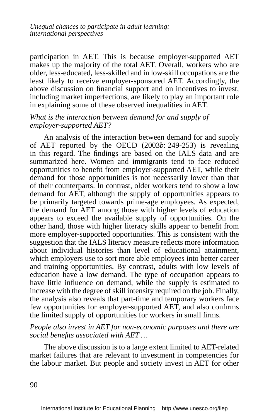participation in AET. This is because employer-supported AET makes up the majority of the total AET. Overall, workers who are older, less-educated, less-skilled and in low-skill occupations are the least likely to receive employer-sponsored AET. Accordingly, the above discussion on financial support and on incentives to invest, including market imperfections, are likely to play an important role in explaining some of these observed inequalities in AET.

## *What is the interaction between demand for and supply of employer-supported AET?*

An analysis of the interaction between demand for and supply of AET reported by the OECD (2003*b*: 249-253) is revealing in this regard. The findings are based on the IALS data and are summarized here. Women and immigrants tend to face reduced opportunities to benefit from employer-supported AET, while their demand for those opportunities is not necessarily lower than that of their counterparts. In contrast, older workers tend to show a low demand for AET, although the supply of opportunities appears to be primarily targeted towards prime-age employees. As expected, the demand for AET among those with higher levels of education appears to exceed the available supply of opportunities. On the other hand, those with higher literacy skills appear to benefit from more employer-supported opportunities. This is consistent with the suggestion that the IALS literacy measure reflects more information about individual histories than level of educational attainment, which employers use to sort more able employees into better career and training opportunities. By contrast, adults with low levels of education have a low demand. The type of occupation appears to have little influence on demand, while the supply is estimated to increase with the degree of skill intensity required on the job. Finally, the analysis also reveals that part-time and temporary workers face few opportunities for employer-supported AET, and also confirms the limited supply of opportunities for workers in small firms.

*People also invest in AET for non-economic purposes and there are social benefi ts associated with AET …*

The above discussion is to a large extent limited to AET-related market failures that are relevant to investment in competencies for the labour market. But people and society invest in AET for other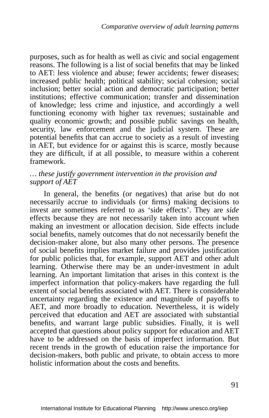purposes, such as for health as well as civic and social engagement reasons. The following is a list of social benefits that may be linked to AET: less violence and abuse; fewer accidents; fewer diseases; increased public health; political stability; social cohesion; social inclusion; better social action and democratic participation; better institutions; effective communication; transfer and dissemination of knowledge; less crime and injustice, and accordingly a well functioning economy with higher tax revenues; sustainable and quality economic growth; and possible public savings on health, security, law enforcement and the judicial system. These are potential benefits that can accrue to society as a result of investing in AET, but evidence for or against this is scarce, mostly because they are difficult, if at all possible, to measure within a coherent framework.

## *… these justify government intervention in the provision and support of AET*

In general, the benefits (or negatives) that arise but do not necessarily accrue to individuals (or firms) making decisions to invest are sometimes referred to as 'side effects'. They are *side* effects because they are not necessarily taken into account when making an investment or allocation decision. Side effects include social benefits, namely outcomes that do not necessarily benefit the decision-maker alone, but also many other persons. The presence of social benefits implies market failure and provides justification for public policies that, for example, support AET and other adult learning. Otherwise there may be an under-investment in adult learning. An important limitation that arises in this context is the imperfect information that policy-makers have regarding the full extent of social benefits associated with AET. There is considerable uncertainty regarding the existence and magnitude of payoffs to AET, and more broadly to education. Nevertheless, it is widely perceived that education and AET are associated with substantial benefits, and warrant large public subsidies. Finally, it is well accepted that questions about policy support for education and AET have to be addressed on the basis of imperfect information. But recent trends in the growth of education raise the importance for decision-makers, both public and private, to obtain access to more holistic information about the costs and benefits.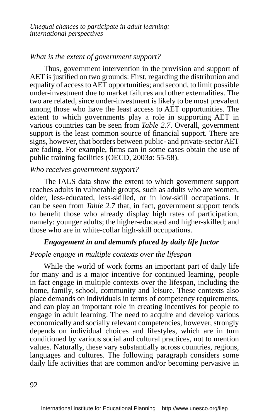*Unequal chances to participate in adult learning: international perspectives*

#### *What is the extent of government support?*

Thus, government intervention in the provision and support of AET is justified on two grounds: First, regarding the distribution and equality of access to AET opportunities; and second, to limit possible under-investment due to market failures and other externalities. The two are related, since under-investment is likely to be most prevalent among those who have the least access to AET opportunities. The extent to which governments play a role in supporting AET in various countries can be seen from *Table 2.7*. Overall, government support is the least common source of financial support. There are signs, however, that borders between public- and private-sector AET are fading. For example, firms can in some cases obtain the use of public training facilities (OECD, 2003*a*: 55-58).

#### *Who receives government support?*

The IALS data show the extent to which government support reaches adults in vulnerable groups, such as adults who are women, older, less-educated, less-skilled, or in low-skill occupations. It can be seen from *Table 2.7* that, in fact, government support tends to benefit those who already display high rates of participation, namely: younger adults; the higher-educated and higher-skilled; and those who are in white-collar high-skill occupations.

#### *Engagement in and demands placed by daily life factor*

#### *People engage in multiple contexts over the lifespan*

While the world of work forms an important part of daily life for many and is a major incentive for continued learning, people in fact engage in multiple contexts over the lifespan, including the home, family, school, community and leisure. These contexts also place demands on individuals in terms of competency requirements, and can play an important role in creating incentives for people to engage in adult learning. The need to acquire and develop various economically and socially relevant competencies, however, strongly depends on individual choices and lifestyles, which are in turn conditioned by various social and cultural practices, not to mention values. Naturally, these vary substantially across countries, regions, languages and cultures. The following paragraph considers some daily life activities that are common and/or becoming pervasive in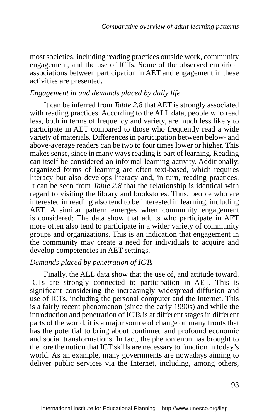most societies, including reading practices outside work, community engagement, and the use of ICTs. Some of the observed empirical associations between participation in AET and engagement in these activities are presented.

## *Engagement in and demands placed by daily life*

It can be inferred from *Table 2.8* that AET is strongly associated with reading practices. According to the ALL data, people who read less, both in terms of frequency and variety, are much less likely to participate in AET compared to those who frequently read a wide variety of materials. Differences in participation between below- and above-average readers can be two to four times lower or higher. This makes sense, since in many ways reading is part of learning. Reading can itself be considered an informal learning activity. Additionally, organized forms of learning are often text-based, which requires literacy but also develops literacy and, in turn, reading practices. It can be seen from *Table 2.8* that the relationship is identical with regard to visiting the library and bookstores. Thus, people who are interested in reading also tend to be interested in learning, including AET. A similar pattern emerges when community engagement is considered: The data show that adults who participate in AET more often also tend to participate in a wider variety of community groups and organizations. This is an indication that engagement in the community may create a need for individuals to acquire and develop competencies in AET settings.

## *Demands placed by penetration of ICTs*

Finally, the ALL data show that the use of, and attitude toward, ICTs are strongly connected to participation in AET. This is significant considering the increasingly widespread diffusion and use of ICTs, including the personal computer and the Internet. This is a fairly recent phenomenon (since the early 1990s) and while the introduction and penetration of ICTs is at different stages in different parts of the world, it is a major source of change on many fronts that has the potential to bring about continued and profound economic and social transformations. In fact, the phenomenon has brought to the fore the notion that ICT skills are necessary to function in today's world. As an example, many governments are nowadays aiming to deliver public services via the Internet, including, among others,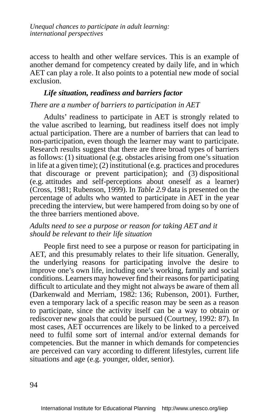*Unequal chances to participate in adult learning: international perspectives*

access to health and other welfare services. This is an example of another demand for competency created by daily life, and in which AET can play a role. It also points to a potential new mode of social exclusion.

## *Life situation, readiness and barriers factor*

## *There are a number of barriers to participation in AET*

Adults' readiness to participate in AET is strongly related to the value ascribed to learning, but readiness itself does not imply actual participation. There are a number of barriers that can lead to non-participation, even though the learner may want to participate. Research results suggest that there are three broad types of barriers as follows: (1) situational (e.g. obstacles arising from one's situation in life at a given time); (2) institutional (e.g. practices and procedures that discourage or prevent participation); and (3) dispositional (e.g. attitudes and self-perceptions about oneself as a learner) (Cross, 1981; Rubenson, 1999). In *Table 2.9* data is presented on the percentage of adults who wanted to participate in AET in the year preceding the interview, but were hampered from doing so by one of the three barriers mentioned above.

## *Adults need to see a purpose or reason for taking AET and it should be relevant to their life situation*

People first need to see a purpose or reason for participating in AET, and this presumably relates to their life situation. Generally, the underlying reasons for participating involve the desire to improve one's own life, including one's working, family and social conditions. Learners may however find their reasons for participating difficult to articulate and they might not always be aware of them all (Darkenwald and Merriam, 1982: 136; Rubenson, 2001). Further, even a temporary lack of a specific reason may be seen as a reason to participate, since the activity itself can be a way to obtain or rediscover new goals that could be pursued (Courtney, 1992: 87). In most cases, AET occurrences are likely to be linked to a perceived need to fulfil some sort of internal and/or external demands for competencies. But the manner in which demands for competencies are perceived can vary according to different lifestyles, current life situations and age (e.g. younger, older, senior).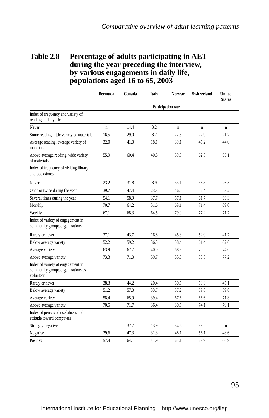## **Table 2.8 Percentage of adults participating in AET during the year preceding the interview, by various engagements in daily life, populations aged 16 to 65, 2003**

|                                                                                     | <b>Bermuda</b> | Canada | <b>Italy</b> | <b>Norway</b>      | <b>Switzerland</b> | <b>United</b><br><b>States</b> |
|-------------------------------------------------------------------------------------|----------------|--------|--------------|--------------------|--------------------|--------------------------------|
|                                                                                     |                |        |              | Participation rate |                    |                                |
| Index of frequency and variety of<br>reading in daily life                          |                |        |              |                    |                    |                                |
| Never                                                                               | $\mathbf{n}$   | 14.4   | 3.2          | $\mathbf n$        | $\mathsf{n}$       | $\mathbf{n}$                   |
| Some reading, little variety of materials                                           | 16.5           | 29.0   | 8.7          | 22.8               | 22.9               | 21.7                           |
| Average reading, average variety of<br>materials                                    | 32.0           | 41.0   | 18.1         | 39.1               | 45.2               | 44.0                           |
| Above average reading, wide variety<br>of materials                                 | 55.9           | 60.4   | 40.8         | 59.9               | 62.3               | 66.1                           |
| Index of frequency of visiting library<br>and bookstores                            |                |        |              |                    |                    |                                |
| Never                                                                               | 23.2           | 31.8   | 8.9          | 33.1               | 36.8               | 26.5                           |
| Once or twice during the year                                                       | 39.7           | 47.4   | 23.3         | 46.0               | 56.4               | 53.2                           |
| Several times during the year                                                       | 54.1           | 58.9   | 37.7         | 57.1               | 61.7               | 66.3                           |
| Monthly                                                                             | 70.7           | 64.2   | 51.6         | 69.1               | 71.4               | 69.0                           |
| Weekly                                                                              | 67.1           | 68.3   | 64.5         | 79.0               | 77.2               | 71.7                           |
| Index of variety of engagement in<br>community groups/organizations                 |                |        |              |                    |                    |                                |
| Rarely or never                                                                     | 37.1           | 43.7   | 16.8         | 45.3               | 52.0               | 41.7                           |
| Below average variety                                                               | 52.2           | 59.2   | 36.3         | 58.4               | 61.4               | 62.6                           |
| Average variety                                                                     | 63.9           | 67.7   | 40.0         | 68.8               | 70.5               | 74.6                           |
| Above average variety                                                               | 73.3           | 71.0   | 59.7         | 83.0               | 80.3               | 77.2                           |
| Index of variety of engagement in<br>community groups/organizations as<br>volunteer |                |        |              |                    |                    |                                |
| Rarely or never                                                                     | 38.3           | 44.2   | 20.4         | 50.5               | 53.3               | 45.1                           |
| Below average variety                                                               | 51.2           | 57.0   | 33.7         | 57.2               | 59.8               | 59.8                           |
| Average variety                                                                     | 58.4           | 65.9   | 39.4         | 67.6               | 66.6               | 71.3                           |
| Above average variety                                                               | 70.5           | 71.7   | 36.4         | 80.5               | 74.1               | 79.1                           |
| Index of perceived usefulness and<br>attitude toward computers                      |                |        |              |                    |                    |                                |
| Strongly negative                                                                   | n              | 37.7   | 13.9         | 34.6               | 39.5               | $\mathsf{n}$                   |
| Negative                                                                            | 29.6           | 47.3   | 31.3         | 48.1               | 56.1               | 48.6                           |
| Positive                                                                            | 57.4           | 64.1   | 41.9         | 65.1               | 68.9               | 66.9                           |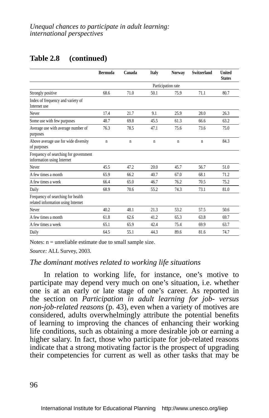|                                                                         | <b>Bermuda</b> | Canada | Italy       | Norway             | <b>Switzerland</b> | <b>United</b><br><b>States</b> |
|-------------------------------------------------------------------------|----------------|--------|-------------|--------------------|--------------------|--------------------------------|
|                                                                         |                |        |             | Participation rate |                    |                                |
| Strongly positive                                                       | 68.6           | 71.0   | 50.1        | 75.9               | 71.1               | 80.7                           |
| Index of frequency and variety of<br>Internet use                       |                |        |             |                    |                    |                                |
| Never                                                                   | 17.4           | 21.7   | 9.1         | 25.9               | 28.0               | 26.3                           |
| Some use with few purposes                                              | 48.7           | 69.8   | 45.5        | 61.3               | 66.6               | 63.2                           |
| Average use with average number of<br>purposes                          | 76.3           | 78.5   | 47.1        | 75.6               | 73.6               | 75.0                           |
| Above average use for wide diversity<br>of purposes                     | n              | n      | $\mathbf n$ | n                  | $\mathsf{n}$       | 84.3                           |
| Frequency of searching for government<br>information using Internet     |                |        |             |                    |                    |                                |
| Never                                                                   | 45.5           | 47.2   | 20.0        | 45.7               | 56.7               | 51.0                           |
| A few times a month                                                     | 65.9           | 66.2   | 40.7        | 67.0               | 68.1               | 71.2                           |
| A few times a week                                                      | 66.4           | 65.0   | 46.7        | 76.2               | 70.5               | 75.2                           |
| Daily                                                                   | 68.9           | 70.6   | 55.2        | 74.3               | 73.1               | 81.0                           |
| Frequency of searching for health<br>related information using Internet |                |        |             |                    |                    |                                |
| Never                                                                   | 40.2           | 48.1   | 21.3        | 53.2               | 57.5               | 50.6                           |
| A few times a month                                                     | 61.8           | 62.6   | 41.2        | 65.3               | 63.8               | 69.7                           |
| A few times a week                                                      | 65.1           | 65.9   | 42.4        | 75.4               | 69.9               | 63.7                           |
| Daily                                                                   | 64.5           | 55.1   | 44.3        | 89.6               | 81.6               | 74.7                           |

## **Table 2.8 (continued)**

Notes:  $n =$  unreliable estimate due to small sample size.

*Source:* ALL Survey, 2003.

## *The dominant motives related to working life situations*

In relation to working life, for instance, one's motive to participate may depend very much on one's situation, i.e. whether one is at an early or late stage of one's career. As reported in the section on *Participation in adult learning for job- versus non-job-related reasons* (p. 43), even when a variety of motives are considered, adults overwhelmingly attribute the potential benefits of learning to improving the chances of enhancing their working life conditions, such as obtaining a more desirable job or earning a higher salary. In fact, those who participate for job-related reasons indicate that a strong motivating factor is the prospect of upgrading their competencies for current as well as other tasks that may be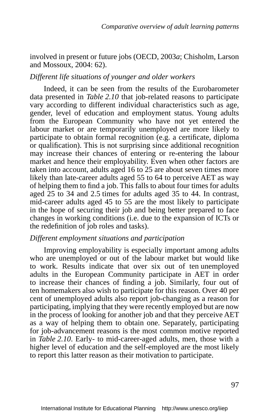involved in present or future jobs (OECD, 2003*a*; Chisholm, Larson and Mossoux, 2004: 62).

## *Different life situations of younger and older workers*

Indeed, it can be seen from the results of the Eurobarometer data presented in *Table 2.10* that job-related reasons to participate vary according to different individual characteristics such as age, gender, level of education and employment status. Young adults from the European Community who have not yet entered the labour market or are temporarily unemployed are more likely to participate to obtain formal recognition (e.g. a certificate, diploma or qualification). This is not surprising since additional recognition may increase their chances of entering or re-entering the labour market and hence their employability. Even when other factors are taken into account, adults aged 16 to 25 are about seven times more likely than late-career adults aged 55 to 64 to perceive AET as way of helping them to find a job. This falls to about four times for adults aged 25 to 34 and 2.5 times for adults aged 35 to 44. In contrast, mid-career adults aged 45 to 55 are the most likely to participate in the hope of securing their job and being better prepared to face changes in working conditions (i.e. due to the expansion of ICTs or the redefinition of job roles and tasks).

## *Different employment situations and participation*

Improving employability is especially important among adults who are unemployed or out of the labour market but would like to work. Results indicate that over six out of ten unemployed adults in the European Community participate in AET in order to increase their chances of finding a job. Similarly, four out of ten homemakers also wish to participate for this reason. Over 40 per cent of unemployed adults also report job-changing as a reason for participating, implying that they were recently employed but are now in the process of looking for another job and that they perceive AET as a way of helping them to obtain one. Separately, participating for job-advancement reasons is the most common motive reported in *Table 2.10*. Early- to mid-career-aged adults, men, those with a higher level of education and the self-employed are the most likely to report this latter reason as their motivation to participate.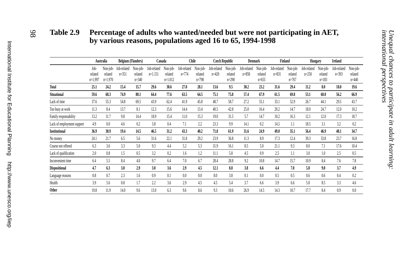| Table 2.9                  |                             |                                 |                           |                                  |                          |                                  |                          |                                  |                          |                                 | Percentage of adults who wanted/needed but were not participating in AET,<br>by various reasons, populations aged 16 to 65, 1994-1998 |                                |                          |                                |                          |                                |                          |                                  |
|----------------------------|-----------------------------|---------------------------------|---------------------------|----------------------------------|--------------------------|----------------------------------|--------------------------|----------------------------------|--------------------------|---------------------------------|---------------------------------------------------------------------------------------------------------------------------------------|--------------------------------|--------------------------|--------------------------------|--------------------------|--------------------------------|--------------------------|----------------------------------|
|                            |                             | Australia                       | <b>Belgium</b> (Flanders) |                                  | Canada                   |                                  | <b>Chile</b>             |                                  |                          | <b>Czech Republic</b>           | <b>Denmark</b>                                                                                                                        |                                | Finland                  |                                | Hungary                  |                                | <b>Ireland</b>           |                                  |
|                            | Job<br>related<br>$n=1.997$ | Non-job<br>related<br>$n=1.970$ | Job-relateo<br>$n=351$    | Non-job-<br>related<br>$n = 340$ | Job-related<br>$n=1.151$ | Non-iob-<br>related<br>$n=1.012$ | Job-related<br>$n = 774$ | Non-job-<br>related<br>$n = 798$ | lob-related<br>$n = 420$ | Non-job<br>related<br>$n = 298$ | Job-related<br>$n = 858$                                                                                                              | Non-job-<br>related<br>$n=655$ | Job-related<br>$n = 831$ | Non-job-<br>related<br>$n=767$ | Job-related<br>$n = 250$ | Non-job-<br>related<br>$n=183$ | Job-related<br>$n = 393$ | Non-job-<br>related<br>$n = 440$ |
| <b>Total</b>               | 25.1                        | 24.2                            | 15.4                      | 15.7                             | 29.6                     | 30.6                             | 27.0                     | 28.1                             | 13.6                     | 9.5                             | 30.2                                                                                                                                  | 23.2                           | 31.6                     | 29.4                           | 11.2                     | 8.0                            | 18.0                     | 19.6                             |
| <b>Situational</b>         | 59.6                        | 68.3                            | 74.9                      | 80.1                             | 64.4                     | 77.6                             | 63.5                     | 64.5                             | 75.1                     | 75.8                            | 57.4                                                                                                                                  | 67.9                           | 61.5                     | 69.8                           | 53.1                     | 60.0                           | 56.2                     | 66.9                             |
| Lack of time               | 37.6                        | 55.3                            | 54.8                      | 69.5                             | 43.9                     | 62.4                             | 41.9                     | 45.8                             | 48.7                     | 58.7                            | 27.2                                                                                                                                  | 55.1                           | 33.1                     | 52.9                           | 26.7                     | 44.1                           | 29.5                     | 43.7                             |
| Too busy at work           | 11.3                        | 8.4                             | 13.7                      | 8.1                              | 12.3                     | 15.6                             | 14.4                     | 13.4                             | 40.5                     | 42.8                            | 25.0                                                                                                                                  | 16.4                           | 20.2                     | 14.7                           | 18.0                     | 24.7                           | 12.0                     | 10.2                             |
| Family responsability      | 13.2                        | 11.7                            | 9.8                       | 14.4                             | 18.9                     | 15.4                             | 11.0                     | 15.3                             | 19.0                     | 31.5                            | 5.7                                                                                                                                   | 14.7                           | 10.2                     | 16.3                           | 12.1                     | 12.0                           | 17.3                     | 18.7                             |
| Lack of employment support | 4.9                         | 0.0                             | 4.6                       | 0.2                              | 3.8                      | 0.4                              | 7.1                      | $2.2\,$                          | 23.3                     | 9.9                             | 14.1                                                                                                                                  | 0.2                            | 14.5                     | 1.1                            | 18.5                     | 3.1                            | 3.2                      | 0.2                              |
| Institutional              | 36.9                        | 30.9                            | 19.4                      | 14.5                             | 46.5                     | 31.2                             | 43.3                     | 40.2                             | 71.8                     | 61.9                            | 31.6                                                                                                                                  | 24.9                           | 49.0                     | 35.1                           | 56.4                     | 46.9                           | 48.1                     | 34.7                             |
| No monev                   | 24.1                        | 21.7                            | 6.5                       | 5.6                              | 31.6                     | 22.1                             | 31.8                     | 29.2                             | 23.9                     | 36.8                            | 11.3                                                                                                                                  | 8.9                            | 17.3                     | 12.4                           | 39.3                     | 33.8                           | 23.7                     | 16.8                             |
| Course not offered         | 6.3                         | 3.6                             | 3.3                       | 5.0                              | 9.3                      | 4.4                              | 5.2                      | 5.3                              | 31.9                     | 16.1                            | 8.5                                                                                                                                   | 5.0                            | 21.1                     | 9.3                            | 8.0                      | 7.1                            | 17.6                     | 10.4                             |
| Lack of qualification      | 2.0                         | 0.8                             | 1.5                       | 0.5                              | 3.2                      | 0.2                              | 1.6                      | 1.2                              | 11.1                     | 5.8                             | 4.5                                                                                                                                   | 0.9                            | 2.5                      | 1.1                            | 3.0                      | 1.0                            | 2.5                      | 0.5                              |
| Inconvenient time          | 6.4                         | 5.5                             | 8.4                       | 4.0                              | 9.7                      | 6.4                              | 7.0                      | 6.7                              | 28.4                     | 28.8                            | 9.2                                                                                                                                   | 10.8                           | 14.7                     | 15.7                           | 10.9                     | 8.4                            | 7.6                      | 7.8                              |
| Dispositional              | 4.7                         | 6.3                             | 3.0                       | 2.9                              | 3.0                      | 3.6                              | 2.9                      | 4.5                              | 12.1                     | 8.8                             | 3.8                                                                                                                                   | 6.6                            | 4.4                      | 7.0                            | 5.0                      | 9.0                            | 3.7                      | 4.9                              |
| Language reasons           | 0.8                         | 0.7                             | 2.3                       | 1.6                              | 0.9                      | 0.1                              | 0.0                      | 0.0                              | 8.0                      | 3.8                             | 0.1                                                                                                                                   | 0.0                            | 0.5                      | 0.5                            | 0.6                      | 0.6                            | 0.4                      | 0.2                              |
| Health                     | 3.9                         | 5.6                             | 0.8                       | 1.7                              | 2.2                      | 3.6                              | 2.9                      | 4.5                              | 4.5                      | 5.4                             | 3.7                                                                                                                                   | 6.6                            | 3.9                      | 6.6                            | 5.0                      | 8.5                            | 3.3                      | 4.6                              |
| Other                      | 19.8                        | 11.9                            | 14.0                      | 9.6                              | 13.0                     | 6.3                              | 9.6                      | 8.6                              | 9.3                      | 10.6                            | 26.9                                                                                                                                  | 14.5                           | 14.3                     | 10.7                           | 17.7                     | 8.4                            | 0.9                      | 0.0                              |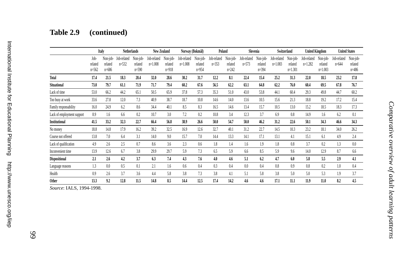**Table 2.9 (continued)**

|                            |                              | Italy                            | <b>Netherlands</b>       |                                  | <b>New Zealand</b>       |                                  | Norway (Bokmål)          |                                  | Poland                   |                                  | Slovenia                 |                                  | <b>Switzerland</b>       |                                  | <b>United Kingdom</b>    |                                  |                          | <b>United States</b>             |
|----------------------------|------------------------------|----------------------------------|--------------------------|----------------------------------|--------------------------|----------------------------------|--------------------------|----------------------------------|--------------------------|----------------------------------|--------------------------|----------------------------------|--------------------------|----------------------------------|--------------------------|----------------------------------|--------------------------|----------------------------------|
|                            | Job-<br>related<br>$n = 562$ | Non-job-<br>related<br>$n = 686$ | Job-related<br>$n = 532$ | Non-job-<br>related<br>$n = 590$ | Job-related<br>$n=1.008$ | Non-job-<br>related<br>$n = 918$ | Job-related<br>$n=1.008$ | Non-job-<br>related<br>$n = 954$ | Job-related<br>$n = 353$ | Non-iob-<br>related<br>$n = 242$ | Job-related<br>$n = 573$ | Non-job-<br>related<br>$n = 394$ | Job-related<br>$n=1.083$ | Non-job-<br>related<br>$n=1.301$ | Job-related<br>$n=1.282$ | Non-job-<br>related<br>$n=1.003$ | Job-related<br>$n = 644$ | Non-job-<br>related<br>$n = 486$ |
| Total                      | 17.4                         | 21.5                             | 18.3                     | 20.4                             | 32.0                     | 28.6                             | 30.2                     | 31.7                             | 12.2                     | 8.1                              | 22.4                     | 15.4                             | 25.2                     | 31.3                             | 22.0                     | 18.5                             | 23.2                     | 17.8                             |
| <b>Situational</b>         | 73.0                         | 79.7                             | 61.1                     | 71.9                             | 71.7                     | 79.4                             | 60.2                     | 67.6                             | 56.5                     | 62.2                             | 63.1                     | 64.8                             | 62.2                     | 76.0                             | 60.4                     | 69.5                             | 67.8                     | 76.7                             |
| Lack of time               | 53.0                         | 66.2                             | 44.2                     | 65.1                             | 50.5                     | 65.9                             | 37.8                     | 57.3                             | 35.3                     | 51.0                             | 43.0                     | 53.8                             | 44.1                     | 60.4                             | 29.3                     | 49.8                             | 44.7                     | 60.2                             |
| Too busy at work           | 33.6                         | 27.8                             | 12.0                     | 7.3                              | 40.9                     | 38.7                             | 18.7                     | 10.8                             | 14.6                     | 14.0                             | 13.6                     | 10.5                             | 15.6                     | 21.3                             | 18.8                     | 19.2                             | 17.2                     | 15.4                             |
| Family responsability      | 16.0                         | 24.9                             | 6.2                      | 8.6                              | 34.4                     | 40.1                             | 8.5                      | 8.3                              | 16.5                     | 14.6                             | 13.4                     | 15.7                             | 10.5                     | 13.0                             | 15.2                     | 18.5                             | 18.3                     | 17.3                             |
| Lack of employment support | 8.9                          | 1.6                              | 6.6                      | 0.2                              | 10.7                     | 3.0                              | 7.2                      | 0.2                              | 10.8                     | 3.4                              | 12.3                     | 3.7                              | 6.9                      | 0.8                              | 14.9                     | 1.6                              | 6.2                      | 0.1                              |
| <b>Institutional</b>       | 41.5                         | 33.2                             | 32.3                     | 22.7                             | 66.4                     | 56.8                             | 38.9                     | 26.6                             | 50.0                     | 54.7                             | 50.0                     | 46.2                             | 31.2                     | 22.6                             | 50.1                     | 34.3                             | 46.6                     | 34.3                             |
| No money                   | 18.8                         | 14.8                             | 17.9                     | 16.2                             | 39.2                     | 32.5                             | 16.9                     | 12.6                             | 32.7                     | 40.1                             | 31.2                     | 22.7                             | 14.5                     | 10.3                             | 23.2                     | 18.1                             | 34.0                     | 26.2                             |
| Course not offered         | 13.8                         | 7.0                              | 6.4                      | 3.1                              | 14.0                     | 9.0                              | 15.7                     | 7.0                              | 14.4                     | 13.3                             | 14.1                     | 17.1                             | 13.1                     | 4.1                              | 15.1                     | 6.1                              | 4.9                      | 2.4                              |
| Lack of qualification      | 4.9                          | 2.6                              | 2.5                      | 0.7                              | 8.6                      | 3.6                              | 2.3                      | 0.6                              | 1.8                      | 1.4                              | 1.6                      | 1.9                              | 1.8                      | 0.8                              | 3.7                      | 0.2                              | 1.3                      | 0.0                              |
| Inconvenient time          | 13.9                         | 12.6                             | 6.7                      | 3.8                              | 29.9                     | 29.7                             | 5.9                      | 7.3                              | 6.5                      | 5.9                              | 6.6                      | 8.5                              | 5.9                      | 9.6                              | 14.0                     | 12.9                             | 8.7                      | 6.6                              |
| Dispositional              | 2.1                          | 2.6                              | 4.2                      | 3.7                              | 6.3                      | 7.4                              | 4.3                      | 7.6                              | 4.0                      | 4.6                              | 5.1                      | 6.2                              | 4.7                      | 6.0                              | 5.8                      | 5.5                              | 2.9                      | 4.1                              |
| Language reasons           | 1.3                          | 0.0                              | 0.5                      | 0.1                              | 2.1                      | 1.6                              | 0.6                      | 0.4                              | 0.3                      | 0.4                              | 0.0                      | 0.4                              | 0.8                      | 0.9                              | 0.8                      | 0.2                              | 1.0                      | 0.4                              |
| Health                     | 0.9                          | 2.6                              | 3.7                      | 3.6                              | 4.4                      | 5.8                              | 3.8                      | 7.3                              | 3.8                      | 4.1                              | 5.1                      | 5.8                              | 3.8                      | 5.0                              | 5.0                      | 5.3                              | 1.9                      | 3.7                              |
| <b>Other</b>               | 13.3                         | 9.2                              | 12.8                     | 11.5                             | 14.8                     | 8.5                              | 14.4                     | 12.5                             | 17.4                     | 14.2                             | 4.6                      | 4.6                              | 17.1                     | 11.1                             | 11.9                     | 11.0                             | 8.2                      | 4.5                              |

*Source*: IALS, 1994-1998.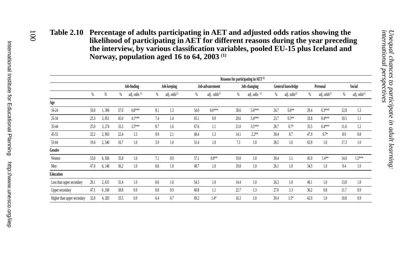| <b>Table 2.10</b>           | Percentage of adults participating in AET and adjusted odds ratios showing the<br>likelihood of participating in AET for different reasons during the year preceding<br>the interview, by various classification variables, pooled EU-15 plus Iceland and<br>Norway, population aged 16 to 64, 2003 $(1)$ |        |      |                          |     |                          |      |                          |              |                                                 |                   |                          |          |                          |        |                          |
|-----------------------------|-----------------------------------------------------------------------------------------------------------------------------------------------------------------------------------------------------------------------------------------------------------------------------------------------------------|--------|------|--------------------------|-----|--------------------------|------|--------------------------|--------------|-------------------------------------------------|-------------------|--------------------------|----------|--------------------------|--------|--------------------------|
|                             |                                                                                                                                                                                                                                                                                                           |        |      |                          |     |                          |      |                          |              | Reasons for participating in AET <sup>(3)</sup> |                   |                          |          |                          |        |                          |
|                             | Job-finding                                                                                                                                                                                                                                                                                               |        |      | Job-keeping              |     | Job-advancement          |      |                          | Job-changing |                                                 | General knowledge |                          | Personal |                          | Social |                          |
|                             | %                                                                                                                                                                                                                                                                                                         | N      | %    | adj. odds <sup>(2)</sup> | %   | adj. odds <sup>(2)</sup> | %    | adj. odds <sup>(2)</sup> | %            | adj. odds $(2)$                                 | %                 | adj. odds <sup>(2)</sup> | %        | adj. odds <sup>(2)</sup> | %      | adj. odds <sup>(2)</sup> |
| Age                         |                                                                                                                                                                                                                                                                                                           |        |      |                          |     |                          |      |                          |              |                                                 |                   |                          |          |                          |        |                          |
| 16-24                       | 10.0                                                                                                                                                                                                                                                                                                      | 1,306  | 57.0 | $6.8***$                 | 8.1 | 1.3                      | 54.0 | $0.6***$                 | 30.6         | $5.6***$                                        | 24.7              | $0.6**$                  | 29.4     | $0.3***$                 | 12.8   | 1.3                      |
| 25-34                       | 23.3                                                                                                                                                                                                                                                                                                      | 3,051  | 45.0 | 4.1***                   | 7.4 | 1.4                      | 65.1 | 0.9                      | 20.6         | $3.4***$                                        | 23.7              | $0.5**$                  | 33.8     | $0.4***$                 | 10.5   | 1.1                      |
| 35-44                       | 25.0                                                                                                                                                                                                                                                                                                      | 3, 274 | 33.3 | $2.5***$                 | 8.7 | 1.6                      | 67.6 | 1.1                      | 21.0         | $3.5***$                                        | 28.7              | $0.7*$                   | 35.5     | $0.4***$                 | 11.6   | 1.2                      |
| $45 - 55$                   | 22.2                                                                                                                                                                                                                                                                                                      | 2,903  | 22.4 | 1.5                      | 9.9 | 2.1                      | 68.4 | 1.3                      | 14.1         | $2.2**$                                         | 30.4              | 0.7                      | 47.9     | $0.7*$                   | 8.9    | 0.8                      |
| 55-64                       | 19.4                                                                                                                                                                                                                                                                                                      | 2,540  | 16.7 | 1.0                      | 3.9 | 1.0                      | 51.4 | 1.0                      | 7.3          | 1.0                                             | 38.5              | 1.0                      | 63.9     | 1.0 <sup>°</sup>         | 17.3   | 1.0                      |
| Gender                      |                                                                                                                                                                                                                                                                                                           |        |      |                          |     |                          |      |                          |              |                                                 |                   |                          |          |                          |        |                          |
| Women                       | 53.0                                                                                                                                                                                                                                                                                                      | 6.926  | 35.8 | 1.0                      | 7.1 | 0.9                      | 57.1 | $0.8**$                  | 19.0         | 1.0                                             | 30.4              | 1.1                      | 45.9     | $1.4**$                  | 14.0   | $1.5***$                 |
| Men                         | 47.0                                                                                                                                                                                                                                                                                                      | 6,148  | 36.2 | 1.0                      | 8.6 | $1.0\,$                  | 68.7 | $1.0\,$                  | 19.8         | 1.0                                             | 26.1              | 1.0                      | 34.3     | 1.0                      | 9.4    | 1.0                      |
| Education                   |                                                                                                                                                                                                                                                                                                           |        |      |                          |     |                          |      |                          |              |                                                 |                   |                          |          |                          |        |                          |
| Less than upper secondary   | 20.1                                                                                                                                                                                                                                                                                                      | 2,631  | 31.4 | 1.0                      | 8.6 | 1.0                      | 54.3 | 1.0                      | 14.4         | 1.0                                             | 26.3              | 1.0                      | 49.1     | $1.0\,$                  | 13.8   | 1.0                      |
| Upper secondary             | 47.1                                                                                                                                                                                                                                                                                                      | 6,160  | 38.8 | 0.9                      | 8.8 | 0.9                      | 60.8 | 1.1                      | 22.7         | 1.3                                             | 27.0              | 1.3                      | 36.2     | 0.8                      | 11.7   | 0.9                      |
| Higher than upper secondary | 32.8                                                                                                                                                                                                                                                                                                      | 4,283  | 33.5 | 0.9                      | 6.4 | 0.7                      | 69.2 | $1.4*$                   | 16.3         | 1.0                                             | 30.4              | $1.5*$                   | 42.0     | 1.0 <sup>°</sup>         | 10.8   | 0.9                      |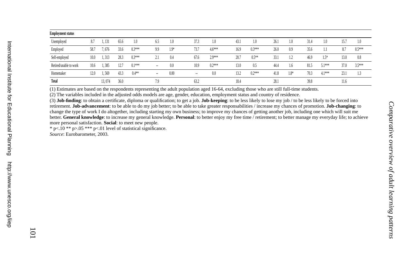| <b>Employment status</b> |            |        |      |          |                          |         |        |          |      |          |      |        |      |         |      |          |
|--------------------------|------------|--------|------|----------|--------------------------|---------|--------|----------|------|----------|------|--------|------|---------|------|----------|
| Unemployed               | 0.7<br>δ.Ι | . 131  | 65.6 |          | 6.5                      | $1.0\,$ | 37.3   | 1.0      | 43.1 | 1.0      | 26.1 |        | 31.4 | 1.0     | 15.7 | 1.0      |
| Employed                 | 58.7       | 1.676  | 33.6 | $0.3***$ | 9.9                      | $1.9*$  | 73.7   | $4.6***$ | 16.9 | $0.3***$ | 26.0 | 0.9    | 35.6 |         | 8.7  | $0.5***$ |
| Self-employed            | 10.0       | 1.313  | 28.3 | $0.3***$ | $\sim$<br>z.             | 0.4     | 67.6   | 2.9***   | 20.7 | $0.5***$ | 33.1 | 1.2    | 46.9 | $1.5*$  | 13.0 | 0.8      |
| Retired/unable to work   | 10.6       | 385    | 12.7 | $0.1***$ | $\overline{\phantom{a}}$ | 0.0     | 10.9   | $0.2***$ | 13.0 | 0.5      | 44.4 | 1.6    | 81.5 | $51***$ | 37.0 | $3.5***$ |
| Homemaker                | 12.0       | ., 569 | 43.3 | $0.4**$  | $\overline{\phantom{a}}$ | 0.00    | $\sim$ | 0.0      | 13.2 | $0.2***$ | 41.8 | $1.8*$ | 70.3 | 4.1***  | 23.1 | 1.3      |
| Total                    |            | 13,074 | 36.0 |          | 7.9                      |         | 63.2   |          | 18.4 |          | 28.1 |        | 39.8 |         | 11.6 |          |

(1) Estimates are based on the respondents representing the adult population aged 16-64, excluding those who are still full-time students.

(2) The variables included in the adjusted odds models are age, gender, education, employment status and country of residence.

(3) **Job-fi nding**: to obtain a certifi cate, diploma or qualifi cation; to get a job. **Job-keeping**: to be less likely to lose my job / to be less likely to be forced into retirement. **Job-advancement**: to be able to do my job better; to be able to take greater responsabilities / increase my chances of promotion. **Job-changing**: to change the type of work I do altogether, including starting my own business; to improve my chances of getting another job, including one which will suit me better. **General knowledge**: to increase my general knowledge. **Personal**: to better enjoy my free time / retirement; to better manage my everyday life; to achieve more personal satisfaction. **Social**: to meet new people.

 $*$  p $< 10$   $**$  p $> 0.05$   $***$  p $< 01$  level of statistical significance.

*Source*: Eurobarometer, 2003.

International Institute for Educational Planning http://www.unesco.org/iiep

http://www.unesco.org/iiep

International Institute for Educational Planning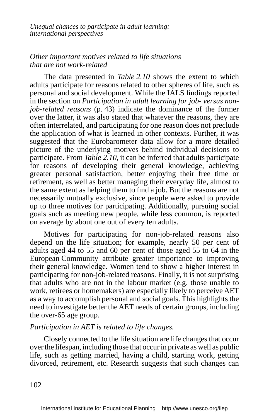*Unequal chances to participate in adult learning: international perspectives*

## *Other important motives related to life situations that are not work-related*

The data presented in *Table 2.10* shows the extent to which adults participate for reasons related to other spheres of life, such as personal and social development. While the IALS findings reported in the section on *Participation in adult learning for job- versus nonjob-related reasons* (p. 43) indicate the dominance of the former over the latter, it was also stated that whatever the reasons, they are often interrelated, and participating for one reason does not preclude the application of what is learned in other contexts. Further, it was suggested that the Eurobarometer data allow for a more detailed picture of the underlying motives behind individual decisions to participate. From *Table 2.10*, it can be inferred that adults participate for reasons of developing their general knowledge, achieving greater personal satisfaction, better enjoying their free time or retirement, as well as better managing their everyday life, almost to the same extent as helping them to find a job. But the reasons are not necessarily mutually exclusive, since people were asked to provide up to three motives for participating. Additionally, pursuing social goals such as meeting new people, while less common, is reported on average by about one out of every ten adults.

Motives for participating for non-job-related reasons also depend on the life situation; for example, nearly 50 per cent of adults aged 44 to 55 and 60 per cent of those aged 55 to 64 in the European Community attribute greater importance to improving their general knowledge. Women tend to show a higher interest in participating for non-job-related reasons. Finally, it is not surprising that adults who are not in the labour market (e.g. those unable to work, retirees or homemakers) are especially likely to perceive AET as a way to accomplish personal and social goals. This highlights the need to investigate better the AET needs of certain groups, including the over-65 age group.

## *Participation in AET is related to life changes.*

Closely connected to the life situation are life changes that occur over the lifespan, including those that occur in private as well as public life, such as getting married, having a child, starting work, getting divorced, retirement, etc. Research suggests that such changes can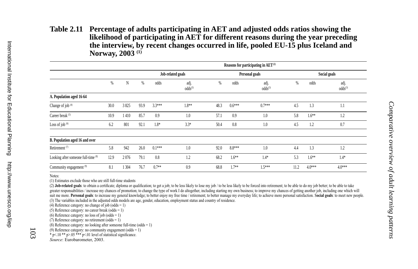## **Table 2.11 Percentage of adults participating in AET and adjusted odds ratios showing the likelihood of participating in AET for different reasons during the year preceding the interview, by recent changes occurred in life, pooled EU-15 plus Iceland and Norway, 2003 (1)**

|                                     |      |       |      |                   |                             |      |          | Reasons for participating in AET <sup>(2)</sup> |      |          |                             |
|-------------------------------------|------|-------|------|-------------------|-----------------------------|------|----------|-------------------------------------------------|------|----------|-----------------------------|
|                                     |      |       |      | Job-related goals |                             |      |          | Personal goals                                  |      |          | Social goals                |
|                                     | %    | N     | $\%$ | odds              | adj.<br>odds <sup>(3)</sup> | %    | odds     | adj.<br>odds <sup>(3)</sup>                     | %    | odds     | adj.<br>odds <sup>(3)</sup> |
| A. Population aged 16-64            |      |       |      |                   |                             |      |          |                                                 |      |          |                             |
| Change of job <sup>(4)</sup>        | 30.0 | 3825  | 93.9 | $3.3***$          | $1.8**$                     | 48.3 | $0.6***$ | $0.7***$                                        | 4.5  | 1.3      | 1.1                         |
| Career break (5)                    | 10.9 | 1410  | 85.7 | 0.9               | 1.0                         | 57.1 | 0.9      | 1.0                                             | 5.8  | $1.6***$ | 1.2                         |
| Loss of job $(6)$                   | 6.2  | 801   | 92.1 | $1.8*$            | $3.3*$                      | 50.4 | 0.8      | 1.0                                             | 4.5  | 1.2      | 0.7                         |
| B. Population aged 16 and over      |      |       |      |                   |                             |      |          |                                                 |      |          |                             |
| Retirement <sup>(7)</sup>           | 5.8  | 942   | 26.0 | $0.1***$          | 1.0                         | 92.0 | 8.8***   | 1.0                                             | 4.4  | 1.3      | 1.2                         |
| Looking after someone full-time (8) | 12.9 | 2076  | 79.1 | 0.8               | 1.2                         | 68.2 | $1.6**$  | $1.4*$                                          | 5.3  | $1.6***$ | $1.4*$                      |
| Community engagement <sup>(9)</sup> | 8.1  | 1 304 | 76.7 | $0.7**$           | 0.9                         | 68.8 | $1.7**$  | $1.5***$                                        | 11.2 | $4.0***$ | $4.0***$                    |

Notes:

(1) Estimates exclude those who are still full-time students

(2) Job-related goals: to obtain a certificate; diploma or qualification; to get a job; to be less likely to lose my job / to be less likely to be forced into retirement; to be able to do my job better; to be able to ake greater responsabilities / increase my chances of promotion; to change the type of work I do altogether, including starting my own business; to improve my chances of getting another job, including one which will suit me more. Personal goals: to increase my general knowledge; to better enjoy my free time / retirement; to better manage my everyday life; to achieve more personal satisfaction. Social goals: to meet new people. (3) The variables included in the adjusted odds models are age, gender, education, employment status and country of residence.

(4) Reference category: no change of job (odds = 1)

(5) Reference category: no career break (odds =  $1$ )

(6) Reference category: no loss of job (odds = 1)

(7) Reference category: no retirement (odds =  $1$ )

 $(8)$  Reference category: no looking after someone full-time (odds = 1)

(9) Reference category: no community engagement (odds = 1)

 $*$  p<.10 \*\* p>.05 \*\*\* p<.01 level of statistical significance.

*Source*: Eurobarometer, 2003.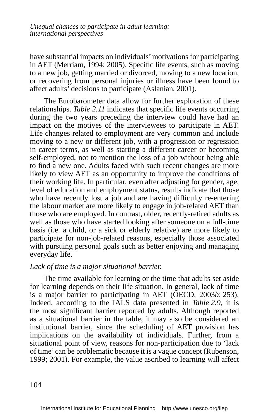have substantial impacts on individuals' motivations for participating in AET (Merriam,  $\overline{1994}$ ; 2005). Specific life events, such as moving to a new job, getting married or divorced, moving to a new location, or recovering from personal injuries or illness have been found to affect adults' decisions to participate (Aslanian, 2001).

The Eurobarometer data allow for further exploration of these relationships. *Table 2.11* indicates that specific life events occurring during the two years preceding the interview could have had an impact on the motives of the interviewees to participate in AET. Life changes related to employment are very common and include moving to a new or different job, with a progression or regression in career terms, as well as starting a different career or becoming self-employed, not to mention the loss of a job without being able to find a new one. Adults faced with such recent changes are more likely to view AET as an opportunity to improve the conditions of their working life. In particular, even after adjusting for gender, age, level of education and employment status, results indicate that those who have recently lost  $\hat{a}$  job and are having difficulty re-entering the labour market are more likely to engage in job-related AET than those who are employed. In contrast, older, recently-retired adults as well as those who have started looking after someone on a full-time basis (i.e. a child, or a sick or elderly relative) are more likely to participate for non-job-related reasons, especially those associated with pursuing personal goals such as better enjoying and managing everyday life.

## *Lack of time is a major situational barrier.*

The time available for learning or the time that adults set aside for learning depends on their life situation. In general, lack of time is a major barrier to participating in AET (OECD, 2003*b*: 253). Indeed, according to the IALS data presented in *Table 2.9*, it is the most significant barrier reported by adults. Although reported as a situational barrier in the table, it may also be considered an institutional barrier, since the scheduling of AET provision has implications on the availability of individuals. Further, from a situational point of view, reasons for non-participation due to 'lack of time' can be problematic because it is a vague concept (Rubenson, 1999; 2001). For example, the value ascribed to learning will affect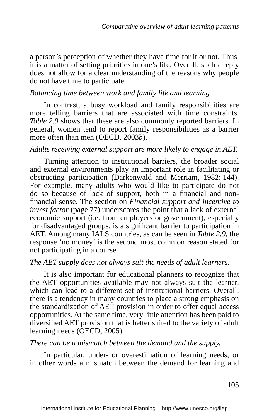a person's perception of whether they have time for it or not. Thus, it is a matter of setting priorities in one's life. Overall, such a reply does not allow for a clear understanding of the reasons why people do not have time to participate.

## *Balancing time between work and family life and learning*

In contrast, a busy workload and family responsibilities are more telling barriers that are associated with time constraints. *Table 2.9* shows that these are also commonly reported barriers. In general, women tend to report family responsibilities as a barrier more often than men (OECD, 2003*b*).

## *Adults receiving external support are more likely to engage in AET.*

Turning attention to institutional barriers, the broader social and external environments play an important role in facilitating or obstructing participation (Darkenwald and Merriam, 1982: 144). For example, many adults who would like to participate do not do so because of lack of support, both in a financial and nonfinancial sense. The section on *Financial support and incentive to invest factor* (page 77) underscores the point that a lack of external economic support (i.e. from employers or government), especially for disadvantaged groups, is a significant barrier to participation in AET. Among many IALS countries, as can be seen in *Table 2.9*, the response 'no money' is the second most common reason stated for not participating in a course.

## *The AET supply does not always suit the needs of adult learners.*

It is also important for educational planners to recognize that the AET opportunities available may not always suit the learner, which can lead to a different set of institutional barriers. Overall, there is a tendency in many countries to place a strong emphasis on the standardization of AET provision in order to offer equal access opportunities. At the same time, very little attention has been paid to diversified AET provision that is better suited to the variety of adult learning needs (OECD, 2005).

## *There can be a mismatch between the demand and the supply.*

In particular, under- or overestimation of learning needs, or in other words a mismatch between the demand for learning and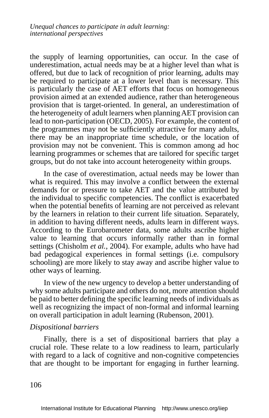the supply of learning opportunities, can occur. In the case of underestimation, actual needs may be at a higher level than what is offered, but due to lack of recognition of prior learning, adults may be required to participate at a lower level than is necessary. This is particularly the case of AET efforts that focus on homogeneous provision aimed at an extended audience, rather than heterogeneous provision that is target-oriented. In general, an underestimation of the heterogeneity of adult learners when planning AET provision can lead to non-participation (OECD, 2005). For example, the content of the programmes may not be sufficiently attractive for many adults, there may be an inappropriate time schedule, or the location of provision may not be convenient. This is common among ad hoc learning programmes or schemes that are tailored for specific target groups, but do not take into account heterogeneity within groups.

In the case of overestimation, actual needs may be lower than what is required. This may involve a conflict between the external demands for or pressure to take AET and the value attributed by the individual to specific competencies. The conflict is exacerbated when the potential benefits of learning are not perceived as relevant by the learners in relation to their current life situation. Separately, in addition to having different needs, adults learn in different ways. According to the Eurobarometer data, some adults ascribe higher value to learning that occurs informally rather than in formal settings (Chisholm *et al.*, 2004). For example, adults who have had bad pedagogical experiences in formal settings (i.e. compulsory schooling) are more likely to stay away and ascribe higher value to other ways of learning.

In view of the new urgency to develop a better understanding of why some adults participate and others do not, more attention should be paid to better defining the specific learning needs of individuals as well as recognizing the impact of non-formal and informal learning on overall participation in adult learning (Rubenson, 2001).

## *Dispositional barriers*

Finally, there is a set of dispositional barriers that play a crucial role. These relate to a low readiness to learn, particularly with regard to a lack of cognitive and non-cognitive competencies that are thought to be important for engaging in further learning.

106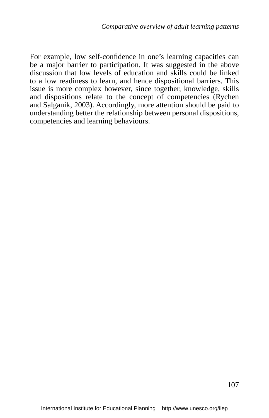For example, low self-confidence in one's learning capacities can be a major barrier to participation. It was suggested in the above discussion that low levels of education and skills could be linked to a low readiness to learn, and hence dispositional barriers. This issue is more complex however, since together, knowledge, skills and dispositions relate to the concept of competencies (Rychen and Salganik, 2003). Accordingly, more attention should be paid to understanding better the relationship between personal dispositions, competencies and learning behaviours.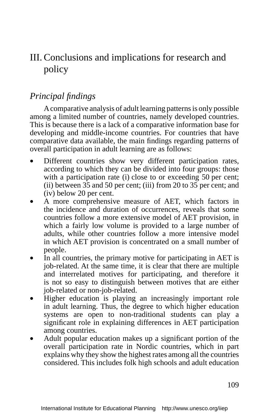# III. Conclusions and implications for research and policy

# *Principal fi ndings*

A comparative analysis of adult learning patterns is only possible among a limited number of countries, namely developed countries. This is because there is a lack of a comparative information base for developing and middle-income countries. For countries that have comparative data available, the main findings regarding patterns of overall participation in adult learning are as follows:

- Different countries show very different participation rates, according to which they can be divided into four groups: those with a participation rate (i) close to or exceeding 50 per cent; (ii) between 35 and 50 per cent; (iii) from 20 to 35 per cent; and (iv) below 20 per cent.
- A more comprehensive measure of AET, which factors in the incidence and duration of occurrences, reveals that some countries follow a more extensive model of AET provision, in which a fairly low volume is provided to a large number of adults, while other countries follow a more intensive model in which AET provision is concentrated on a small number of people.
- In all countries, the primary motive for participating in AET is job-related. At the same time, it is clear that there are multiple and interrelated motives for participating, and therefore it is not so easy to distinguish between motives that are either job-related or non-job-related.
- Higher education is playing an increasingly important role in adult learning. Thus, the degree to which higher education systems are open to non-traditional students can play a significant role in explaining differences in AET participation among countries.
- Adult popular education makes up a significant portion of the overall participation rate in Nordic countries, which in part explains why they show the highest rates among all the countries considered. This includes folk high schools and adult education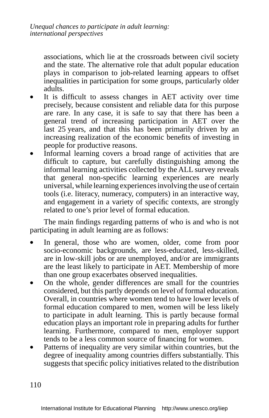associations, which lie at the crossroads between civil society and the state. The alternative role that adult popular education plays in comparison to job-related learning appears to offset inequalities in participation for some groups, particularly older adults.

- It is difficult to assess changes in AET activity over time precisely, because consistent and reliable data for this purpose are rare. In any case, it is safe to say that there has been a general trend of increasing participation in AET over the last 25 years, and that this has been primarily driven by an increasing realization of the economic benefits of investing in people for productive reasons.
- Informal learning covers a broad range of activities that are difficult to capture, but carefully distinguishing among the informal learning activities collected by the ALL survey reveals that general non-specific learning experiences are nearly universal, while learning experiences involving the use of certain tools (i.e. literacy, numeracy, computers) in an interactive way, and engagement in a variety of specific contexts, are strongly related to one's prior level of formal education.

The main findings regarding patterns of who is and who is not participating in adult learning are as follows:

- In general, those who are women, older, come from poor socio-economic backgrounds, are less-educated, less-skilled, are in low-skill jobs or are unemployed, and/or are immigrants are the least likely to participate in AET. Membership of more than one group exacerbates observed inequalities.
- On the whole, gender differences are small for the countries considered, but this partly depends on level of formal education. Overall, in countries where women tend to have lower levels of formal education compared to men, women will be less likely to participate in adult learning. This is partly because formal education plays an important role in preparing adults for further learning. Furthermore, compared to men, employer support tends to be a less common source of financing for women.
- Patterns of inequality are very similar within countries, but the degree of inequality among countries differs substantially. This suggests that specific policy initiatives related to the distribution

110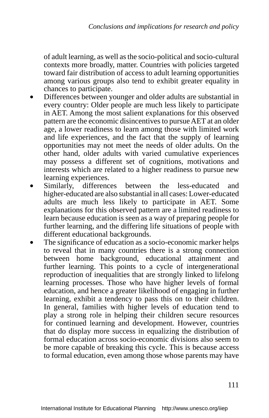of adult learning, as well as the socio-political and socio-cultural contexts more broadly, matter. Countries with policies targeted toward fair distribution of access to adult learning opportunities among various groups also tend to exhibit greater equality in chances to participate.

- Differences between younger and older adults are substantial in every country: Older people are much less likely to participate in AET. Among the most salient explanations for this observed pattern are the economic disincentives to pursue AET at an older age, a lower readiness to learn among those with limited work and life experiences, and the fact that the supply of learning opportunities may not meet the needs of older adults. On the other hand, older adults with varied cumulative experiences may possess a different set of cognitions, motivations and interests which are related to a higher readiness to pursue new learning experiences.
- Similarly, differences between the less-educated and higher-educated are also substantial in all cases: Lower-educated adults are much less likely to participate in AET. Some explanations for this observed pattern are a limited readiness to learn because education is seen as a way of preparing people for further learning, and the differing life situations of people with different educational backgrounds.
- The significance of education as a socio-economic marker helps to reveal that in many countries there is a strong connection between home background, educational attainment and further learning. This points to a cycle of intergenerational reproduction of inequalities that are strongly linked to lifelong learning processes. Those who have higher levels of formal education, and hence a greater likelihood of engaging in further learning, exhibit a tendency to pass this on to their children. In general, families with higher levels of education tend to play a strong role in helping their children secure resources for continued learning and development. However, countries that do display more success in equalizing the distribution of formal education across socio-economic divisions also seem to be more capable of breaking this cycle. This is because access to formal education, even among those whose parents may have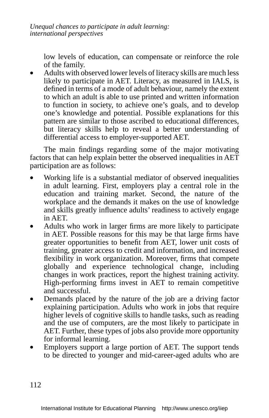low levels of education, can compensate or reinforce the role of the family.

• Adults with observed lower levels of literacy skills are much less likely to participate in AET. Literacy, as measured in IALS, is defined in terms of a mode of adult behaviour, namely the extent to which an adult is able to use printed and written information to function in society, to achieve one's goals, and to develop one's knowledge and potential. Possible explanations for this pattern are similar to those ascribed to educational differences, but literacy skills help to reveal a better understanding of differential access to employer-supported AET.

The main findings regarding some of the major motivating factors that can help explain better the observed inequalities in AET participation are as follows:

- Working life is a substantial mediator of observed inequalities in adult learning. First, employers play a central role in the education and training market. Second, the nature of the workplace and the demands it makes on the use of knowledge and skills greatly influence adults' readiness to actively engage in AET.
- Adults who work in larger firms are more likely to participate in AET. Possible reasons for this may be that large firms have greater opportunities to benefit from AET, lower unit costs of training, greater access to credit and information, and increased flexibility in work organization. Moreover, firms that compete globally and experience technological change, including changes in work practices, report the highest training activity. High-performing firms invest in AET to remain competitive and successful.
- Demands placed by the nature of the job are a driving factor explaining participation. Adults who work in jobs that require higher levels of cognitive skills to handle tasks, such as reading and the use of computers, are the most likely to participate in AET. Further, these types of jobs also provide more opportunity for informal learning.
- Employers support a large portion of AET. The support tends to be directed to younger and mid-career-aged adults who are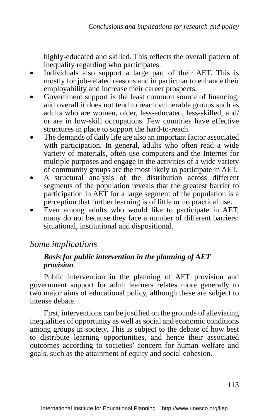highly-educated and skilled. This reflects the overall pattern of inequality regarding who participates.

- Individuals also support a large part of their AET. This is mostly for job-related reasons and in particular to enhance their employability and increase their career prospects.
- Government support is the least common source of financing, and overall it does not tend to reach vulnerable groups such as adults who are women, older, less-educated, less-skilled, and/ or are in low-skill occupations. Few countries have effective structures in place to support the hard-to-reach.
- The demands of daily life are also an important factor associated with participation. In general, adults who often read a wide variety of materials, often use computers and the Internet for multiple purposes and engage in the activities of a wide variety of community groups are the most likely to participate in AET.
- A structural analysis of the distribution across different segments of the population reveals that the greatest barrier to participation in AET for a large segment of the population is a perception that further learning is of little or no practical use.
- Even among adults who would like to participate in AET. many do not because they face a number of different barriers: situational, institutional and dispositional.

# *Some implications*

# *Basis for public intervention in the planning of AET provision*

Public intervention in the planning of AET provision and government support for adult learners relates more generally to two major aims of educational policy, although these are subject to intense debate.

First, interventions can be justified on the grounds of alleviating inequalities of opportunity as well as social and economic conditions among groups in society. This is subject to the debate of how best to distribute learning opportunities, and hence their associated outcomes according to societies' concern for human welfare and goals, such as the attainment of equity and social cohesion.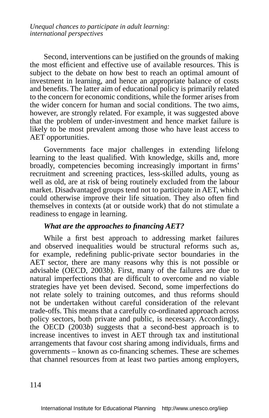*Unequal chances to participate in adult learning: international perspectives*

Second, interventions can be justified on the grounds of making the most efficient and effective use of available resources. This is subject to the debate on how best to reach an optimal amount of investment in learning, and hence an appropriate balance of costs and benefits. The latter aim of educational policy is primarily related to the concern for economic conditions, while the former arises from the wider concern for human and social conditions. The two aims, however, are strongly related. For example, it was suggested above that the problem of under-investment and hence market failure is likely to be most prevalent among those who have least access to AET opportunities.

Governments face major challenges in extending lifelong learning to the least qualified. With knowledge, skills and, more broadly, competencies becoming increasingly important in firms' recruitment and screening practices, less-skilled adults, young as well as old, are at risk of being routinely excluded from the labour market. Disadvantaged groups tend not to participate in AET, which could otherwise improve their life situation. They also often find themselves in contexts (at or outside work) that do not stimulate a readiness to engage in learning.

## *What are the approaches to financing AET?*

While a first best approach to addressing market failures and observed inequalities would be structural reforms such as, for example, redefining public-private sector boundaries in the AET sector, there are many reasons why this is not possible or advisable (OECD, 2003*b*). First, many of the failures are due to natural imperfections that are difficult to overcome and no viable strategies have yet been devised. Second, some imperfections do not relate solely to training outcomes, and thus reforms should not be undertaken without careful consideration of the relevant trade-offs. This means that a carefully co-ordinated approach across policy sectors, both private and public, is necessary. Accordingly, the OECD (2003*b*) suggests that a second-best approach is to increase incentives to invest in AET through tax and institutional arrangements that favour cost sharing among individuals, firms and governments – known as co-financing schemes. These are schemes that channel resources from at least two parties among employers,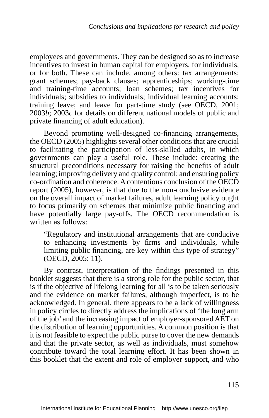employees and governments. They can be designed so as to increase incentives to invest in human capital for employers, for individuals, or for both. These can include, among others: tax arrangements; grant schemes; pay-back clauses; apprenticeships; working-time and training-time accounts; loan schemes; tax incentives for individuals; subsidies to individuals; individual learning accounts; training leave; and leave for part-time study (see OECD, 2001; 2003*b*; 2003*c* for details on different national models of public and private financing of adult education).

Beyond promoting well-designed co-financing arrangements, the OECD (2005) highlights several other conditions that are crucial to facilitating the participation of less-skilled adults, in which governments can play a useful role. These include: creating the structural preconditions necessary for raising the benefits of adult learning; improving delivery and quality control; and ensuring policy co-ordination and coherence. A contentious conclusion of the OECD report (2005), however, is that due to the non-conclusive evidence on the overall impact of market failures, adult learning policy ought to focus primarily on schemes that minimize public financing and have potentially large pay-offs. The OECD recommendation is written as follows:

 "Regulatory and institutional arrangements that are conducive to enhancing investments by firms and individuals, while limiting public financing, are key within this type of strategy" (OECD, 2005: 11).

By contrast, interpretation of the findings presented in this booklet suggests that there is a strong role for the public sector, that is if the objective of lifelong learning for all is to be taken seriously and the evidence on market failures, although imperfect, is to be acknowledged. In general, there appears to be a lack of willingness in policy circles to directly address the implications of 'the long arm of the job' and the increasing impact of employer-sponsored AET on the distribution of learning opportunities. A common position is that it is not feasible to expect the public purse to cover the new demands and that the private sector, as well as individuals, must somehow contribute toward the total learning effort. It has been shown in this booklet that the extent and role of employer support, and who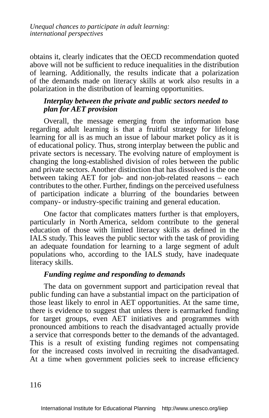obtains it, clearly indicates that the OECD recommendation quoted above will not be sufficient to reduce inequalities in the distribution of learning. Additionally, the results indicate that a polarization of the demands made on literacy skills at work also results in a polarization in the distribution of learning opportunities.

## *Interplay between the private and public sectors needed to plan for AET provision*

Overall, the message emerging from the information base regarding adult learning is that a fruitful strategy for lifelong learning for all is as much an issue of labour market policy as it is of educational policy. Thus, strong interplay between the public and private sectors is necessary. The evolving nature of employment is changing the long-established division of roles between the public and private sectors. Another distinction that has dissolved is the one between taking AET for job- and non-job-related reasons – each contributes to the other. Further, findings on the perceived usefulness of participation indicate a blurring of the boundaries between company- or industry-specific training and general education.

One factor that complicates matters further is that employers, particularly in North America, seldom contribute to the general education of those with limited literacy skills as defined in the IALS study. This leaves the public sector with the task of providing an adequate foundation for learning to a large segment of adult populations who, according to the IALS study, have inadequate literacy skills.

# *Funding regime and responding to demands*

The data on government support and participation reveal that public funding can have a substantial impact on the participation of those least likely to enrol in AET opportunities. At the same time, there is evidence to suggest that unless there is earmarked funding for target groups, even AET initiatives and programmes with pronounced ambitions to reach the disadvantaged actually provide a service that corresponds better to the demands of the advantaged. This is a result of existing funding regimes not compensating for the increased costs involved in recruiting the disadvantaged. At a time when government policies seek to increase efficiency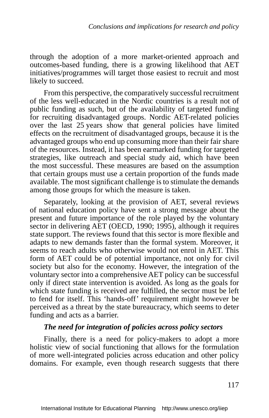through the adoption of a more market-oriented approach and outcomes-based funding, there is a growing likelihood that AET initiatives/programmes will target those easiest to recruit and most likely to succeed.

From this perspective, the comparatively successful recruitment of the less well-educated in the Nordic countries is a result not of public funding as such, but of the availability of targeted funding for recruiting disadvantaged groups. Nordic AET-related policies over the last 25 years show that general policies have limited effects on the recruitment of disadvantaged groups, because it is the advantaged groups who end up consuming more than their fair share of the resources. Instead, it has been earmarked funding for targeted strategies, like outreach and special study aid, which have been the most successful. These measures are based on the assumption that certain groups must use a certain proportion of the funds made available. The most significant challenge is to stimulate the demands among those groups for which the measure is taken.

Separately, looking at the provision of AET, several reviews of national education policy have sent a strong message about the present and future importance of the role played by the voluntary sector in delivering AET (OECD, 1990; 1995), although it requires state support. The reviews found that this sector is more flexible and adapts to new demands faster than the formal system. Moreover, it seems to reach adults who otherwise would not enrol in AET. This form of AET could be of potential importance, not only for civil society but also for the economy. However, the integration of the voluntary sector into a comprehensive AET policy can be successful only if direct state intervention is avoided. As long as the goals for which state funding is received are fulfilled, the sector must be left to fend for itself. This 'hands-off' requirement might however be perceived as a threat by the state bureaucracy, which seems to deter funding and acts as a barrier.

## *The need for integration of policies across policy sectors*

Finally, there is a need for policy-makers to adopt a more holistic view of social functioning that allows for the formulation of more well-integrated policies across education and other policy domains. For example, even though research suggests that there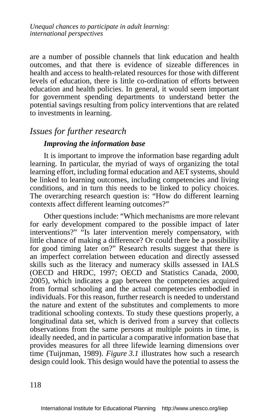*Unequal chances to participate in adult learning: international perspectives*

are a number of possible channels that link education and health outcomes, and that there is evidence of sizeable differences in health and access to health-related resources for those with different levels of education, there is little co-ordination of efforts between education and health policies. In general, it would seem important for government spending departments to understand better the potential savings resulting from policy interventions that are related to investments in learning.

# *Issues for further research*

## *Improving the information base*

It is important to improve the information base regarding adult learning. In particular, the myriad of ways of organizing the total learning effort, including formal education and AET systems, should be linked to learning outcomes, including competencies and living conditions, and in turn this needs to be linked to policy choices. The overarching research question is: "How do different learning contexts affect different learning outcomes?"

Other questions include: "Which mechanisms are more relevant for early development compared to the possible impact of later interventions?" "Is later intervention merely compensatory, with little chance of making a difference? Or could there be a possibility for good timing later on?" Research results suggest that there is an imperfect correlation between education and directly assessed skills such as the literacy and numeracy skills assessed in IALS (OECD and HRDC, 1997; OECD and Statistics Canada, 2000, 2005), which indicates a gap between the competencies acquired from formal schooling and the actual competencies embodied in individuals. For this reason, further research is needed to understand the nature and extent of the substitutes and complements to more traditional schooling contexts. To study these questions properly, a longitudinal data set, which is derived from a survey that collects observations from the same persons at multiple points in time, is ideally needed, and in particular a comparative information base that provides measures for all three lifewide learning dimensions over time (Tuijnman, 1989). *Figure 3.1* illustrates how such a research design could look. This design would have the potential to assess the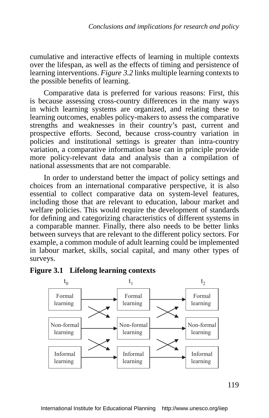cumulative and interactive effects of learning in multiple contexts over the lifespan, as well as the effects of timing and persistence of learning interventions. *Figure 3.2* links multiple learning contexts to the possible benefits of learning.

Comparative data is preferred for various reasons: First, this is because assessing cross-country differences in the many ways in which learning systems are organized, and relating these to learning outcomes, enables policy-makers to assess the comparative strengths and weaknesses in their country's past, current and prospective efforts. Second, because cross-country variation in policies and institutional settings is greater than intra-country variation, a comparative information base can in principle provide more policy-relevant data and analysis than a compilation of national assessments that are not comparable.

In order to understand better the impact of policy settings and choices from an international comparative perspective, it is also essential to collect comparative data on system-level features, including those that are relevant to education, labour market and welfare policies. This would require the development of standards for defining and categorizing characteristics of different systems in a comparable manner. Finally, there also needs to be better links between surveys that are relevant to the different policy sectors. For example, a common module of adult learning could be implemented in labour market, skills, social capital, and many other types of surveys.



**Figure 3.1 Lifelong learning contexts**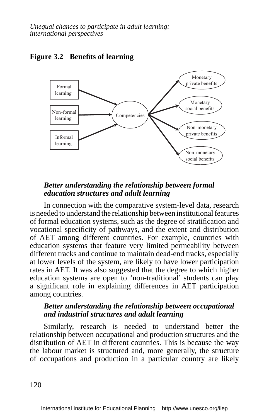*Unequal chances to participate in adult learning: international perspectives*



#### **Figure 3.2 Benefits of learning**

#### *Better understanding the relationship between formal education structures and adult learning*

In connection with the comparative system-level data, research is needed to understand the relationship between institutional features of formal education systems, such as the degree of stratification and vocational specificity of pathways, and the extent and distribution of AET among different countries. For example, countries with education systems that feature very limited permeability between different tracks and continue to maintain dead-end tracks, especially at lower levels of the system, are likely to have lower participation rates in AET. It was also suggested that the degree to which higher education systems are open to 'non-traditional' students can play a significant role in explaining differences in AET participation among countries.

## *Better understanding the relationship between occupational and industrial structures and adult learning*

Similarly, research is needed to understand better the relationship between occupational and production structures and the distribution of AET in different countries. This is because the way the labour market is structured and, more generally, the structure of occupations and production in a particular country are likely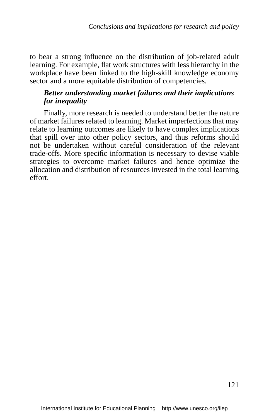to bear a strong influence on the distribution of job-related adult learning. For example, flat work structures with less hierarchy in the workplace have been linked to the high-skill knowledge economy sector and a more equitable distribution of competencies.

# *Better understanding market failures and their implications for inequality*

Finally, more research is needed to understand better the nature of market failures related to learning. Market imperfections that may relate to learning outcomes are likely to have complex implications that spill over into other policy sectors, and thus reforms should not be undertaken without careful consideration of the relevant trade-offs. More specific information is necessary to devise viable strategies to overcome market failures and hence optimize the allocation and distribution of resources invested in the total learning effort.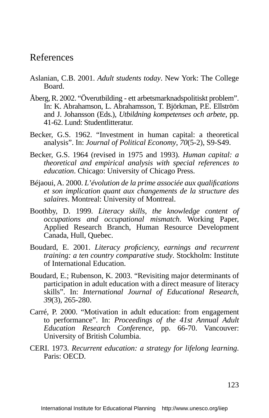# References

- Aslanian, C.B. 2001. *Adult students today*. New York: The College Board.
- Åberg, R. 2002. "Överutbilding ett arbetsmarknadspolitiskt problem". In: K. Abrahamson, L. Abrahamsson, T. Björkman, P.E. Ellström and J. Johansson (Eds.), *Utbildning kompetenses och arbete*, pp. 41-62. Lund: Studentlitteratur.
- Becker, G.S. 1962. "Investment in human capital: a theoretical analysis". In: *Journal of Political Economy*, *70*(5-2), S9-S49.
- Becker, G.S. 1964 (revised in 1975 and 1993). *Human capital: a theoretical and empirical analysis with special references to education*. Chicago: University of Chicago Press.
- Béjaoui, A. 2000. *L'évolution de la prime associée aux qualifi cations et son implication quant aux changements de la structure des salaires*. Montreal: University of Montreal.
- Boothby, D. 1999. *Literacy skills, the knowledge content of occupations and occupational mismatch*. Working Paper, Applied Research Branch, Human Resource Development Canada, Hull, Quebec.
- Boudard, E. 2001. *Literacy proficiency, earnings and recurrent training: a ten country comparative study*. Stockholm: Institute of International Education.
- Boudard, E.; Rubenson, K. 2003. "Revisiting major determinants of participation in adult education with a direct measure of literacy skills". In: *International Journal of Educational Research*, *39*(3), 265-280.
- Carré, P. 2000. "Motivation in adult education: from engagement to performance". In: *Proceedings of the 41st Annual Adult Education Research Conference*, pp. 66-70. Vancouver: University of British Columbia.
- CERI. 1973. *Recurrent education: a strategy for lifelong learning*. Paris: OECD.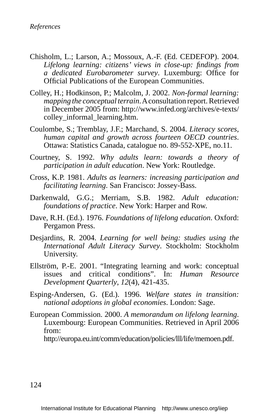- Chisholm, L.; Larson, A.; Mossoux, A.-F. (Ed. CEDEFOP). 2004. Lifelong learning: citizens' views in close-up: findings from *a dedicated Eurobarometer survey*. Luxemburg: Office for Official Publications of the European Communities.
- Colley, H.; Hodkinson, P.; Malcolm, J. 2002. *Non-formal learning: mapping the conceptual terrain*. A consultation report. Retrieved in December 2005 from: [http://www.infed.org/archives/e-texts/](http://www.infed.org/archives/e-texts) colley\_informal\_learning.htm.
- Coulombe, S.; Tremblay, J.F.; Marchand, S. 2004. *Literacy scores, human capital and growth across fourteen OECD countries*. Ottawa: Statistics Canada, catalogue no. 89-552-XPE, no.11.
- Courtney, S. 1992. *Why adults learn: towards a theory of participation in adult education*. New York: Routledge.
- Cross, K.P. 1981. *Adults as learners: increasing participation and facilitating learning*. San Francisco: Jossey-Bass.
- Darkenwald, G.G.; Merriam, S.B. 1982. *Adult education: foundations of practice*. New York: Harper and Row.
- Dave, R.H. (Ed.). 1976. *Foundations of lifelong education*. Oxford: Pergamon Press.
- Desjardins, R. 2004. *Learning for well being: studies using the International Adult Literacy Survey*. Stockholm: Stockholm University.
- Ellström, P.-E. 2001. "Integrating learning and work: conceptual issues and critical conditions". In: *Human Resource Development Quarterly*, *12*(4), 421-435.
- Esping-Andersen, G. (Ed.). 1996. *Welfare states in transition: national adoptions in global economies*. London: Sage.
- European Commission. 2000. *A memorandum on lifelong learning*. Luxembourg: European Communities. Retrieved in April 2006 from:

[http://europa.eu.int/comm/education/policies/lll/life/memoen.pdf.](http://europa.eu.int/comm/education/policies/lll/life/memoen.pdf)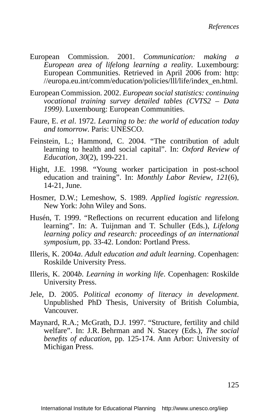- European Commission. 2001. *Communication: making a European area of lifelong learning a reality*. Luxembourg: European Communities. Retrieved in April 2006 from: http: //europa.eu.int/comm/education/policies/lll/life/index\_en.html.
- European Commission. 2002. *European social statistics: continuing vocational training survey detailed tables (CVTS2 – Data 1999)*. Luxembourg: European Communities.
- Faure, E. *et al*. 1972. *Learning to be: the world of education today and tomorrow*. Paris: UNESCO.
- Feinstein, L.; Hammond, C. 2004. "The contribution of adult learning to health and social capital". In: *Oxford Review of Education*, *30*(2), 199-221.
- Hight, J.E. 1998. "Young worker participation in post-school education and training". In: *Monthly Labor Review*, *121*(6), 14-21, June.
- Hosmer, D.W.; Lemeshow, S. 1989. *Applied logistic regression*. New York: John Wiley and Sons.
- Husén, T. 1999. "Reflections on recurrent education and lifelong learning". In: A. Tuijnman and T. Schuller (Eds.), *Lifelong learning policy and research: proceedings of an international symposium*, pp. 33-42. London: Portland Press.
- Illeris, K. 2004*a*. *Adult education and adult learning*. Copenhagen: Roskilde University Press.
- Illeris, K. 2004*b*. *Learning in working life*. Copenhagen: Roskilde University Press.
- Jele, D. 2005. *Political economy of literacy in development*. Unpublished PhD Thesis, University of British Columbia, Vancouver.
- Maynard, R.A.; McGrath, D.J. 1997. "Structure, fertility and child welfare". In: J.R. Behrman and N. Stacey (Eds.), *The social benefits of education*, pp. 125-174. Ann Arbor: University of Michigan Press.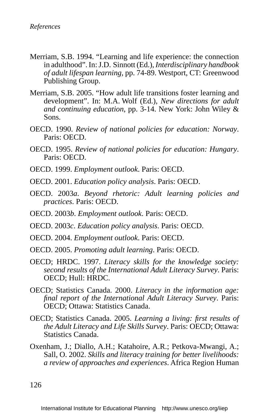- Merriam, S.B. 1994. "Learning and life experience: the connection in adulthood". In: J.D. Sinnott (Ed.), *Interdisciplinary handbook of adult lifespan learning*, pp. 74-89. Westport, CT: Greenwood Publishing Group.
- Merriam, S.B. 2005. "How adult life transitions foster learning and development". In: M.A. Wolf (Ed.), *New directions for adult and continuing education*, pp. 3-14. New York: John Wiley & Sons.
- OECD. 1990. *Review of national policies for education: Norway*. Paris: OECD.
- OECD. 1995. *Review of national policies for education: Hungary*. Paris: OECD.
- OECD. 1999. *Employment outlook*. Paris: OECD.
- OECD. 2001. *Education policy analysis*. Paris: OECD.
- OECD. 2003*a*. *Beyond rhetoric: Adult learning policies and practices*. Paris: OECD.
- OECD. 2003*b*. *Employment outlook*. Paris: OECD.
- OECD. 2003*c*. *Education policy analysis*. Paris: OECD.
- OECD. 2004. *Employment outlook*. Paris: OECD.
- OECD. 2005. *Promoting adult learning*. Paris: OECD.
- OECD; HRDC. 1997. *Literacy skills for the knowledge society: second results of the International Adult Literacy Survey*. Paris: OECD; Hull: HRDC.
- OECD; Statistics Canada. 2000. *Literacy in the information age: fi nal report of the International Adult Literacy Survey*. Paris: OECD; Ottawa: Statistics Canada.
- OECD; Statistics Canada. 2005. *Learning a living: first results of the Adult Literacy and Life Skills Survey*. Paris: OECD; Ottawa: Statistics Canada.
- Oxenham, J.; Diallo, A.H.; Katahoire, A.R.; Petkova-Mwangi, A.; Sall, O. 2002. *Skills and literacy training for better livelihoods: a review of approaches and experiences*. Africa Region Human

126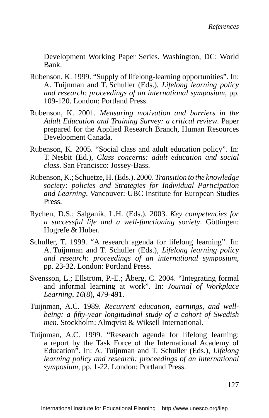Development Working Paper Series. Washington, DC: World Bank.

- Rubenson, K. 1999. "Supply of lifelong-learning opportunities". In: A. Tuijnman and T. Schuller (Eds.), *Lifelong learning policy and research: proceedings of an international symposium*, pp. 109-120. London: Portland Press.
- Rubenson, K. 2001. *Measuring motivation and barriers in the Adult Education and Training Survey: a critical review*. Paper prepared for the Applied Research Branch, Human Resources Development Canada.
- Rubenson, K. 2005. "Social class and adult education policy". In: T. Nesbit (Ed.), *Class concerns: adult education and social class*. San Francisco: Jossey-Bass.
- Rubenson, K.; Schuetze, H. (Eds.). 2000. *Transition to the knowledge society: policies and Strategies for Individual Participation and Learning*. Vancouver: UBC Institute for European Studies Press.
- Rychen, D.S.; Salganik, L.H. (Eds.). 2003. *Key competencies for a successful life and a well-functioning society*. Göttingen: Hogrefe & Huber.
- Schuller, T. 1999. "A research agenda for lifelong learning". In: A. Tuijnman and T. Schuller (Eds.), *Lifelong learning policy and research: proceedings of an international symposium*, pp. 23-32. London: Portland Press.
- Svensson, L.; Ellström, P.-E.; Åberg, C. 2004. "Integrating formal and informal learning at work". In: *Journal of Workplace Learning*, *16*(8), 479-491.
- Tuijnman, A.C. 1989. *Recurrent education, earnings, and wellbeing: a fifty-year longitudinal study of a cohort of Swedish men*. Stockholm: Almqvist & Wiksell International.
- Tuijnman, A.C. 1999. "Research agenda for lifelong learning: a report by the Task Force of the International Academy of Education". In: A. Tuijnman and T. Schuller (Eds.), *Lifelong learning policy and research: proceedings of an international symposium*, pp. 1-22. London: Portland Press.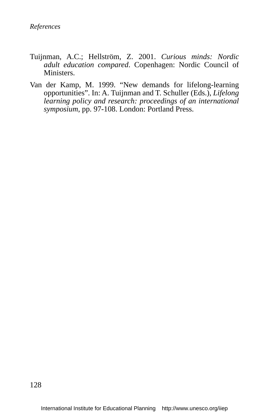- Tuijnman, A.C.; Hellström, Z. 2001. *Curious minds: Nordic adult education compared*. Copenhagen: Nordic Council of **Ministers**
- Van der Kamp, M. 1999. "New demands for lifelong-learning opportunities". In: A. Tuijnman and T. Schuller (Eds.), *Lifelong learning policy and research: proceedings of an international symposium*, pp. 97-108. London: Portland Press.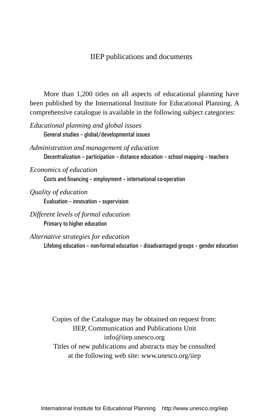## IIEP publications and documents

More than 1,200 titles on all aspects of educational planning have been published by the International Institute for Educational Planning. A comprehensive catalogue is available in the following subject categories:

*Educational planning and global issues* General studies – global/developmental issues

*Administration and management of education* Decentralization – participation – distance education – school mapping – teachers

*Economics of education*

Costs and financing – employment – international co-operation

*Quality of education*

Evaluation – innovation – supervision

*Different levels of formal education* Primary to higher education

*Alternative strategies for education*

Lifelong education – non-formal education – disadvantaged groups – gender education

Copies of the Catalogue may be obtained on request from: IIEP, Communication and Publications Unit [info@iiep.unesco.org](mailto:info@iiep.unesco.org)  Titles of new publications and abstracts may be consulted at the following web site: [www.unesco.org/iiep](http://www.unesco.org/iiep)